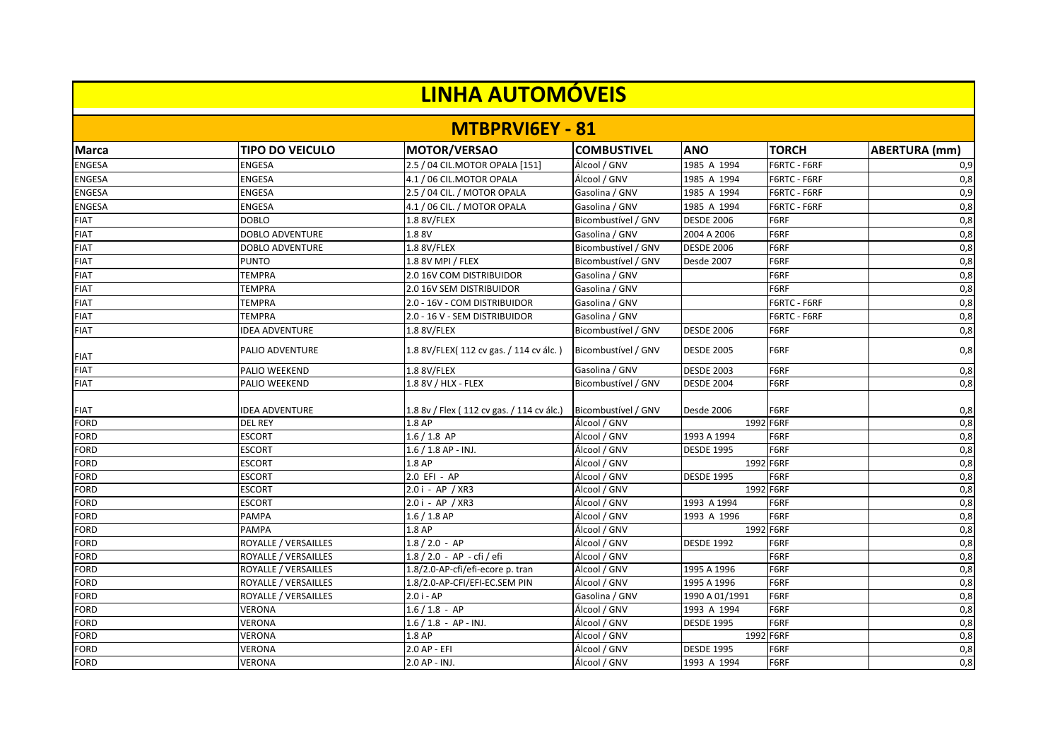| <b>LINHA AUTOMÓVEIS</b> |                             |                                           |                     |                   |              |                      |  |
|-------------------------|-----------------------------|-------------------------------------------|---------------------|-------------------|--------------|----------------------|--|
|                         |                             | <b>MTBPRVIGEY - 81</b>                    |                     |                   |              |                      |  |
| <b>Marca</b>            | <b>TIPO DO VEICULO</b>      | <b>MOTOR/VERSAO</b>                       | <b>COMBUSTIVEL</b>  | <b>ANO</b>        | <b>TORCH</b> | <b>ABERTURA</b> (mm) |  |
| <b>ENGESA</b>           | <b>ENGESA</b>               | 2.5 / 04 CIL.MOTOR OPALA [151]            | Álcool / GNV        | 1985 A 1994       | F6RTC - F6RF | 0,9                  |  |
| <b>ENGESA</b>           | <b>ENGESA</b>               | 4.1 / 06 CIL.MOTOR OPALA                  | Álcool / GNV        | 1985 A 1994       | F6RTC - F6RF | 0,8                  |  |
| <b>ENGESA</b>           | <b>ENGESA</b>               | 2.5 / 04 CIL. / MOTOR OPALA               | Gasolina / GNV      | 1985 A 1994       | F6RTC - F6RF | 0,9                  |  |
| <b>ENGESA</b>           | <b>ENGESA</b>               | 4.1 / 06 CIL. / MOTOR OPALA               | Gasolina / GNV      | 1985 A 1994       | F6RTC - F6RF | 0,8                  |  |
| <b>FIAT</b>             | <b>DOBLO</b>                | 1.8 8V/FLEX                               | Bicombustível / GNV | <b>DESDE 2006</b> | F6RF         | 0,8                  |  |
| <b>FIAT</b>             | <b>DOBLO ADVENTURE</b>      | 1.8 8V                                    | Gasolina / GNV      | 2004 A 2006       | F6RF         | 0,8                  |  |
| <b>FIAT</b>             | <b>DOBLO ADVENTURE</b>      | 1.8 8V/FLEX                               | Bicombustível / GNV | <b>DESDE 2006</b> | F6RF         | 0,8                  |  |
| <b>FIAT</b>             | <b>PUNTO</b>                | 1.8 8V MPI / FLEX                         | Bicombustível / GNV | Desde 2007        | F6RF         | 0,8                  |  |
| <b>FIAT</b>             | <b>TEMPRA</b>               | 2.0 16V COM DISTRIBUIDOR                  | Gasolina / GNV      |                   | F6RF         | 0,8                  |  |
| <b>FIAT</b>             | <b>TEMPRA</b>               | 2.0 16V SEM DISTRIBUIDOR                  | Gasolina / GNV      |                   | F6RF         | 0,8                  |  |
| <b>FIAT</b>             | <b>TEMPRA</b>               | 2.0 - 16V - COM DISTRIBUIDOR              | Gasolina / GNV      |                   | F6RTC - F6RF | 0,8                  |  |
| <b>FIAT</b>             | <b>TEMPRA</b>               | 2.0 - 16 V - SEM DISTRIBUIDOR             | Gasolina / GNV      |                   | F6RTC - F6RF | 0,8                  |  |
| <b>FIAT</b>             | <b>IDEA ADVENTURE</b>       | 1.8 8V/FLEX                               | Bicombustível / GNV | <b>DESDE 2006</b> | F6RF         | 0,8                  |  |
| <b>FIAT</b>             | PALIO ADVENTURE             | 1.8 8V/FLEX(112 cv gas. / 114 cv álc.)    | Bicombustível / GNV | <b>DESDE 2005</b> | F6RF         | 0,8                  |  |
| <b>FIAT</b>             | PALIO WEEKEND               | 1.8 8V/FLEX                               | Gasolina / GNV      | <b>DESDE 2003</b> | F6RF         | 0,8                  |  |
| <b>FIAT</b>             | PALIO WEEKEND               | 1.8 8V / HLX - FLEX                       | Bicombustível / GNV | <b>DESDE 2004</b> | F6RF         | 0,8                  |  |
| <b>FIAT</b>             | <b>IDEA ADVENTURE</b>       | 1.8 8v / Flex (112 cv gas. / 114 cv álc.) | Bicombustível / GNV | Desde 2006        | F6RF         | 0,8                  |  |
| <b>FORD</b>             | <b>DEL REY</b>              | 1.8 AP                                    | Álcool / GNV        |                   | 1992 F6RF    | 0,8                  |  |
| <b>FORD</b>             | <b>ESCORT</b>               | $1.6 / 1.8$ AP                            | Álcool / GNV        | 1993 A 1994       | F6RF         | 0,8                  |  |
| <b>FORD</b>             | <b>ESCORT</b>               | 1.6 / 1.8 AP - INJ.                       | Álcool / GNV        | <b>DESDE 1995</b> | F6RF         | 0,8                  |  |
| <b>FORD</b>             | <b>ESCORT</b>               | 1.8 AP                                    | Álcool / GNV        |                   | 1992 F6RF    | 0,8                  |  |
| <b>FORD</b>             | <b>ESCORT</b>               | 2.0 EFI - AP                              | Álcool / GNV        | <b>DESDE 1995</b> | F6RF         | 0,8                  |  |
| <b>FORD</b>             | <b>ESCORT</b>               | $2.0i - AP / XR3$                         | Álcool / GNV        |                   | 1992 F6RF    | $\overline{0,8}$     |  |
| <b>FORD</b>             | <b>ESCORT</b>               | 2.0 i - AP / XR3                          | Álcool / GNV        | 1993 A 1994       | F6RF         | 0,8                  |  |
| <b>FORD</b>             | <b>PAMPA</b>                | 1.6 / 1.8 AP                              | Álcool / GNV        | 1993 A 1996       | F6RF         | 0,8                  |  |
| <b>FORD</b>             | <b>PAMPA</b>                | 1.8 AP                                    | Álcool / GNV        |                   | 1992 F6RF    | 0,8                  |  |
| <b>FORD</b>             | <b>ROYALLE / VERSAILLES</b> | $1.8 / 2.0 - AP$                          | Álcool / GNV        | <b>DESDE 1992</b> | F6RF         | 0,8                  |  |
| <b>FORD</b>             | ROYALLE / VERSAILLES        | 1.8 / 2.0 - AP - cfi / efi                | Álcool / GNV        |                   | F6RF         | $\overline{0,8}$     |  |
| <b>FORD</b>             | ROYALLE / VERSAILLES        | 1.8/2.0-AP-cfi/efi-ecore p. tran          | Álcool / GNV        | 1995 A 1996       | F6RF         | 0,8                  |  |
| <b>FORD</b>             | ROYALLE / VERSAILLES        | 1.8/2.0-AP-CFI/EFI-EC.SEM PIN             | Álcool / GNV        | 1995 A 1996       | F6RF         | 0,8                  |  |
| <b>FORD</b>             | ROYALLE / VERSAILLES        | 2.0 i - AP                                | Gasolina / GNV      | 1990 A 01/1991    | F6RF         | $\overline{0,8}$     |  |
| <b>FORD</b>             | <b>VERONA</b>               | $1.6 / 1.8 - AP$                          | Álcool / GNV        | 1993 A 1994       | F6RF         | 0,8                  |  |
| <b>FORD</b>             | <b>VERONA</b>               | $1.6 / 1.8 - AP - INJ.$                   | Álcool / GNV        | <b>DESDE 1995</b> | F6RF         | 0,8                  |  |
| <b>FORD</b>             | <b>VERONA</b>               | 1.8 AP                                    | Álcool / GNV        |                   | 1992 F6RF    | 0,8                  |  |
| <b>FORD</b>             | <b>VERONA</b>               | 2.0 AP - EFI                              | Álcool / GNV        | <b>DESDE 1995</b> | F6RF         | $\overline{0,8}$     |  |
| <b>FORD</b>             | <b>VERONA</b>               | 2.0 AP - INJ.                             | Álcool / GNV        | 1993 A 1994       | F6RF         | 0,8                  |  |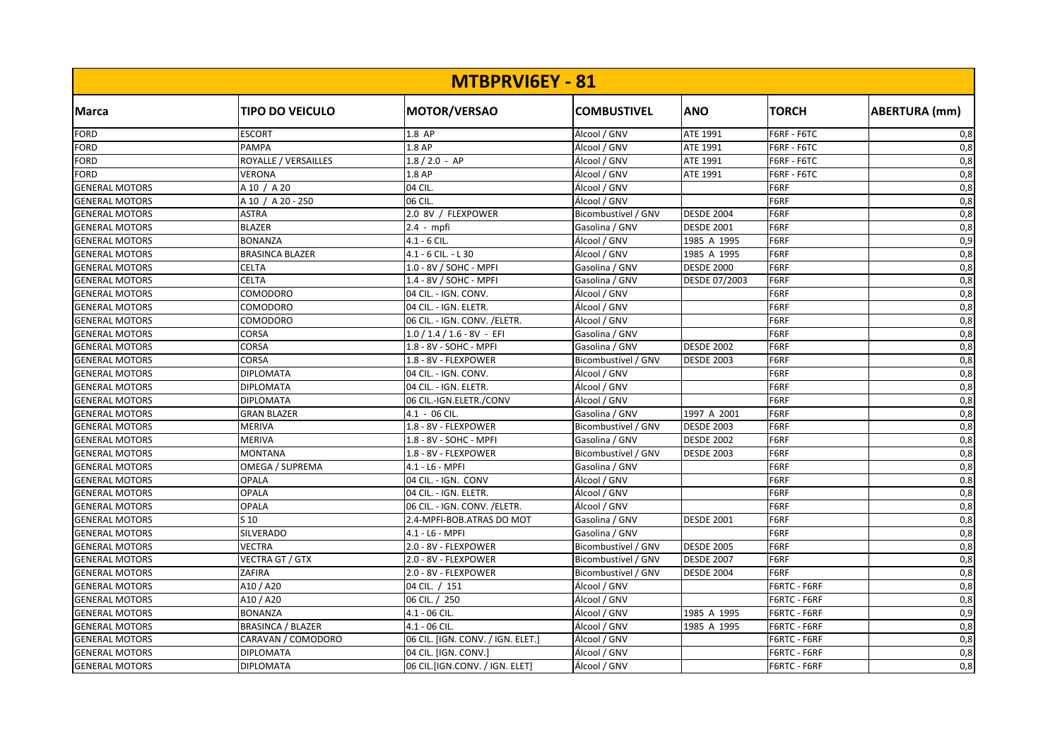| MTBPRVI6EY - 81       |                          |                                   |                     |                   |              |                  |  |
|-----------------------|--------------------------|-----------------------------------|---------------------|-------------------|--------------|------------------|--|
| <b>Marca</b>          | <b>TIPO DO VEICULO</b>   | <b>MOTOR/VERSAO</b>               | <b>COMBUSTIVEL</b>  | <b>ANO</b>        | <b>TORCH</b> | ABERTURA (mm)    |  |
| <b>FORD</b>           | <b>ESCORT</b>            | 1.8 AP                            | Álcool / GNV        | ATE 1991          | F6RF - F6TC  | 0,8              |  |
| <b>FORD</b>           | <b>PAMPA</b>             | 1.8 AP                            | Álcool / GNV        | ATE 1991          | F6RF - F6TC  | 0,8              |  |
| <b>FORD</b>           | ROYALLE / VERSAILLES     | $1.8 / 2.0 - AP$                  | Álcool / GNV        | ATE 1991          | F6RF - F6TC  | 0,8              |  |
| <b>FORD</b>           | <b>VERONA</b>            | 1.8 AP                            | Álcool / GNV        | ATE 1991          | F6RF - F6TC  | 0,8              |  |
| <b>GENERAL MOTORS</b> | A 10 / A 20              | 04 CIL.                           | Álcool / GNV        |                   | F6RF         | 0,8              |  |
| <b>GENERAL MOTORS</b> | A 10 / A 20 - 250        | 06 CIL.                           | Álcool / GNV        |                   | F6RF         | 0,8              |  |
| <b>GENERAL MOTORS</b> | <b>ASTRA</b>             | 2.0 8V / FLEXPOWER                | Bicombustível / GNV | <b>DESDE 2004</b> | F6RF         | 0,8              |  |
| <b>GENERAL MOTORS</b> | <b>BLAZER</b>            | 2.4 - mpfi                        | Gasolina / GNV      | <b>DESDE 2001</b> | F6RF         | 0,8              |  |
| <b>GENERAL MOTORS</b> | <b>BONANZA</b>           | $4.1 - 6$ CIL.                    | Álcool / GNV        | 1985 A 1995       | F6RF         | 0,9              |  |
| <b>GENERAL MOTORS</b> | <b>BRASINCA BLAZER</b>   | 4.1 - 6 CIL. - L 30               | Álcool / GNV        | 1985 A 1995       | F6RF         | 0,8              |  |
| <b>GENERAL MOTORS</b> | CELTA                    | 1.0 - 8V / SOHC - MPFI            | Gasolina / GNV      | <b>DESDE 2000</b> | F6RF         | 0,8              |  |
| <b>GENERAL MOTORS</b> | <b>CELTA</b>             | 1.4 - 8V / SOHC - MPFI            | Gasolina / GNV      | DESDE 07/2003     | F6RF         | 0,8              |  |
| <b>GENERAL MOTORS</b> | COMODORO                 | 04 CIL. - IGN. CONV.              | Álcool / GNV        |                   | F6RF         | 0,8              |  |
| <b>GENERAL MOTORS</b> | COMODORO                 | 04 CIL. - IGN. ELETR.             | Álcool / GNV        |                   | F6RF         | 0,8              |  |
| <b>GENERAL MOTORS</b> | COMODORO                 | 06 CIL. - IGN. CONV. / ELETR.     | Álcool / GNV        |                   | F6RF         | 0,8              |  |
| <b>GENERAL MOTORS</b> | CORSA                    | $1.0 / 1.4 / 1.6 - 8V - EF$       | Gasolina / GNV      |                   | F6RF         | 0,8              |  |
| <b>GENERAL MOTORS</b> | CORSA                    | 1.8 - 8V - SOHC - MPFI            | Gasolina / GNV      | <b>DESDE 2002</b> | F6RF         | 0,8              |  |
| <b>GENERAL MOTORS</b> | <b>CORSA</b>             | 1.8 - 8V - FLEXPOWER              | Bicombustível / GNV | <b>DESDE 2003</b> | F6RF         | 0,8              |  |
| <b>GENERAL MOTORS</b> | <b>DIPLOMATA</b>         | 04 CIL. - IGN. CONV.              | Álcool / GNV        |                   | F6RF         | 0,8              |  |
| <b>GENERAL MOTORS</b> | <b>DIPLOMATA</b>         | 04 CIL. - IGN. ELETR.             | Álcool / GNV        |                   | F6RF         | 0,8              |  |
| <b>GENERAL MOTORS</b> | <b>DIPLOMATA</b>         | 06 CIL.-IGN.ELETR./CONV           | Álcool / GNV        |                   | F6RF         | 0,8              |  |
| <b>GENERAL MOTORS</b> | <b>GRAN BLAZER</b>       | 4.1 - 06 CIL.                     | Gasolina / GNV      | 1997 A 2001       | F6RF         | 0,8              |  |
| <b>GENERAL MOTORS</b> | <b>MERIVA</b>            | 1.8 - 8V - FLEXPOWER              | Bicombustível / GNV | <b>DESDE 2003</b> | F6RF         | 0,8              |  |
| <b>GENERAL MOTORS</b> | <b>MERIVA</b>            | 1.8 - 8V - SOHC - MPFI            | Gasolina / GNV      | <b>DESDE 2002</b> | F6RF         | 0,8              |  |
| <b>GENERAL MOTORS</b> | <b>MONTANA</b>           | 1.8 - 8V - FLEXPOWER              | Bicombustível / GNV | <b>DESDE 2003</b> | F6RF         | 0,8              |  |
| <b>GENERAL MOTORS</b> | OMEGA / SUPREMA          | 4.1 - L6 - MPFI                   | Gasolina / GNV      |                   | F6RF         | 0,8              |  |
| <b>GENERAL MOTORS</b> | <b>OPALA</b>             | 04 CIL. - IGN. CONV               | Álcool / GNV        |                   | F6RF         | 0.8              |  |
| <b>GENERAL MOTORS</b> | <b>OPALA</b>             | 04 CIL. - IGN. ELETR.             | Álcool / GNV        |                   | F6RF         | 0,8              |  |
| <b>GENERAL MOTORS</b> | <b>OPALA</b>             | 06 CIL. - IGN. CONV. / ELETR.     | Álcool / GNV        |                   | F6RF         | 0,8              |  |
| <b>GENERAL MOTORS</b> | S <sub>10</sub>          | 2.4-MPFI-BOB.ATRAS DO MOT         | Gasolina / GNV      | <b>DESDE 2001</b> | F6RF         | 0,8              |  |
| <b>GENERAL MOTORS</b> | SILVERADO                | 4.1 - L6 - MPFI                   | Gasolina / GNV      |                   | F6RF         | 0,8              |  |
| <b>GENERAL MOTORS</b> | <b>VECTRA</b>            | 2.0 - 8V - FLEXPOWER              | Bicombustível / GNV | <b>DESDE 2005</b> | F6RF         | 0,8              |  |
| <b>GENERAL MOTORS</b> | <b>VECTRA GT / GTX</b>   | 2.0 - 8V - FLEXPOWER              | Bicombustível / GNV | <b>DESDE 2007</b> | F6RF         | 0,8              |  |
| <b>GENERAL MOTORS</b> | ZAFIRA                   | 2.0 - 8V - FLEXPOWER              | Bicombustível / GNV | <b>DESDE 2004</b> | F6RF         | 0,8              |  |
| <b>GENERAL MOTORS</b> | A10 / A20                | 04 CIL. / 151                     | Álcool / GNV        |                   | F6RTC - F6RF | 0,8              |  |
| <b>GENERAL MOTORS</b> | A10 / A20                | 06 CIL. / 250                     | Álcool / GNV        |                   | F6RTC - F6RF | 0,8              |  |
| <b>GENERAL MOTORS</b> | <b>BONANZA</b>           | 4.1 - 06 CIL.                     | Álcool / GNV        | 1985 A 1995       | F6RTC - F6RF | 0,9              |  |
| <b>GENERAL MOTORS</b> | <b>BRASINCA / BLAZER</b> | 4.1 - 06 CIL.                     | Álcool / GNV        | 1985 A 1995       | F6RTC - F6RF | $\overline{0,8}$ |  |
| <b>GENERAL MOTORS</b> | CARAVAN / COMODORO       | 06 CIL. [IGN. CONV. / IGN. ELET.] | Álcool / GNV        |                   | F6RTC - F6RF | 0,8              |  |
| <b>GENERAL MOTORS</b> | <b>DIPLOMATA</b>         | 04 CIL. [IGN. CONV.]              | Álcool / GNV        |                   | F6RTC - F6RF | 0,8              |  |
| <b>GENERAL MOTORS</b> | <b>DIPLOMATA</b>         | 06 CIL.[IGN.CONV. / IGN. ELET]    | Álcool / GNV        |                   | F6RTC - F6RF | 0,8              |  |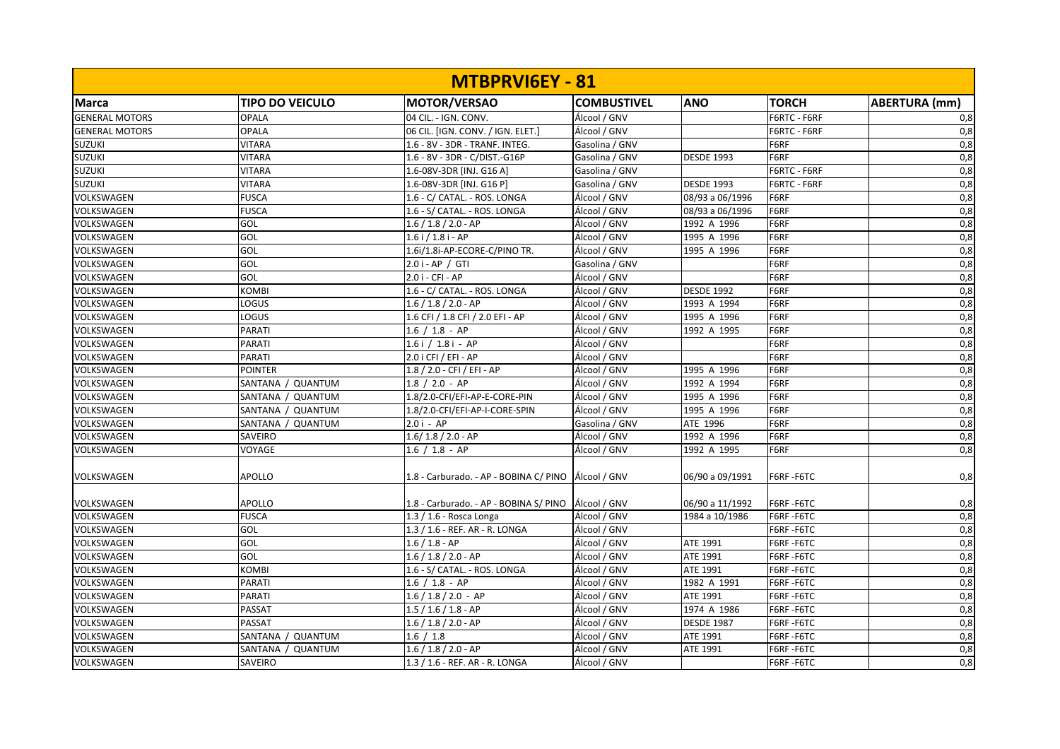|                       |                        | MTBPRVI6EY - 81                                       |                    |                   |              |                      |
|-----------------------|------------------------|-------------------------------------------------------|--------------------|-------------------|--------------|----------------------|
| <b>Marca</b>          | <b>TIPO DO VEICULO</b> | MOTOR/VERSAO                                          | <b>COMBUSTIVEL</b> | <b>ANO</b>        | <b>TORCH</b> | <b>ABERTURA</b> (mm) |
| <b>GENERAL MOTORS</b> | <b>OPALA</b>           | 04 CIL. - IGN. CONV.                                  | Álcool / GNV       |                   | F6RTC - F6RF | 0,8                  |
| <b>GENERAL MOTORS</b> | <b>OPALA</b>           | 06 CIL. [IGN. CONV. / IGN. ELET.]                     | Álcool / GNV       |                   | F6RTC - F6RF | 0,8                  |
| <b>SUZUKI</b>         | <b>VITARA</b>          | 1.6 - 8V - 3DR - TRANF. INTEG.                        | Gasolina / GNV     |                   | F6RF         | 0,8                  |
| <b>SUZUKI</b>         | <b>VITARA</b>          | 1.6 - 8V - 3DR - C/DIST.-G16P                         | Gasolina / GNV     | <b>DESDE 1993</b> | F6RF         | 0,8                  |
| <b>SUZUKI</b>         | <b>VITARA</b>          | 1.6-08V-3DR [INJ. G16 A]                              | Gasolina / GNV     |                   | F6RTC - F6RF | 0,8                  |
| <b>SUZUKI</b>         | <b>VITARA</b>          | 1.6-08V-3DR [INJ. G16 P]                              | Gasolina / GNV     | <b>DESDE 1993</b> | F6RTC - F6RF | 0,8                  |
| VOLKSWAGEN            | <b>FUSCA</b>           | 1.6 - C/ CATAL. - ROS. LONGA                          | Álcool / GNV       | 08/93 a 06/1996   | F6RF         | 0,8                  |
| VOLKSWAGEN            | <b>FUSCA</b>           | 1.6 - S/ CATAL. - ROS. LONGA                          | Álcool / GNV       | 08/93 a 06/1996   | F6RF         | 0,8                  |
| VOLKSWAGEN            | GOL                    | $1.6 / 1.8 / 2.0 - AP$                                | Álcool / GNV       | 1992 A 1996       | F6RF         | 0,8                  |
| VOLKSWAGEN            | GOL                    | $1.6$ i $/ 1.8$ i - AP                                | Álcool / GNV       | 1995 A 1996       | F6RF         | 0,8                  |
| VOLKSWAGEN            | GOL                    | 1.6i/1.8i-AP-ECORE-C/PINO TR.                         | Álcool / GNV       | 1995 A 1996       | F6RF         | 0,8                  |
| VOLKSWAGEN            | GOL                    | 2.0 i - AP / GTI                                      | Gasolina / GNV     |                   | F6RF         | 0,8                  |
| VOLKSWAGEN            | GOL                    | 2.0 i - CFI - AP                                      | Álcool / GNV       |                   | F6RF         | 0,8                  |
| VOLKSWAGEN            | <b>KOMBI</b>           | 1.6 - C/ CATAL. - ROS. LONGA                          | Álcool / GNV       | <b>DESDE 1992</b> | F6RF         | 0,8                  |
| VOLKSWAGEN            | LOGUS                  | $1.6 / 1.8 / 2.0 - AP$                                | Álcool / GNV       | 1993 A 1994       | F6RF         | 0,8                  |
| VOLKSWAGEN            | LOGUS                  | 1.6 CFI / 1.8 CFI / 2.0 EFI - AP                      | Álcool / GNV       | 1995 A 1996       | F6RF         | 0,8                  |
| VOLKSWAGEN            | PARATI                 | $1.6 / 1.8 - AP$                                      | Álcool / GNV       | 1992 A 1995       | F6RF         | 0,8                  |
| VOLKSWAGEN            | PARATI                 | $1.6i / 1.8i - AP$                                    | Álcool / GNV       |                   | F6RF         | 0,8                  |
| VOLKSWAGEN            | PARATI                 | 2.0 i CFI / EFI - AP                                  | Álcool / GNV       |                   | F6RF         | 0,8                  |
| VOLKSWAGEN            | <b>POINTER</b>         | 1.8 / 2.0 - CFI / EFI - AP                            | Álcool / GNV       | 1995 A 1996       | F6RF         | 0,8                  |
| VOLKSWAGEN            | SANTANA / QUANTUM      | $1.8 / 2.0 - AP$                                      | Álcool / GNV       | 1992 A 1994       | F6RF         | 0,8                  |
| VOLKSWAGEN            | SANTANA / QUANTUM      | 1.8/2.0-CFI/EFI-AP-E-CORE-PIN                         | Álcool / GNV       | 1995 A 1996       | F6RF         | 0,8                  |
| VOLKSWAGEN            | SANTANA / QUANTUM      | 1.8/2.0-CFI/EFI-AP-I-CORE-SPIN                        | Álcool / GNV       | 1995 A 1996       | F6RF         | 0,8                  |
| VOLKSWAGEN            | SANTANA / QUANTUM      | $2.0i - AP$                                           | Gasolina / GNV     | ATE 1996          | F6RF         | 0,8                  |
| VOLKSWAGEN            | SAVEIRO                | $1.6/1.8/2.0 - AP$                                    | Álcool / GNV       | 1992 A 1996       | F6RF         | 0,8                  |
| VOLKSWAGEN            | VOYAGE                 | $1.6 / 1.8 - AP$                                      | Álcool / GNV       | 1992 A 1995       | F6RF         | 0,8                  |
| VOLKSWAGEN            | <b>APOLLO</b>          | 1.8 - Carburado. - AP - BOBINA C/ PINO   Álcool / GNV |                    | 06/90 a 09/1991   | F6RF-F6TC    | 0,8                  |
| VOLKSWAGEN            | APOLLO                 | 1.8 - Carburado. - AP - BOBINA S/ PINO   Álcool / GNV |                    | 06/90 a 11/1992   | F6RF-F6TC    | 0,8                  |
| VOLKSWAGEN            | <b>FUSCA</b>           | 1.3 / 1.6 - Rosca Longa                               | Álcool / GNV       | 1984 a 10/1986    | F6RF-F6TC    | 0,8                  |
| VOLKSWAGEN            | GOL                    | 1.3 / 1.6 - REF. AR - R. LONGA                        | Álcool / GNV       |                   | F6RF-F6TC    | 0,8                  |
| VOLKSWAGEN            | GOL                    | $1.6 / 1.8 - AP$                                      | Álcool / GNV       | ATE 1991          | F6RF-F6TC    | 0,8                  |
| VOLKSWAGEN            | GOL                    | $1.6 / 1.8 / 2.0 - AP$                                | Álcool / GNV       | ATE 1991          | F6RF-F6TC    | 0,8                  |
| VOLKSWAGEN            | <b>KOMBI</b>           | 1.6 - S/ CATAL. - ROS. LONGA                          | Álcool / GNV       | ATE 1991          | F6RF-F6TC    | 0,8                  |
| VOLKSWAGEN            | <b>PARATI</b>          | $1.6 / 1.8 - AP$                                      | Álcool / GNV       | 1982 A 1991       | F6RF-F6TC    | 0,8                  |
| VOLKSWAGEN            | <b>PARATI</b>          | $1.6 / 1.8 / 2.0 - AP$                                | Álcool / GNV       | ATE 1991          | F6RF-F6TC    | 0,8                  |
| VOLKSWAGEN            | PASSAT                 | $1.5 / 1.6 / 1.8 - AP$                                | Álcool / GNV       | 1974 A 1986       | F6RF-F6TC    | 0,8                  |
| VOLKSWAGEN            | PASSAT                 | $1.6 / 1.8 / 2.0 - AP$                                | Álcool / GNV       | <b>DESDE 1987</b> | F6RF-F6TC    | 0,8                  |
| VOLKSWAGEN            | SANTANA / QUANTUM      | 1.6 / 1.8                                             | Álcool / GNV       | ATE 1991          | F6RF-F6TC    | 0,8                  |
| VOLKSWAGEN            | SANTANA / QUANTUM      | $1.6 / 1.8 / 2.0 - AP$                                | Álcool / GNV       | ATE 1991          | F6RF-F6TC    | 0,8                  |
| VOLKSWAGEN            | SAVEIRO                | 1.3 / 1.6 - REF. AR - R. LONGA                        | Álcool / GNV       |                   | F6RF-F6TC    | 0,8                  |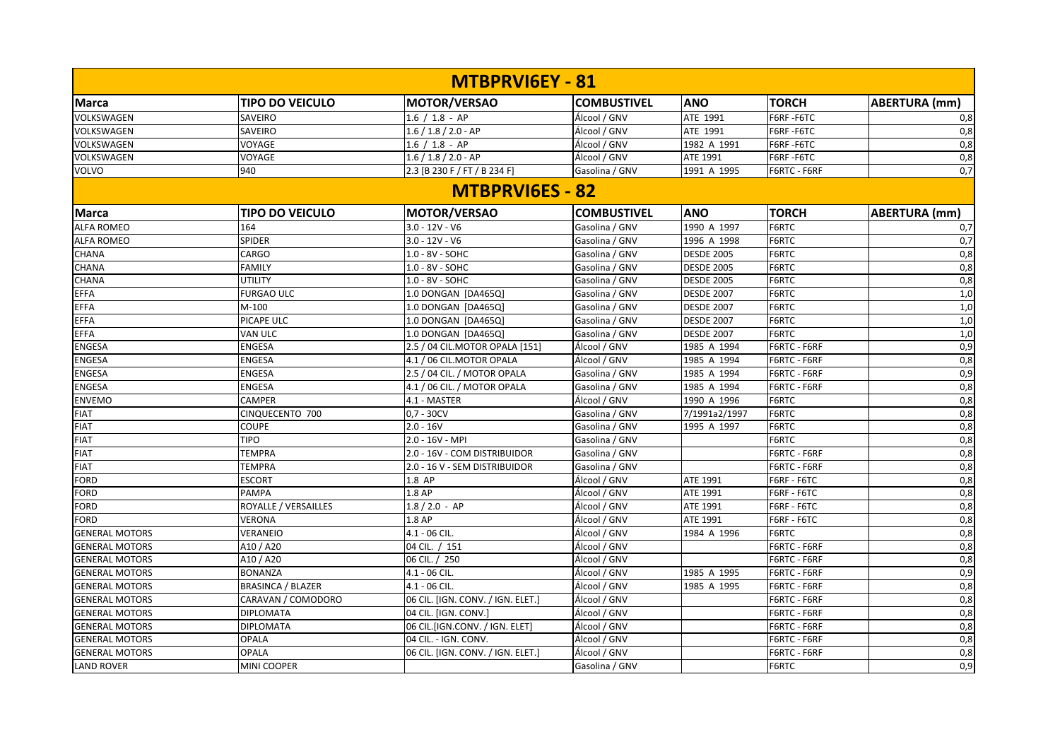|                       |                          | MTBPRVI6EY - 81                   |                    |                   |              |                      |
|-----------------------|--------------------------|-----------------------------------|--------------------|-------------------|--------------|----------------------|
| <b>Marca</b>          | <b>TIPO DO VEICULO</b>   | <b>MOTOR/VERSAO</b>               | <b>COMBUSTIVEL</b> | <b>ANO</b>        | <b>TORCH</b> | <b>ABERTURA</b> (mm) |
| VOLKSWAGEN            | SAVEIRO                  | $1.6 / 1.8 - AP$                  | Álcool / GNV       | ATE 1991          | F6RF-F6TC    | 0,8                  |
| VOLKSWAGEN            | SAVEIRO                  | $1.6 / 1.8 / 2.0 - AP$            | Álcool / GNV       | ATE 1991          | F6RF-F6TC    | 0,8                  |
| VOLKSWAGEN            | VOYAGE                   | $1.6 / 1.8 - AP$                  | Álcool / GNV       | 1982 A 1991       | F6RF-F6TC    | 0,8                  |
| VOLKSWAGEN            | VOYAGE                   | $1.6 / 1.8 / 2.0 - AP$            | Álcool / GNV       | ATE 1991          | F6RF-F6TC    | 0,8                  |
| VOLVO                 | 940                      | 2.3 [B 230 F / FT / B 234 F]      | Gasolina / GNV     | 1991 A 1995       | F6RTC - F6RF | 0,7                  |
|                       |                          | <b>MTBPRVI6ES - 82</b>            |                    |                   |              |                      |
| Marca                 | <b>TIPO DO VEICULO</b>   | MOTOR/VERSAO                      | <b>COMBUSTIVEL</b> | <b>ANO</b>        | <b>TORCH</b> | <b>ABERTURA</b> (mm) |
| <b>ALFA ROMEO</b>     | 164                      | $3.0 - 12V - V6$                  | Gasolina / GNV     | 1990 A 1997       | F6RTC        | 0,7                  |
| <b>ALFA ROMEO</b>     | <b>SPIDER</b>            | $3.0 - 12V - V6$                  | Gasolina / GNV     | 1996 A 1998       | F6RTC        | 0,7                  |
| <b>CHANA</b>          | CARGO                    | 1.0 - 8V - SOHC                   | Gasolina / GNV     | <b>DESDE 2005</b> | F6RTC        | 0,8                  |
| <b>CHANA</b>          | <b>FAMILY</b>            | 1.0 - 8V - SOHC                   | Gasolina / GNV     | <b>DESDE 2005</b> | F6RTC        | 0,8                  |
| CHANA                 | <b>UTILITY</b>           | 1.0 - 8V - SOHC                   | Gasolina / GNV     | <b>DESDE 2005</b> | F6RTC        | 0,8                  |
| <b>EFFA</b>           | <b>FURGAO ULC</b>        | 1.0 DONGAN [DA465Q]               | Gasolina / GNV     | <b>DESDE 2007</b> | F6RTC        | 1,0                  |
| <b>EFFA</b>           | $M-100$                  | 1.0 DONGAN [DA465Q]               | Gasolina / GNV     | <b>DESDE 2007</b> | F6RTC        | 1,0                  |
| <b>EFFA</b>           | PICAPE ULC               | 1.0 DONGAN [DA465Q]               | Gasolina / GNV     | <b>DESDE 2007</b> | F6RTC        | 1,0                  |
| <b>EFFA</b>           | VAN ULC                  | 1.0 DONGAN [DA465Q]               | Gasolina / GNV     | <b>DESDE 2007</b> | F6RTC        | 1,0                  |
| <b>ENGESA</b>         | <b>ENGESA</b>            | 2.5 / 04 CIL.MOTOR OPALA [151]    | Álcool / GNV       | 1985 A 1994       | F6RTC - F6RF | 0,9                  |
| <b>ENGESA</b>         | <b>ENGESA</b>            | 4.1 / 06 CIL.MOTOR OPALA          | Álcool / GNV       | 1985 A 1994       | F6RTC - F6RF | 0,8                  |
| <b>ENGESA</b>         | <b>ENGESA</b>            | 2.5 / 04 CIL. / MOTOR OPALA       | Gasolina / GNV     | 1985 A 1994       | F6RTC - F6RF | 0,9                  |
| <b>ENGESA</b>         | ENGESA                   | 4.1 / 06 CIL. / MOTOR OPALA       | Gasolina / GNV     | 1985 A 1994       | F6RTC - F6RF | 0,8                  |
| <b>ENVEMO</b>         | <b>CAMPER</b>            | 4.1 - MASTER                      | Álcool / GNV       | 1990 A 1996       | F6RTC        | 0,8                  |
| <b>FIAT</b>           | CINQUECENTO 700          | $0,7 - 30CV$                      | Gasolina / GNV     | 7/1991a2/1997     | F6RTC        | 0,8                  |
| <b>FIAT</b>           | COUPE                    | $2.0 - 16V$                       | Gasolina / GNV     | 1995 A 1997       | F6RTC        | 0,8                  |
| <b>FIAT</b>           | <b>TIPO</b>              | 2.0 - 16V - MPI                   | Gasolina / GNV     |                   | F6RTC        | 0,8                  |
| <b>FIAT</b>           | <b>TEMPRA</b>            | 2.0 - 16V - COM DISTRIBUIDOR      | Gasolina / GNV     |                   | F6RTC - F6RF | 0,8                  |
| <b>FIAT</b>           | <b>TEMPRA</b>            | 2.0 - 16 V - SEM DISTRIBUIDOR     | Gasolina / GNV     |                   | F6RTC - F6RF | 0,8                  |
| <b>FORD</b>           | <b>ESCORT</b>            | 1.8 AP                            | Álcool / GNV       | ATE 1991          | F6RF - F6TC  | 0,8                  |
| <b>FORD</b>           | <b>PAMPA</b>             | 1.8 AP                            | Álcool / GNV       | ATE 1991          | F6RF - F6TC  | 0,8                  |
| <b>FORD</b>           | ROYALLE / VERSAILLES     | $1.8 / 2.0 - AP$                  | Álcool / GNV       | ATE 1991          | F6RF - F6TC  | 0,8                  |
| <b>FORD</b>           | <b>VERONA</b>            | 1.8 AP                            | Álcool / GNV       | ATE 1991          | F6RF - F6TC  | 0,8                  |
| <b>GENERAL MOTORS</b> | <b>VERANEIO</b>          | $4.1 - 06$ CIL.                   | Álcool / GNV       | 1984 A 1996       | F6RTC        | 0,8                  |
| <b>GENERAL MOTORS</b> | A10 / A20                | 04 CIL. / 151                     | Álcool / GNV       |                   | F6RTC - F6RF | 0,8                  |
| <b>GENERAL MOTORS</b> | A10 / A20                | 06 CIL. / 250                     | Álcool / GNV       |                   | F6RTC - F6RF | 0,8                  |
| <b>GENERAL MOTORS</b> | <b>BONANZA</b>           | 4.1 - 06 CIL.                     | Álcool / GNV       | 1985 A 1995       | F6RTC - F6RF | 0,9                  |
| <b>GENERAL MOTORS</b> | <b>BRASINCA / BLAZER</b> | 4.1 - 06 CIL.                     | Álcool / GNV       | 1985 A 1995       | F6RTC - F6RF | 0,8                  |
| <b>GENERAL MOTORS</b> | CARAVAN / COMODORO       | 06 CIL. [IGN. CONV. / IGN. ELET.] | Álcool / GNV       |                   | F6RTC - F6RF | 0,8                  |
| <b>GENERAL MOTORS</b> | <b>DIPLOMATA</b>         | 04 CIL. [IGN. CONV.]              | Álcool / GNV       |                   | F6RTC - F6RF | 0,8                  |
| <b>GENERAL MOTORS</b> | <b>DIPLOMATA</b>         | 06 CIL.[IGN.CONV. / IGN. ELET]    | Álcool / GNV       |                   | F6RTC - F6RF | 0,8                  |
| <b>GENERAL MOTORS</b> | <b>OPALA</b>             | 04 CIL. - IGN. CONV.              | Álcool / GNV       |                   | F6RTC - F6RF | 0,8                  |
| <b>GENERAL MOTORS</b> | <b>OPALA</b>             | 06 CIL. [IGN. CONV. / IGN. ELET.] | Álcool / GNV       |                   | F6RTC - F6RF | 0,8                  |
| <b>LAND ROVER</b>     | <b>MINI COOPER</b>       |                                   | Gasolina / GNV     |                   | F6RTC        | 0,9                  |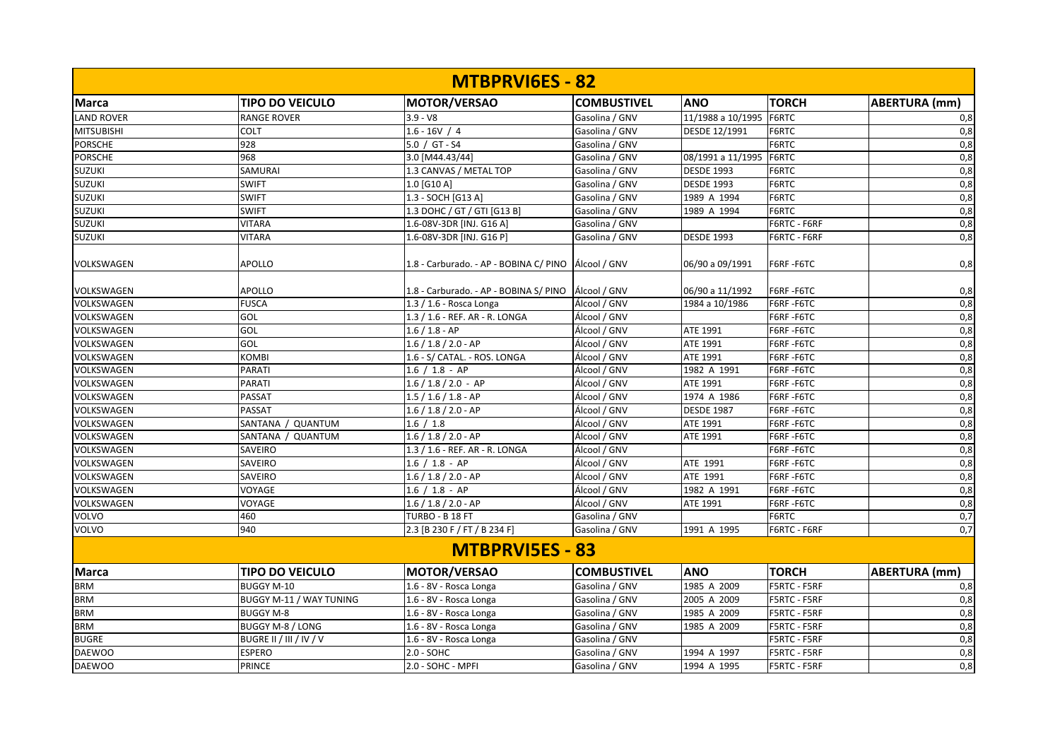|                   |                         | <b>MTBPRVIGES - 82</b>                                |                    |                   |                     |                      |
|-------------------|-------------------------|-------------------------------------------------------|--------------------|-------------------|---------------------|----------------------|
| <b>Marca</b>      | <b>TIPO DO VEICULO</b>  | <b>MOTOR/VERSAO</b>                                   | <b>COMBUSTIVEL</b> | <b>ANO</b>        | <b>TORCH</b>        | <b>ABERTURA (mm)</b> |
| <b>LAND ROVER</b> | <b>RANGE ROVER</b>      | $3.9 - V8$                                            | Gasolina / GNV     | 11/1988 a 10/1995 | F6RTC               | 0,8                  |
| <b>MITSUBISHI</b> | <b>COLT</b>             | $1.6 - 16V / 4$                                       | Gasolina / GNV     | DESDE 12/1991     | F6RTC               | 0,8                  |
| <b>PORSCHE</b>    | 928                     | $5.0 / GT - S4$                                       | Gasolina / GNV     |                   | F6RTC               | 0,8                  |
| <b>PORSCHE</b>    | 968                     | 3.0 [M44.43/44]                                       | Gasolina / GNV     | 08/1991 a 11/1995 | F6RTC               | 0,8                  |
| <b>SUZUKI</b>     | SAMURAI                 | 1.3 CANVAS / METAL TOP                                | Gasolina / GNV     | <b>DESDE 1993</b> | F6RTC               | 0,8                  |
| <b>SUZUKI</b>     | <b>SWIFT</b>            | 1.0 [G10 A]                                           | Gasolina / GNV     | <b>DESDE 1993</b> | F6RTC               | 0,8                  |
| <b>SUZUKI</b>     | <b>SWIFT</b>            | 1.3 - SOCH [G13 A]                                    | Gasolina / GNV     | 1989 A 1994       | F6RTC               | 0,8                  |
| <b>SUZUKI</b>     | <b>SWIFT</b>            | 1.3 DOHC / GT / GTI [G13 B]                           | Gasolina / GNV     | 1989 A 1994       | F6RTC               | 0,8                  |
| <b>SUZUKI</b>     | <b>VITARA</b>           | 1.6-08V-3DR [INJ. G16 A]                              | Gasolina / GNV     |                   | F6RTC - F6RF        | 0,8                  |
| <b>SUZUKI</b>     | <b>VITARA</b>           | 1.6-08V-3DR [INJ. G16 P]                              | Gasolina / GNV     | <b>DESDE 1993</b> | F6RTC - F6RF        | 0,8                  |
| VOLKSWAGEN        | <b>APOLLO</b>           | 1.8 - Carburado. - AP - BOBINA C/ PINO   Álcool / GNV |                    | 06/90 a 09/1991   | F6RF-F6TC           | 0,8                  |
| VOLKSWAGEN        | <b>APOLLO</b>           | 1.8 - Carburado. - AP - BOBINA S/ PINO   Álcool / GNV |                    | 06/90 a 11/1992   | F6RF-F6TC           | 0,8                  |
| VOLKSWAGEN        | <b>FUSCA</b>            | 1.3 / 1.6 - Rosca Longa                               | Álcool / GNV       | 1984 a 10/1986    | F6RF-F6TC           | 0,8                  |
| VOLKSWAGEN        | GOL                     | 1.3 / 1.6 - REF. AR - R. LONGA                        | Álcool / GNV       |                   | F6RF-F6TC           | 0,8                  |
| <b>VOLKSWAGEN</b> | GOL                     | $1.6 / 1.8 - AP$                                      | Álcool / GNV       | ATE 1991          | F6RF-F6TC           | 0,8                  |
| VOLKSWAGEN        | GOL                     | $1.6 / 1.8 / 2.0 - AP$                                | Álcool / GNV       | ATE 1991          | F6RF-F6TC           | 0,8                  |
| VOLKSWAGEN        | <b>KOMBI</b>            | 1.6 - S/ CATAL. - ROS. LONGA                          | Álcool / GNV       | ATE 1991          | F6RF-F6TC           | 0,8                  |
| VOLKSWAGEN        | <b>PARATI</b>           | $1.6 / 1.8 - AP$                                      | Álcool / GNV       | 1982 A 1991       | F6RF-F6TC           | 0,8                  |
| VOLKSWAGEN        | <b>PARATI</b>           | $1.6 / 1.8 / 2.0 - AP$                                | Álcool / GNV       | ATE 1991          | F6RF-F6TC           | 0,8                  |
| VOLKSWAGEN        | <b>PASSAT</b>           | $1.5 / 1.6 / 1.8 - AP$                                | Álcool / GNV       | 1974 A 1986       | F6RF-F6TC           | 0,8                  |
| VOLKSWAGEN        | PASSAT                  | $1.6 / 1.8 / 2.0 - AP$                                | Álcool / GNV       | <b>DESDE 1987</b> | F6RF-F6TC           | 0,8                  |
| VOLKSWAGEN        | SANTANA / QUANTUM       | 1.6 / 1.8                                             | Álcool / GNV       | ATE 1991          | F6RF-F6TC           | 0,8                  |
| <b>VOLKSWAGEN</b> | SANTANA / QUANTUM       | $1.6 / 1.8 / 2.0 - AP$                                | Álcool / GNV       | ATE 1991          | F6RF-F6TC           | 0,8                  |
| VOLKSWAGEN        | <b>SAVEIRO</b>          | 1.3 / 1.6 - REF. AR - R. LONGA                        | Álcool / GNV       |                   | F6RF-F6TC           | 0,8                  |
| <b>VOLKSWAGEN</b> | <b>SAVEIRO</b>          | $1.6 / 1.8 - AP$                                      | Álcool / GNV       | ATE 1991          | F6RF-F6TC           | 0,8                  |
| VOLKSWAGEN        | <b>SAVEIRO</b>          | $1.6 / 1.8 / 2.0 - AP$                                | Álcool / GNV       | ATE 1991          | F6RF-F6TC           | 0,8                  |
| VOLKSWAGEN        | VOYAGE                  | $1.6 / 1.8 - AP$                                      | Álcool / GNV       | 1982 A 1991       | F6RF-F6TC           | 0,8                  |
| VOLKSWAGEN        | VOYAGE                  | $1.6 / 1.8 / 2.0 - AP$                                | Álcool / GNV       | ATE 1991          | F6RF-F6TC           | 0,8                  |
| <b>VOLVO</b>      | 460                     | TURBO - B 18 FT                                       | Gasolina / GNV     |                   | F6RTC               | 0,7                  |
| <b>VOLVO</b>      | 940                     | 2.3 [B 230 F / FT / B 234 F]                          | Gasolina / GNV     | 1991 A 1995       | F6RTC - F6RF        | 0,7                  |
|                   |                         | <b>MTBPRVI5ES - 83</b>                                |                    |                   |                     |                      |
| <b>Marca</b>      | <b>TIPO DO VEICULO</b>  | <b>MOTOR/VERSAO</b>                                   | <b>COMBUSTIVEL</b> | <b>ANO</b>        | <b>TORCH</b>        | <b>ABERTURA</b> (mm) |
| <b>BRM</b>        | <b>BUGGY M-10</b>       | 1.6 - 8V - Rosca Longa                                | Gasolina / GNV     | 1985 A 2009       | F5RTC - F5RF        | 0,8                  |
| <b>BRM</b>        | BUGGY M-11 / WAY TUNING | 1.6 - 8V - Rosca Longa                                | Gasolina / GNV     | 2005 A 2009       | <b>F5RTC - F5RF</b> | 0,8                  |
| <b>BRM</b>        | <b>BUGGY M-8</b>        | 1.6 - 8V - Rosca Longa                                | Gasolina / GNV     | 1985 A 2009       | F5RTC - F5RF        | 0,8                  |
| <b>BRM</b>        | BUGGY M-8 / LONG        | 1.6 - 8V - Rosca Longa                                | Gasolina / GNV     | 1985 A 2009       | F5RTC - F5RF        | 0,8                  |
| <b>BUGRE</b>      | BUGRE II / III / IV / V | 1.6 - 8V - Rosca Longa                                | Gasolina / GNV     |                   | F5RTC - F5RF        | 0,8                  |
| <b>DAEWOO</b>     | <b>ESPERO</b>           | $2.0 - SOHC$                                          | Gasolina / GNV     | 1994 A 1997       | <b>F5RTC - F5RF</b> | 0,8                  |
| <b>DAEWOO</b>     | <b>PRINCE</b>           | 2.0 - SOHC - MPFI                                     | Gasolina / GNV     | 1994 A 1995       | <b>F5RTC - F5RF</b> | 0,8                  |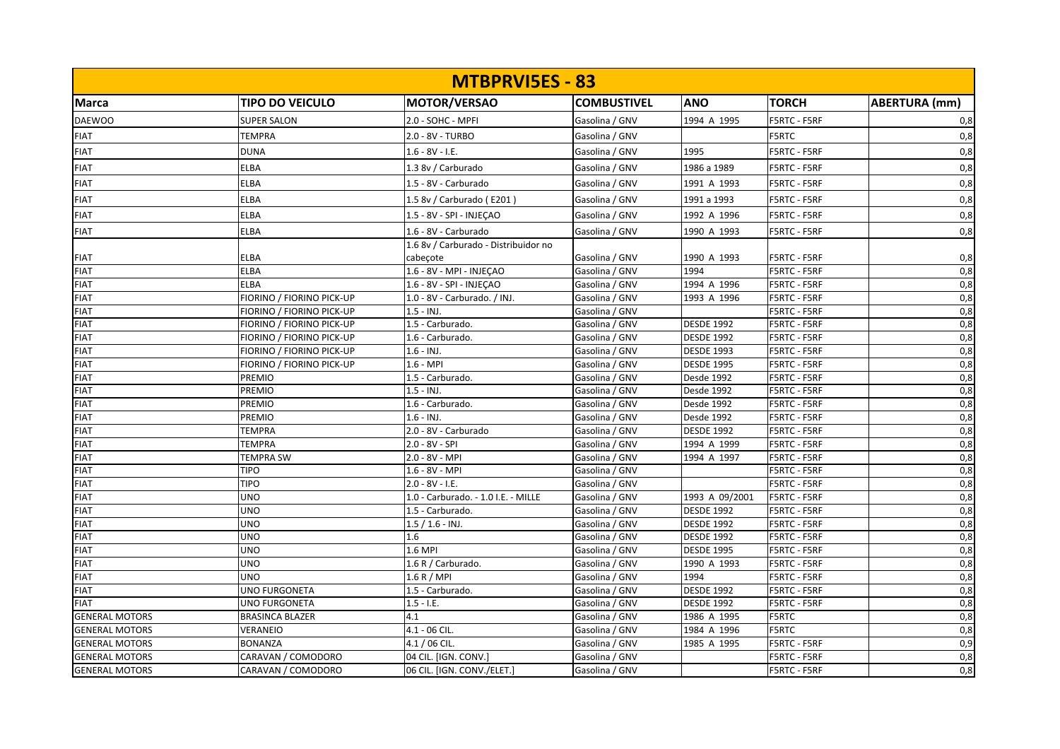|                       |                           | <b>MTBPRVISES - 83</b>               |                    |                   |              |                      |
|-----------------------|---------------------------|--------------------------------------|--------------------|-------------------|--------------|----------------------|
| Marca                 | <b>TIPO DO VEICULO</b>    | MOTOR/VERSAO                         | <b>COMBUSTIVEL</b> | <b>ANO</b>        | <b>TORCH</b> | <b>ABERTURA</b> (mm) |
| <b>DAEWOO</b>         | <b>SUPER SALON</b>        | 2.0 - SOHC - MPFI                    | Gasolina / GNV     | 1994 A 1995       | F5RTC - F5RF | 0,8                  |
| <b>FIAT</b>           | <b>TEMPRA</b>             | 2.0 - 8V - TURBO                     | Gasolina / GNV     |                   | F5RTC        | 0,8                  |
| <b>FIAT</b>           | <b>DUNA</b>               | $1.6 - 8V - I.E.$                    | Gasolina / GNV     | 1995              | F5RTC - F5RF | 0,8                  |
| <b>FIAT</b>           | <b>ELBA</b>               | 1.3 8v / Carburado                   | Gasolina / GNV     | 1986 a 1989       | F5RTC - F5RF | 0,8                  |
|                       |                           |                                      |                    |                   |              |                      |
| <b>FIAT</b>           | <b>ELBA</b>               | 1.5 - 8V - Carburado                 | Gasolina / GNV     | 1991 A 1993       | F5RTC - F5RF | 0,8                  |
| <b>FIAT</b>           | ELBA                      | 1.5 8v / Carburado (E201)            | Gasolina / GNV     | 1991 a 1993       | F5RTC - F5RF | 0,8                  |
| <b>FIAT</b>           | <b>ELBA</b>               | 1.5 - 8V - SPI - INJEÇAO             | Gasolina / GNV     | 1992 A 1996       | F5RTC - F5RF | 0,8                  |
| <b>FIAT</b>           | ELBA                      | 1.6 - 8V - Carburado                 | Gasolina / GNV     | 1990 A 1993       | F5RTC - F5RF | 0,8                  |
|                       |                           | 1.6 8v / Carburado - Distribuidor no |                    |                   |              |                      |
| <b>FIAT</b>           | ELBA                      | cabeçote                             | Gasolina / GNV     | 1990 A 1993       | F5RTC - F5RF | 0,8                  |
| <b>FIAT</b>           | <b>ELBA</b>               | 1.6 - 8V - MPI - INJEÇAO             | Gasolina / GNV     | 1994              | F5RTC - F5RF | 0,8                  |
| <b>FIAT</b>           | <b>ELBA</b>               | 1.6 - 8V - SPI - INJECAO             | Gasolina / GNV     | 1994 A 1996       | F5RTC - F5RF | 0,8                  |
| <b>FIAT</b>           | FIORINO / FIORINO PICK-UP | 1.0 - 8V - Carburado. / INJ.         | Gasolina / GNV     | 1993 A 1996       | F5RTC - F5RF | 0,8                  |
| <b>FIAT</b>           | FIORINO / FIORINO PICK-UP | $1.5 - INJ.$                         | Gasolina / GNV     |                   | F5RTC - F5RF | 0,8                  |
| <b>FIAT</b>           | FIORINO / FIORINO PICK-UP | 1.5 - Carburado.                     | Gasolina / GNV     | <b>DESDE 1992</b> | F5RTC - F5RF | 0,8                  |
| <b>FIAT</b>           | FIORINO / FIORINO PICK-UP | 1.6 - Carburado.                     | Gasolina / GNV     | <b>DESDE 1992</b> | F5RTC - F5RF | 0,8                  |
| <b>FIAT</b>           | FIORINO / FIORINO PICK-UP | $1.6 - INJ.$                         | Gasolina / GNV     | <b>DESDE 1993</b> | F5RTC - F5RF | 0,8                  |
| <b>FIAT</b>           | FIORINO / FIORINO PICK-UP | $1.6 - MPI$                          | Gasolina / GNV     | <b>DESDE 1995</b> | F5RTC - F5RF | 0,8                  |
| <b>FIAT</b>           | PREMIO                    | 1.5 - Carburado.                     | Gasolina / GNV     | Desde 1992        | F5RTC - F5RF | 0,8                  |
| <b>FIAT</b>           | PREMIO                    | $1.5 - INJ.$                         | Gasolina / GNV     | Desde 1992        | F5RTC - F5RF | 0,8                  |
| <b>FIAT</b>           | PREMIO                    | 1.6 - Carburado.                     | Gasolina / GNV     | Desde 1992        | F5RTC - F5RF | 0,8                  |
| <b>FIAT</b>           | PREMIO                    | $1.6 - INJ.$                         | Gasolina / GNV     | Desde 1992        | F5RTC - F5RF | 0,8                  |
| <b>FIAT</b>           | <b>TEMPRA</b>             | 2.0 - 8V - Carburado                 | Gasolina / GNV     | <b>DESDE 1992</b> | F5RTC - F5RF | 0,8                  |
| <b>FIAT</b>           | <b>TEMPRA</b>             | 2.0 - 8V - SPI                       | Gasolina / GNV     | 1994 A 1999       | F5RTC - F5RF | 0,8                  |
| <b>FIAT</b>           | <b>TEMPRA SW</b>          | 2.0 - 8V - MPI                       | Gasolina / GNV     | 1994 A 1997       | F5RTC - F5RF | 0,8                  |
| <b>FIAT</b>           | <b>TIPO</b>               | 1.6 - 8V - MPI                       | Gasolina / GNV     |                   | F5RTC - F5RF | 0,8                  |
| <b>FIAT</b>           | <b>TIPO</b>               | $2.0 - 8V - I.E.$                    | Gasolina / GNV     |                   | F5RTC - F5RF | 0,8                  |
| <b>FIAT</b>           | <b>UNO</b>                | 1.0 - Carburado. - 1.0 I.E. - MILLE  | Gasolina / GNV     | 1993 A 09/2001    | F5RTC - F5RF | 0,8                  |
| <b>FIAT</b>           | <b>UNO</b>                | 1.5 - Carburado.                     | Gasolina / GNV     | <b>DESDE 1992</b> | F5RTC - F5RF | 0,8                  |
| <b>FIAT</b>           | UNO                       | $1.5 / 1.6 - INJ.$                   | Gasolina / GNV     | <b>DESDE 1992</b> | F5RTC - F5RF | 0,8                  |
| <b>FIAT</b>           | <b>UNO</b>                | 1.6                                  | Gasolina / GNV     | <b>DESDE 1992</b> | F5RTC - F5RF | 0,8                  |
| <b>FIAT</b>           | <b>UNO</b>                | 1.6 MPI                              | Gasolina / GNV     | <b>DESDE 1995</b> | F5RTC - F5RF | 0,8                  |
| <b>FIAT</b>           | <b>UNO</b>                | 1.6 R / Carburado.                   | Gasolina / GNV     | 1990 A 1993       | F5RTC - F5RF | 0,8                  |
| <b>FIAT</b>           | UNO                       | 1.6 R / MPI                          | Gasolina / GNV     | 1994              | F5RTC - F5RF | 0,8                  |
| <b>FIAT</b>           | UNO FURGONETA             | 1.5 - Carburado.                     | Gasolina / GNV     | <b>DESDE 1992</b> | F5RTC - F5RF | 0,8                  |
| <b>FIAT</b>           | <b>UNO FURGONETA</b>      | $1.5 - I.E.$                         | Gasolina / GNV     | <b>DESDE 1992</b> | F5RTC - F5RF | 0,8                  |
| <b>GENERAL MOTORS</b> | <b>BRASINCA BLAZER</b>    | 4.1                                  | Gasolina / GNV     | 1986 A 1995       | <b>F5RTC</b> | 0,8                  |
| <b>GENERAL MOTORS</b> | VERANEIO                  | 4.1 - 06 CIL.                        | Gasolina / GNV     | 1984 A 1996       | <b>F5RTC</b> | 0,8                  |
| <b>GENERAL MOTORS</b> | <b>BONANZA</b>            | 4.1 / 06 CIL.                        | Gasolina / GNV     | 1985 A 1995       | F5RTC - F5RF | 0,9                  |
| <b>GENERAL MOTORS</b> | CARAVAN / COMODORO        | 04 CIL. [IGN. CONV.]                 | Gasolina / GNV     |                   | F5RTC - F5RF | 0,8                  |
| <b>GENERAL MOTORS</b> | CARAVAN / COMODORO        | 06 CIL. [IGN. CONV./ELET.]           | Gasolina / GNV     |                   | F5RTC - F5RF | 0,8                  |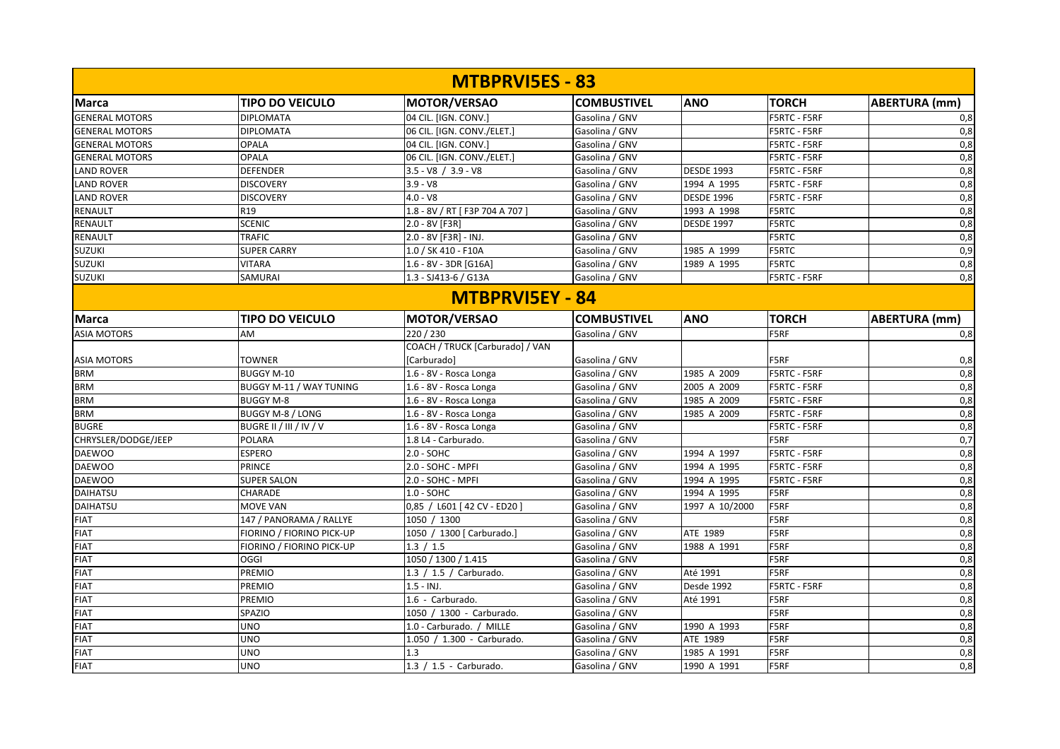|                        |                                  | <b>MTBPRVISES - 83</b>          |                    |                   |                     |                      |  |
|------------------------|----------------------------------|---------------------------------|--------------------|-------------------|---------------------|----------------------|--|
| Marca                  | <b>TIPO DO VEICULO</b>           | <b>MOTOR/VERSAO</b>             | <b>COMBUSTIVEL</b> | <b>ANO</b>        | <b>TORCH</b>        | <b>ABERTURA (mm)</b> |  |
| <b>GENERAL MOTORS</b>  | <b>DIPLOMATA</b>                 | 04 CIL. [IGN. CONV.]            | Gasolina / GNV     |                   | F5RTC - F5RF        | 0,8                  |  |
| <b>GENERAL MOTORS</b>  | <b>DIPLOMATA</b>                 | 06 CIL. [IGN. CONV./ELET.]      | Gasolina / GNV     |                   | F5RTC - F5RF        | 0,8                  |  |
| <b>GENERAL MOTORS</b>  | <b>OPALA</b>                     | 04 CIL. [IGN. CONV.]            | Gasolina / GNV     |                   | F5RTC - F5RF        | 0,8                  |  |
| <b>GENERAL MOTORS</b>  | <b>OPALA</b>                     | 06 CIL. [IGN. CONV./ELET.]      | Gasolina / GNV     |                   | F5RTC - F5RF        | 0,8                  |  |
| <b>LAND ROVER</b>      | <b>DEFENDER</b>                  | $3.5 - V8$ / $3.9 - V8$         | Gasolina / GNV     | <b>DESDE 1993</b> | F5RTC - F5RF        | 0,8                  |  |
| <b>LAND ROVER</b>      | <b>DISCOVERY</b>                 | $3.9 - V8$                      | Gasolina / GNV     | 1994 A 1995       | F5RTC - F5RF        | 0,8                  |  |
| <b>LAND ROVER</b>      | <b>DISCOVERY</b>                 | $4.0 - V8$                      | Gasolina / GNV     | <b>DESDE 1996</b> | F5RTC - F5RF        | 0,8                  |  |
| RENAULT                | R <sub>19</sub>                  | 1.8 - 8V / RT [ F3P 704 A 707 ] | Gasolina / GNV     | 1993 A 1998       | <b>F5RTC</b>        | 0,8                  |  |
| <b>RENAULT</b>         | <b>SCENIC</b>                    | 2.0 - 8V [F3R]                  | Gasolina / GNV     | <b>DESDE 1997</b> | <b>F5RTC</b>        | 0,8                  |  |
| RENAULT                | <b>TRAFIC</b>                    | 2.0 - 8V [F3R] - INJ.           | Gasolina / GNV     |                   | <b>F5RTC</b>        | 0,8                  |  |
| <b>SUZUKI</b>          | <b>SUPER CARRY</b>               | 1.0 / SK 410 - F10A             | Gasolina / GNV     | 1985 A 1999       | <b>F5RTC</b>        | 0,9                  |  |
| <b>SUZUKI</b>          | <b>VITARA</b>                    | 1.6 - 8V - 3DR [G16A]           | Gasolina / GNV     | 1989 A 1995       | <b>F5RTC</b>        | 0,8                  |  |
| <b>SUZUKI</b>          | <b>SAMURAI</b>                   | 1.3 - SJ413-6 / G13A            | Gasolina / GNV     |                   | <b>F5RTC - F5RF</b> | 0,8                  |  |
| <b>MTBPRVISEY - 84</b> |                                  |                                 |                    |                   |                     |                      |  |
| <b>IMarca</b>          | <b>TIPO DO VEICULO</b>           | <b>MOTOR/VERSAO</b>             | <b>COMBUSTIVEL</b> | <b>ANO</b>        | <b>TORCH</b>        | <b>ABERTURA (mm)</b> |  |
| <b>ASIA MOTORS</b>     | AM                               | 220 / 230                       | Gasolina / GNV     |                   | F5RF                | 0,8                  |  |
|                        |                                  | COACH / TRUCK [Carburado] / VAN |                    |                   |                     |                      |  |
| <b>ASIA MOTORS</b>     | <b>TOWNER</b>                    | [Carburado]                     | Gasolina / GNV     |                   | F5RF                | 0,8                  |  |
| <b>BRM</b>             | <b>BUGGY M-10</b>                | 1.6 - 8V - Rosca Longa          | Gasolina / GNV     | 1985 A 2009       | F5RTC - F5RF        | 0,8                  |  |
| <b>BRM</b>             | BUGGY M-11 / WAY TUNING          | 1.6 - 8V - Rosca Longa          | Gasolina / GNV     | 2005 A 2009       | <b>F5RTC - F5RF</b> | 0,8                  |  |
| <b>BRM</b>             | <b>BUGGY M-8</b>                 | 1.6 - 8V - Rosca Longa          | Gasolina / GNV     | 1985 A 2009       | F5RTC - F5RF        | 0,8                  |  |
| <b>BRM</b>             | <b>BUGGY M-8 / LONG</b>          | 1.6 - 8V - Rosca Longa          | Gasolina / GNV     | 1985 A 2009       | F5RTC - F5RF        | 0,8                  |  |
| <b>BUGRE</b>           | BUGRE II / III / IV / V          | 1.6 - 8V - Rosca Longa          | Gasolina / GNV     |                   | F5RTC - F5RF        | 0,8                  |  |
| CHRYSLER/DODGE/JEEP    | POLARA                           | 1.8 L4 - Carburado.             | Gasolina / GNV     |                   | F5RF                | 0,7                  |  |
| <b>DAEWOO</b>          | <b>ESPERO</b>                    | $2.0 - SOHC$                    | Gasolina / GNV     | 1994 A 1997       | F5RTC - F5RF        | 0,8                  |  |
| <b>DAEWOO</b>          | PRINCE                           | 2.0 - SOHC - MPFI               | Gasolina / GNV     | 1994 A 1995       | F5RTC - F5RF        | 0,8                  |  |
| <b>DAEWOO</b>          | <b>SUPER SALON</b>               | 2.0 - SOHC - MPFI               | Gasolina / GNV     | 1994 A 1995       | F5RTC - F5RF        | 0,8                  |  |
| <b>DAIHATSU</b>        | <b>CHARADE</b>                   | $1.0 - SOHC$                    | Gasolina / GNV     | 1994 A 1995       | F5RF                | 0,8                  |  |
| DAIHATSU               | <b>MOVE VAN</b>                  | 0,85 / L601   42 CV - ED20      | Gasolina / GNV     | 1997 A 10/2000    | F5RF                | 0,8                  |  |
| <b>FIAT</b>            | 147 / PANORAMA / RALLYE          | 1050 / 1300                     | Gasolina / GNV     |                   | F5RF                | 0,8                  |  |
| <b>FIAT</b>            | FIORINO / FIORINO PICK-UP        | 1050 / 1300 [ Carburado.]       | Gasolina / GNV     | ATE 1989          | F5RF                | 0,8                  |  |
| <b>FIAT</b>            | <b>FIORINO / FIORINO PICK-UP</b> | 1.3 / 1.5                       | Gasolina / GNV     | 1988 A 1991       | F5RF                | 0,8                  |  |
| <b>FIAT</b>            | OGGI                             | 1050 / 1300 / 1.415             | Gasolina / GNV     |                   | F5RF                | 0,8                  |  |
| <b>FIAT</b>            | <b>PREMIO</b>                    | 1.3 / 1.5 / Carburado.          | Gasolina / GNV     | Até 1991          | F5RF                | 0,8                  |  |
| <b>FIAT</b>            | PREMIO                           | $1.5 - INJ.$                    | Gasolina / GNV     | Desde 1992        | F5RTC - F5RF        | 0,8                  |  |
| <b>FIAT</b>            | <b>PREMIO</b>                    | 1.6 - Carburado.                | Gasolina / GNV     | Até 1991          | F5RF                | 0,8                  |  |
| <b>FIAT</b>            | SPAZIO                           | 1050 / 1300 - Carburado.        | Gasolina / GNV     |                   | F5RF                | 0,8                  |  |
| <b>FIAT</b>            | <b>UNO</b>                       | 1.0 - Carburado. / MILLE        | Gasolina / GNV     | 1990 A 1993       | F5RF                | 0,8                  |  |
| <b>FIAT</b>            | <b>UNO</b>                       | 1.050 / 1.300 - Carburado.      | Gasolina / GNV     | ATE 1989          | F5RF                | 0,8                  |  |
| <b>FIAT</b>            | <b>UNO</b>                       | 1.3                             | Gasolina / GNV     | 1985 A 1991       | F5RF                | 0,8                  |  |
| <b>FIAT</b>            | <b>UNO</b>                       | 1.3 / 1.5 - Carburado.          | Gasolina / GNV     | 1990 A 1991       | F5RF                | 0,8                  |  |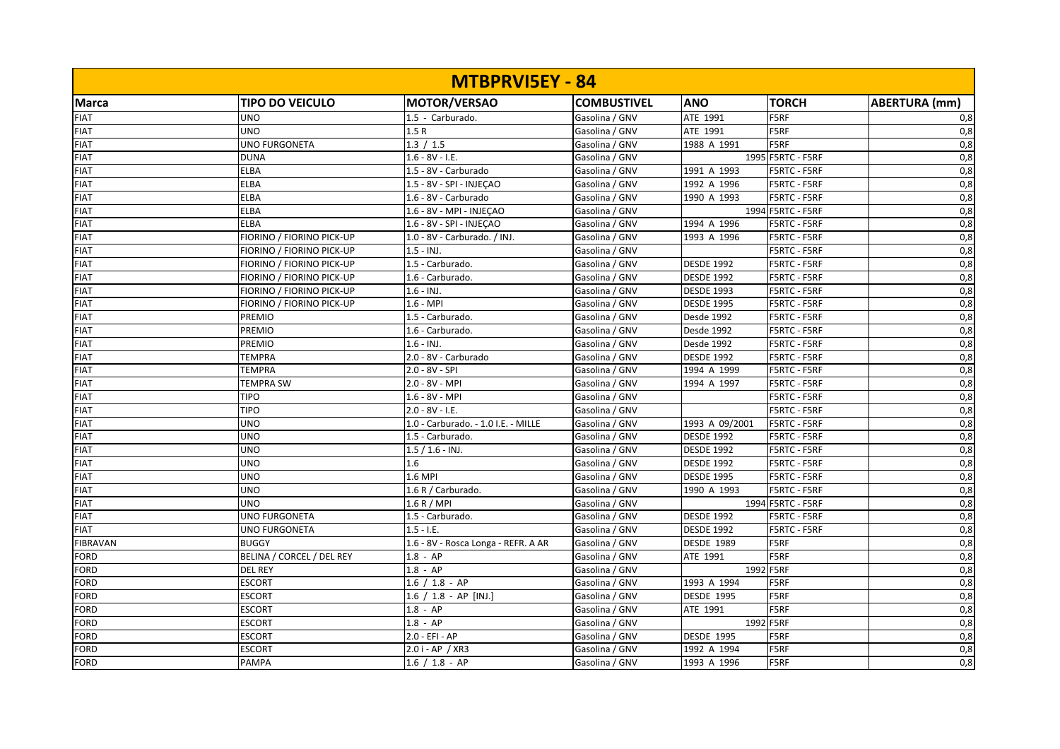|                 |                           | <b>MTBPRVISEY - 84</b>              |                    |                   |                     |                      |
|-----------------|---------------------------|-------------------------------------|--------------------|-------------------|---------------------|----------------------|
| <b>Marca</b>    | <b>TIPO DO VEICULO</b>    | <b>MOTOR/VERSAO</b>                 | <b>COMBUSTIVEL</b> | <b>ANO</b>        | <b>TORCH</b>        | <b>ABERTURA (mm)</b> |
| <b>FIAT</b>     | <b>UNO</b>                | 1.5 - Carburado.                    | Gasolina / GNV     | ATE 1991          | F5RF                | 0,8                  |
| <b>FIAT</b>     | <b>UNO</b>                | 1.5R                                | Gasolina / GNV     | ATE 1991          | F5RF                | 0,8                  |
| <b>FIAT</b>     | <b>UNO FURGONETA</b>      | 1.3 / 1.5                           | Gasolina / GNV     | 1988 A 1991       | F5RF                | 0,8                  |
| <b>FIAT</b>     | <b>DUNA</b>               | $1.6 - 8V - I.E.$                   | Gasolina / GNV     |                   | 1995 F5RTC - F5RF   | 0,8                  |
| <b>FIAT</b>     | <b>ELBA</b>               | 1.5 - 8V - Carburado                | Gasolina / GNV     | 1991 A 1993       | F5RTC - F5RF        | 0,8                  |
| <b>FIAT</b>     | <b>ELBA</b>               | 1.5 - 8V - SPI - INJECAO            | Gasolina / GNV     | 1992 A 1996       | F5RTC - F5RF        | 0,8                  |
| <b>FIAT</b>     | <b>ELBA</b>               | 1.6 - 8V - Carburado                | Gasolina / GNV     | 1990 A 1993       | F5RTC - F5RF        | 0,8                  |
| <b>FIAT</b>     | <b>ELBA</b>               | 1.6 - 8V - MPI - INJEÇAO            | Gasolina / GNV     |                   | 1994 F5RTC - F5RF   | 0,8                  |
| <b>FIAT</b>     | <b>ELBA</b>               | 1.6 - 8V - SPI - INJEÇAO            | Gasolina / GNV     | 1994 A 1996       | <b>F5RTC - F5RF</b> | 0,8                  |
| <b>FIAT</b>     | FIORINO / FIORINO PICK-UP | 1.0 - 8V - Carburado. / INJ.        | Gasolina / GNV     | 1993 A 1996       | F5RTC - F5RF        | 0,8                  |
| <b>FIAT</b>     | FIORINO / FIORINO PICK-UP | $1.5 - INJ.$                        | Gasolina / GNV     |                   | F5RTC - F5RF        | 0,8                  |
| <b>FIAT</b>     | FIORINO / FIORINO PICK-UP | 1.5 - Carburado.                    | Gasolina / GNV     | <b>DESDE 1992</b> | F5RTC - F5RF        | 0,8                  |
| <b>FIAT</b>     | FIORINO / FIORINO PICK-UP | 1.6 - Carburado.                    | Gasolina / GNV     | <b>DESDE 1992</b> | F5RTC - F5RF        | 0,8                  |
| <b>FIAT</b>     | FIORINO / FIORINO PICK-UP | $1.6 - INJ.$                        | Gasolina / GNV     | <b>DESDE 1993</b> | F5RTC - F5RF        | $\overline{0,8}$     |
| <b>FIAT</b>     | FIORINO / FIORINO PICK-UP | $1.6 - MPI$                         | Gasolina / GNV     | <b>DESDE 1995</b> | <b>F5RTC - F5RF</b> | 0,8                  |
| <b>FIAT</b>     | PREMIO                    | 1.5 - Carburado.                    | Gasolina / GNV     | Desde 1992        | F5RTC - F5RF        | 0,8                  |
| <b>FIAT</b>     | PREMIO                    | 1.6 - Carburado.                    | Gasolina / GNV     | Desde 1992        | F5RTC - F5RF        | 0,8                  |
| <b>FIAT</b>     | PREMIO                    | $1.6 - INJ.$                        | Gasolina / GNV     | Desde 1992        | F5RTC - F5RF        | 0,8                  |
| <b>FIAT</b>     | <b>TEMPRA</b>             | 2.0 - 8V - Carburado                | Gasolina / GNV     | <b>DESDE 1992</b> | F5RTC - F5RF        | 0,8                  |
| <b>FIAT</b>     | <b>TEMPRA</b>             | $2.0 - 8V - SPI$                    | Gasolina / GNV     | 1994 A 1999       | F5RTC - F5RF        | 0,8                  |
| <b>FIAT</b>     | <b>TEMPRA SW</b>          | 2.0 - 8V - MPI                      | Gasolina / GNV     | 1994 A 1997       | F5RTC - F5RF        | 0,8                  |
| <b>FIAT</b>     | <b>TIPO</b>               | 1.6 - 8V - MPI                      | Gasolina / GNV     |                   | F5RTC - F5RF        | 0,8                  |
| <b>FIAT</b>     | <b>TIPO</b>               | $2.0 - 8V - I.E.$                   | Gasolina / GNV     |                   | F5RTC - F5RF        | 0,8                  |
| <b>FIAT</b>     | <b>UNO</b>                | 1.0 - Carburado. - 1.0 I.E. - MILLE | Gasolina / GNV     | 1993 A 09/2001    | F5RTC - F5RF        | 0,8                  |
| <b>FIAT</b>     | <b>UNO</b>                | 1.5 - Carburado.                    | Gasolina / GNV     | <b>DESDE 1992</b> | F5RTC - F5RF        | 0,8                  |
| <b>FIAT</b>     | <b>UNO</b>                | $1.5 / 1.6 - INJ.$                  | Gasolina / GNV     | <b>DESDE 1992</b> | <b>F5RTC - F5RF</b> | 0,8                  |
| <b>FIAT</b>     | <b>UNO</b>                | 1.6                                 | Gasolina / GNV     | <b>DESDE 1992</b> | F5RTC - F5RF        | 0,8                  |
| <b>FIAT</b>     | <b>UNO</b>                | 1.6 MPI                             | Gasolina / GNV     | <b>DESDE 1995</b> | F5RTC - F5RF        | 0,8                  |
| <b>FIAT</b>     | <b>UNO</b>                | 1.6 R / Carburado.                  | Gasolina / GNV     | 1990 A 1993       | F5RTC - F5RF        | 0,8                  |
| <b>FIAT</b>     | <b>UNO</b>                | 1.6 R / MPI                         | Gasolina / GNV     |                   | 1994 F5RTC - F5RF   | 0,8                  |
| <b>FIAT</b>     | <b>UNO FURGONETA</b>      | 1.5 - Carburado.                    | Gasolina / GNV     | <b>DESDE 1992</b> | F5RTC - F5RF        | 0,8                  |
| <b>FIAT</b>     | UNO FURGONETA             | $1.5 - I.E.$                        | Gasolina / GNV     | <b>DESDE 1992</b> | F5RTC - F5RF        | 0,8                  |
| <b>FIBRAVAN</b> | <b>BUGGY</b>              | 1.6 - 8V - Rosca Longa - REFR. A AR | Gasolina / GNV     | <b>DESDE 1989</b> | F5RF                | 0,8                  |
| <b>FORD</b>     | BELINA / CORCEL / DEL REY | $1.8 - AP$                          | Gasolina / GNV     | ATE 1991          | F5RF                | 0,8                  |
| <b>FORD</b>     | <b>DEL REY</b>            | $1.8 - AP$                          | Gasolina / GNV     | 1992 F5RF         |                     | 0,8                  |
| <b>FORD</b>     | <b>ESCORT</b>             | $1.6 / 1.8 - AP$                    | Gasolina / GNV     | 1993 A 1994       | F5RF                | 0,8                  |
| <b>FORD</b>     | <b>ESCORT</b>             | 1.6 / 1.8 - AP [INJ.]               | Gasolina / GNV     | <b>DESDE 1995</b> | F5RF                | 0,8                  |
| <b>FORD</b>     | <b>ESCORT</b>             | $1.8 - AP$                          | Gasolina / GNV     | ATE 1991          | F5RF                | 0,8                  |
| <b>FORD</b>     | <b>ESCORT</b>             | $1.8 - AP$                          | Gasolina / GNV     | 1992 F5RF         |                     | 0,8                  |
| FORD            | <b>ESCORT</b>             | $2.0 - EFI - AP$                    | Gasolina / GNV     | <b>DESDE 1995</b> | F5RF                | 0,8                  |
| <b>FORD</b>     | <b>ESCORT</b>             | 2.0 i - AP / XR3                    | Gasolina / GNV     | 1992 A 1994       | F5RF                | 0,8                  |
| <b>FORD</b>     | <b>PAMPA</b>              | $1.6 / 1.8 - AP$                    | Gasolina / GNV     | 1993 A 1996       | F5RF                | 0,8                  |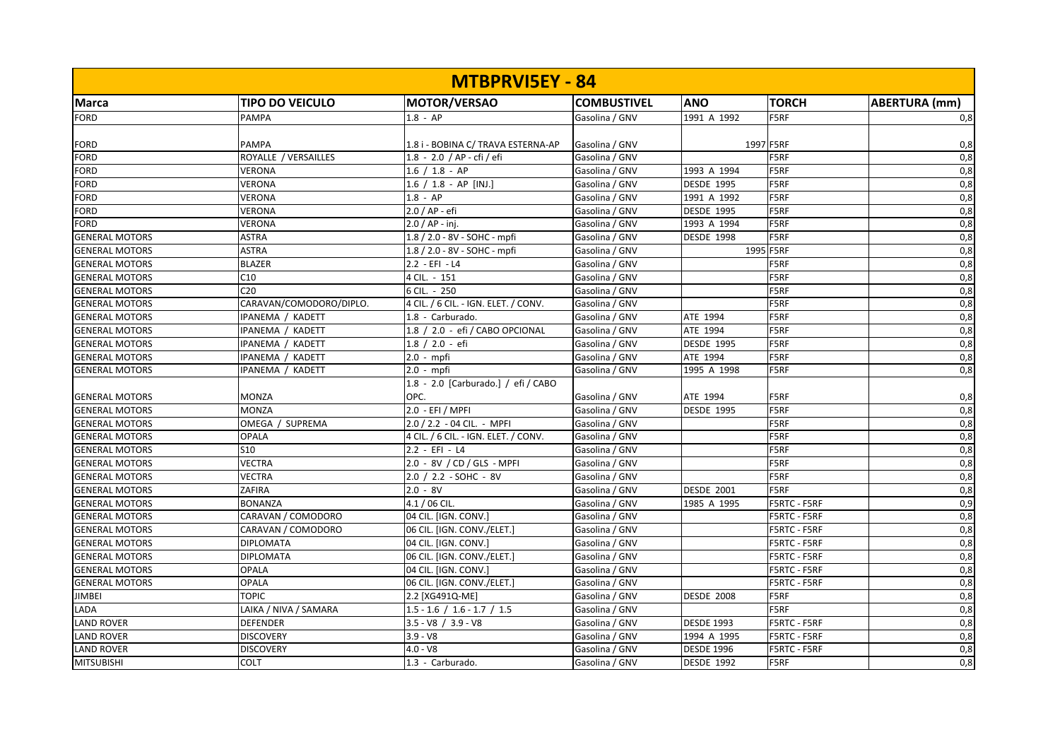| <b>MTBPRVISEY - 84</b> |                         |                                      |                    |                   |                     |                      |  |  |
|------------------------|-------------------------|--------------------------------------|--------------------|-------------------|---------------------|----------------------|--|--|
| Marca                  | <b>TIPO DO VEICULO</b>  | MOTOR/VERSAO                         | <b>COMBUSTIVEL</b> | <b>ANO</b>        | <b>TORCH</b>        | <b>ABERTURA</b> (mm) |  |  |
| <b>FORD</b>            | <b>PAMPA</b>            | $1.8 - AP$                           | Gasolina / GNV     | 1991 A 1992       | <b>F5RF</b>         | 0,8                  |  |  |
|                        |                         |                                      |                    |                   |                     |                      |  |  |
| <b>FORD</b>            | <b>PAMPA</b>            | 1.8 i - BOBINA C/ TRAVA ESTERNA-AP   | Gasolina / GNV     | 1997 F5RF         |                     | 0,8                  |  |  |
| FORD                   | ROYALLE / VERSAILLES    | 1.8 - 2.0 / AP - cfi / efi           | Gasolina / GNV     |                   | F5RF                | 0,8                  |  |  |
| <b>FORD</b>            | <b>VERONA</b>           | $1.6 / 1.8 - AP$                     | Gasolina / GNV     | 1993 A 1994       | F5RF                | $\overline{0,8}$     |  |  |
| <b>FORD</b>            | <b>VERONA</b>           | 1.6 / 1.8 - AP [INJ.]                | Gasolina / GNV     | <b>DESDE 1995</b> | F5RF                | 0,8                  |  |  |
| <b>FORD</b>            | <b>VERONA</b>           | $1.8 - AP$                           | Gasolina / GNV     | 1991 A 1992       | F5RF                | 0,8                  |  |  |
| <b>FORD</b>            | <b>VERONA</b>           | $2.0 / AP - efi$                     | Gasolina / GNV     | <b>DESDE 1995</b> | F5RF                | 0,8                  |  |  |
| <b>FORD</b>            | <b>VERONA</b>           | 2.0 / AP - inj.                      | Gasolina / GNV     | 1993 A 1994       | F5RF                | 0,8                  |  |  |
| <b>GENERAL MOTORS</b>  | <b>ASTRA</b>            | 1.8 / 2.0 - 8V - SOHC - mpfi         | Gasolina / GNV     | <b>DESDE 1998</b> | F5RF                | 0,8                  |  |  |
| <b>GENERAL MOTORS</b>  | <b>ASTRA</b>            | 1.8 / 2.0 - 8V - SOHC - mpfi         | Gasolina / GNV     | 1995 F5RF         |                     | 0,8                  |  |  |
| <b>GENERAL MOTORS</b>  | <b>BLAZER</b>           | $2.2 - EFI - L4$                     | Gasolina / GNV     |                   | F5RF                | 0,8                  |  |  |
| <b>GENERAL MOTORS</b>  | C10                     | 4 CIL. - 151                         | Gasolina / GNV     |                   | F5RF                | 0,8                  |  |  |
| <b>GENERAL MOTORS</b>  | C <sub>20</sub>         | 6 CIL. - 250                         | Gasolina / GNV     |                   | F5RF                | 0,8                  |  |  |
| <b>GENERAL MOTORS</b>  | CARAVAN/COMODORO/DIPLO. | 4 CIL. / 6 CIL. - IGN. ELET. / CONV. | Gasolina / GNV     |                   | F5RF                | 0,8                  |  |  |
| <b>GENERAL MOTORS</b>  | IPANEMA / KADETT        | 1.8 - Carburado.                     | Gasolina / GNV     | ATE 1994          | F5RF                | 0,8                  |  |  |
| <b>GENERAL MOTORS</b>  | IPANEMA / KADETT        | 1.8 / 2.0 - efi / CABO OPCIONAL      | Gasolina / GNV     | ATE 1994          | F5RF                | 0,8                  |  |  |
| <b>GENERAL MOTORS</b>  | IPANEMA / KADETT        | 1.8 / 2.0 - efi                      | Gasolina / GNV     | <b>DESDE 1995</b> | F5RF                | 0,8                  |  |  |
| <b>GENERAL MOTORS</b>  | IPANEMA / KADETT        | $2.0 - mpfi$                         | Gasolina / GNV     | ATE 1994          | F5RF                | 0,8                  |  |  |
| <b>GENERAL MOTORS</b>  | IPANEMA / KADETT        | $2.0 - m$ pfi                        | Gasolina / GNV     | 1995 A 1998       | F5RF                | 0,8                  |  |  |
|                        |                         | 1.8 - 2.0 [Carburado.] / efi / CABO  |                    |                   |                     |                      |  |  |
| <b>GENERAL MOTORS</b>  | <b>MONZA</b>            | OPC.                                 | Gasolina / GNV     | ATE 1994          | F5RF                | 0,8                  |  |  |
| <b>GENERAL MOTORS</b>  | <b>MONZA</b>            | 2.0 - EFI / MPFI                     | Gasolina / GNV     | <b>DESDE 1995</b> | F5RF                | 0,8                  |  |  |
| <b>GENERAL MOTORS</b>  | OMEGA / SUPREMA         | 2.0 / 2.2 - 04 CIL. - MPFI           | Gasolina / GNV     |                   | F5RF                | 0,8                  |  |  |
| <b>GENERAL MOTORS</b>  | <b>OPALA</b>            | 4 CIL. / 6 CIL. - IGN. ELET. / CONV. | Gasolina / GNV     |                   | F5RF                | 0,8                  |  |  |
| <b>GENERAL MOTORS</b>  | <b>S10</b>              | $2.2 - EF - L4$                      | Gasolina / GNV     |                   | F5RF                | 0,8                  |  |  |
| <b>GENERAL MOTORS</b>  | <b>VECTRA</b>           | 2.0 - 8V / CD / GLS - MPFI           | Gasolina / GNV     |                   | F5RF                | 0,8                  |  |  |
| <b>GENERAL MOTORS</b>  | <b>VECTRA</b>           | 2.0 / 2.2 - SOHC - 8V                | Gasolina / GNV     |                   | F5RF                | 0,8                  |  |  |
| <b>GENERAL MOTORS</b>  | ZAFIRA                  | $2.0 - 8V$                           | Gasolina / GNV     | <b>DESDE 2001</b> | F5RF                | 0,8                  |  |  |
| <b>GENERAL MOTORS</b>  | <b>BONANZA</b>          | 4.1 / 06 CIL.                        | Gasolina / GNV     | 1985 A 1995       | <b>F5RTC - F5RF</b> | 0,9                  |  |  |
| <b>GENERAL MOTORS</b>  | CARAVAN / COMODORO      | 04 CIL. [IGN. CONV.]                 | Gasolina / GNV     |                   | <b>F5RTC - F5RF</b> | 0,8                  |  |  |
| <b>GENERAL MOTORS</b>  | CARAVAN / COMODORO      | 06 CIL. [IGN. CONV./ELET.]           | Gasolina / GNV     |                   | <b>F5RTC - F5RF</b> | 0,8                  |  |  |
| <b>GENERAL MOTORS</b>  | <b>DIPLOMATA</b>        | 04 CIL. [IGN. CONV.]                 | Gasolina / GNV     |                   | F5RTC - F5RF        | 0,8                  |  |  |
| <b>GENERAL MOTORS</b>  | <b>DIPLOMATA</b>        | 06 CIL. [IGN. CONV./ELET.]           | Gasolina / GNV     |                   | F5RTC - F5RF        | 0,8                  |  |  |
| <b>GENERAL MOTORS</b>  | <b>OPALA</b>            | 04 CIL. [IGN. CONV.]                 | Gasolina / GNV     |                   | F5RTC - F5RF        | 0,8                  |  |  |
| <b>GENERAL MOTORS</b>  | <b>OPALA</b>            | 06 CIL. [IGN. CONV./ELET.]           | Gasolina / GNV     |                   | F5RTC - F5RF        | 0,8                  |  |  |
| <b>JIMBEI</b>          | <b>TOPIC</b>            | 2.2 [XG491Q-ME]                      | Gasolina / GNV     | <b>DESDE 2008</b> | F5RF                | 0,8                  |  |  |
| LADA                   | LAIKA / NIVA / SAMARA   | $1.5 - 1.6$ / $1.6 - 1.7$ / $1.5$    | Gasolina / GNV     |                   | F5RF                | 0,8                  |  |  |
| <b>LAND ROVER</b>      | <b>DEFENDER</b>         | 3.5 - V8 / 3.9 - V8                  | Gasolina / GNV     | <b>DESDE 1993</b> | F5RTC - F5RF        | 0,8                  |  |  |
| <b>LAND ROVER</b>      | <b>DISCOVERY</b>        | $3.9 - V8$                           | Gasolina / GNV     | 1994 A 1995       | <b>F5RTC - F5RF</b> | 0,8                  |  |  |
| <b>LAND ROVER</b>      | <b>DISCOVERY</b>        | $4.0 - V8$                           | Gasolina / GNV     | <b>DESDE 1996</b> | F5RTC - F5RF        | 0,8                  |  |  |
| <b>MITSUBISHI</b>      | COLT                    | 1.3 - Carburado.                     | Gasolina / GNV     | <b>DESDE 1992</b> | F5RF                | 0,8                  |  |  |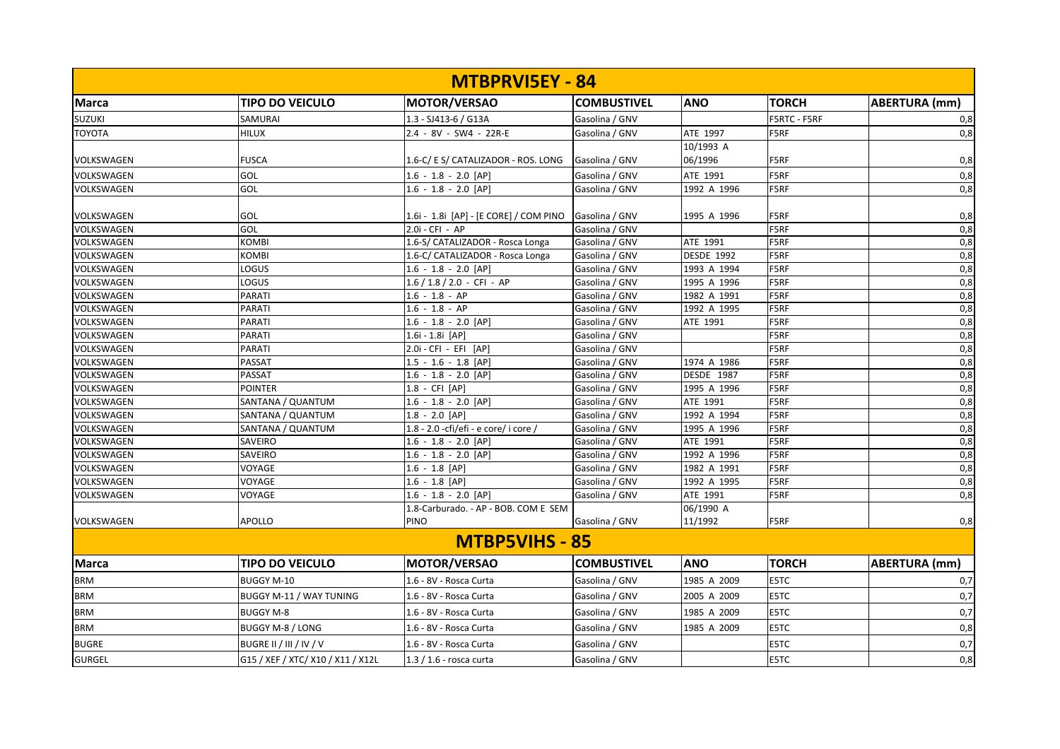|                   |                                   | <b>MTBPRVISEY - 84</b>                 |                    |                   |              |                      |
|-------------------|-----------------------------------|----------------------------------------|--------------------|-------------------|--------------|----------------------|
| <b>Marca</b>      | <b>TIPO DO VEICULO</b>            | MOTOR/VERSAO                           | <b>COMBUSTIVEL</b> | <b>ANO</b>        | <b>TORCH</b> | <b>ABERTURA</b> (mm) |
| <b>SUZUKI</b>     | <b>SAMURAI</b>                    | 1.3 - SJ413-6 / G13A                   | Gasolina / GNV     |                   | F5RTC - F5RF | 0,8                  |
| TOYOTA            | <b>HILUX</b>                      | 2.4 - 8V - SW4 - 22R-E                 | Gasolina / GNV     | ATE 1997          | F5RF         | 0,8                  |
|                   |                                   |                                        |                    | 10/1993 A         |              |                      |
| VOLKSWAGEN        | <b>FUSCA</b>                      | 1.6-C/ E S/ CATALIZADOR - ROS. LONG    | Gasolina / GNV     | 06/1996           | F5RF         | 0,8                  |
| VOLKSWAGEN        | GOL                               | $1.6 - 1.8 - 2.0$ [AP]                 | Gasolina / GNV     | ATE 1991          | F5RF         | 0,8                  |
| VOLKSWAGEN        | GOL                               | $1.6 - 1.8 - 2.0$ [AP]                 | Gasolina / GNV     | 1992 A 1996       | F5RF         | 0,8                  |
|                   |                                   |                                        |                    |                   |              |                      |
| VOLKSWAGEN        | GOL                               | 1.6i - 1.8i [AP] - [E CORE] / COM PINO | Gasolina / GNV     | 1995 A 1996       | F5RF         | 0,8                  |
| VOLKSWAGEN        | GOL                               | 2.0i - CFI - AP                        | Gasolina / GNV     |                   | F5RF         | 0,8                  |
| VOLKSWAGEN        | <b>KOMBI</b>                      | 1.6-S/ CATALIZADOR - Rosca Longa       | Gasolina / GNV     | ATE 1991          | F5RF         | 0,8                  |
| VOLKSWAGEN        | <b>KOMBI</b>                      | 1.6-C/ CATALIZADOR - Rosca Longa       | Gasolina / GNV     | <b>DESDE 1992</b> | F5RF         | 0,8                  |
| <b>VOLKSWAGEN</b> | LOGUS                             | $1.6 - 1.8 - 2.0$ [AP]                 | Gasolina / GNV     | 1993 A 1994       | F5RF         | 0,8                  |
| VOLKSWAGEN        | LOGUS                             | $1.6 / 1.8 / 2.0 - CFI - AP$           | Gasolina / GNV     | 1995 A 1996       | F5RF         | 0,8                  |
| VOLKSWAGEN        | <b>PARATI</b>                     | $1.6 - 1.8 - AP$                       | Gasolina / GNV     | 1982 A 1991       | F5RF         | 0,8                  |
| VOLKSWAGEN        | <b>PARATI</b>                     | $1.6 - 1.8 - AP$                       | Gasolina / GNV     | 1992 A 1995       | F5RF         | 0,8                  |
| VOLKSWAGEN        | <b>PARATI</b>                     | $1.6 - 1.8 - 2.0$ [AP]                 | Gasolina / GNV     | ATE 1991          | F5RF         | 0,8                  |
| VOLKSWAGEN        | <b>PARATI</b>                     | 1.6i - 1.8i [AP]                       | Gasolina / GNV     |                   | F5RF         | 0,8                  |
| VOLKSWAGEN        | <b>PARATI</b>                     | 2.0i - CFI - EFI [AP]                  | Gasolina / GNV     |                   | F5RF         | 0,8                  |
| VOLKSWAGEN        | <b>PASSAT</b>                     | $1.5 - 1.6 - 1.8$ [AP]                 | Gasolina / GNV     | 1974 A 1986       | F5RF         | 0,8                  |
| <b>VOLKSWAGEN</b> | <b>PASSAT</b>                     | $1.6 - 1.8 - 2.0$ [AP]                 | Gasolina / GNV     | <b>DESDE 1987</b> | F5RF         | 0,8                  |
| VOLKSWAGEN        | <b>POINTER</b>                    | 1.8 - CFI [AP]                         | Gasolina / GNV     | 1995 A 1996       | F5RF         | 0,8                  |
| VOLKSWAGEN        | SANTANA / QUANTUM                 | $1.6 - 1.8 - 2.0$ [AP]                 | Gasolina / GNV     | ATE 1991          | F5RF         | 0,8                  |
| VOLKSWAGEN        | SANTANA / QUANTUM                 | $1.8 - 2.0$ [AP]                       | Gasolina / GNV     | 1992 A 1994       | F5RF         | 0,8                  |
| VOLKSWAGEN        | SANTANA / QUANTUM                 | 1.8 - 2.0 -cfi/efi - e core/ i core /  | Gasolina / GNV     | 1995 A 1996       | F5RF         | 0,8                  |
| VOLKSWAGEN        | <b>SAVEIRO</b>                    | $1.6 - 1.8 - 2.0$ [AP]                 | Gasolina / GNV     | ATE 1991          | F5RF         | 0,8                  |
| <b>VOLKSWAGEN</b> | SAVEIRO                           | $1.6 - 1.8 - 2.0$ [AP]                 | Gasolina / GNV     | 1992 A 1996       | F5RF         | 0,8                  |
| VOLKSWAGEN        | VOYAGE                            | $1.6 - 1.8$ [AP]                       | Gasolina / GNV     | 1982 A 1991       | F5RF         | 0,8                  |
| VOLKSWAGEN        | VOYAGE                            | $1.6 - 1.8$ [AP]                       | Gasolina / GNV     | 1992 A 1995       | F5RF         | 0,8                  |
| VOLKSWAGEN        | VOYAGE                            | $1.6 - 1.8 - 2.0$ [AP]                 | Gasolina / GNV     | ATE 1991          | F5RF         | 0,8                  |
|                   |                                   | 1.8-Carburado. - AP - BOB. COM E SEM   |                    | 06/1990 A         |              |                      |
| <b>VOLKSWAGEN</b> | <b>APOLLO</b>                     | <b>PINO</b>                            | Gasolina / GNV     | 11/1992           | F5RF         | 0,8                  |
|                   |                                   | <b>MTBP5VIHS - 85</b>                  |                    |                   |              |                      |
| <b>Marca</b>      | <b>TIPO DO VEICULO</b>            | <b>MOTOR/VERSAO</b>                    | <b>COMBUSTIVEL</b> | <b>ANO</b>        | <b>TORCH</b> | <b>ABERTURA</b> (mm) |
| <b>BRM</b>        | <b>BUGGY M-10</b>                 | 1.6 - 8V - Rosca Curta                 | Gasolina / GNV     | 1985 A 2009       | E5TC         | 0,7                  |
| <b>BRM</b>        | <b>BUGGY M-11 / WAY TUNING</b>    | 1.6 - 8V - Rosca Curta                 | Gasolina / GNV     | 2005 A 2009       | E5TC         | 0,7                  |
| <b>BRM</b>        | <b>BUGGY M-8</b>                  | 1.6 - 8V - Rosca Curta                 | Gasolina / GNV     | 1985 A 2009       | E5TC         | 0,7                  |
| <b>BRM</b>        | BUGGY M-8 / LONG                  | 1.6 - 8V - Rosca Curta                 | Gasolina / GNV     | 1985 A 2009       | E5TC         | 0,8                  |
| <b>BUGRE</b>      | BUGRE II / III / IV / V           | 1.6 - 8V - Rosca Curta                 | Gasolina / GNV     |                   | E5TC         | 0,7                  |
| <b>GURGEL</b>     | G15 / XEF / XTC/ X10 / X11 / X12L | 1.3 / 1.6 - rosca curta                | Gasolina / GNV     |                   | E5TC         | 0,8                  |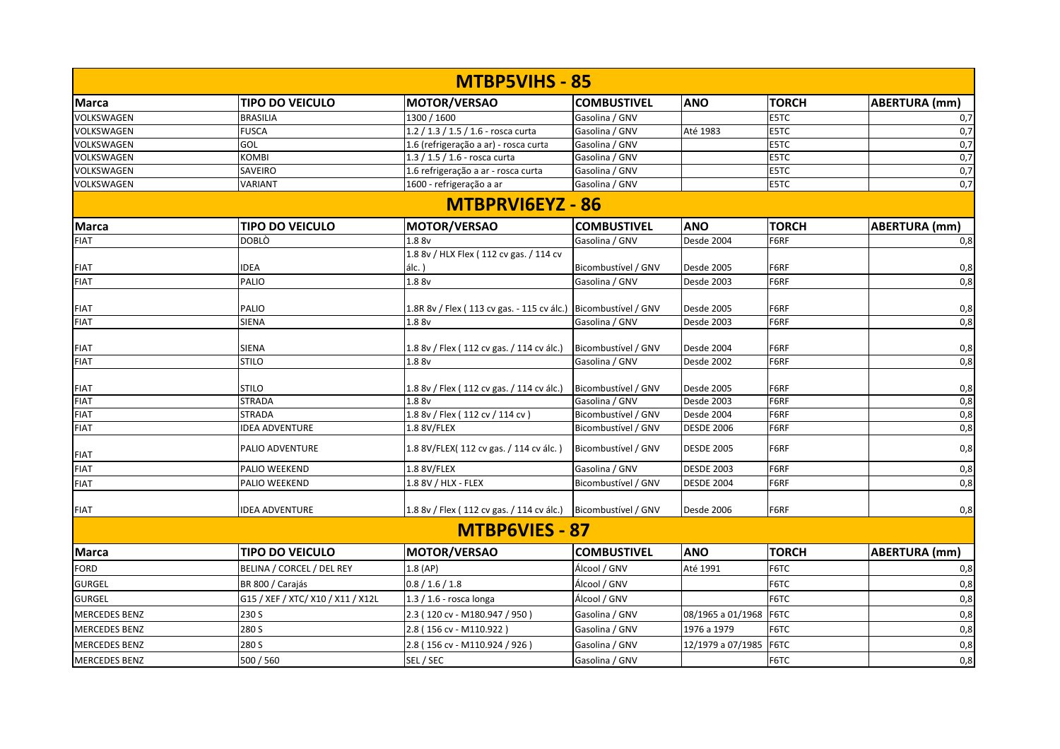|                      |                                   | <b>MTBP5VIHS - 85</b>                                          |                     |                   |              |                      |
|----------------------|-----------------------------------|----------------------------------------------------------------|---------------------|-------------------|--------------|----------------------|
| <b>Marca</b>         | <b>TIPO DO VEICULO</b>            | MOTOR/VERSAO                                                   | <b>COMBUSTIVEL</b>  | <b>ANO</b>        | <b>TORCH</b> | <b>ABERTURA</b> (mm) |
| <b>VOLKSWAGEN</b>    | <b>BRASILIA</b>                   | 1300 / 1600                                                    | Gasolina / GNV      |                   | <b>E5TC</b>  | 0,7                  |
| VOLKSWAGEN           | <b>FUSCA</b>                      | 1.2 / 1.3 / 1.5 / 1.6 - rosca curta                            | Gasolina / GNV      | Até 1983          | E5TC         | 0,7                  |
| VOLKSWAGEN           | GOL                               | 1.6 (refrigeração a ar) - rosca curta                          | Gasolina / GNV      |                   | E5TC         | 0,7                  |
| VOLKSWAGEN           | KOMBI                             | 1.3 / 1.5 / 1.6 - rosca curta                                  | Gasolina / GNV      |                   | E5TC         | 0,7                  |
| VOLKSWAGEN           | SAVEIRO                           | 1.6 refrigeração a ar - rosca curta                            | Gasolina / GNV      |                   | E5TC         | 0,7                  |
| <b>VOLKSWAGEN</b>    | VARIANT                           | 1600 - refrigeração a ar                                       | Gasolina / GNV      |                   | E5TC         | 0,7                  |
|                      |                                   | MTBPRVI6EYZ - 86                                               |                     |                   |              |                      |
| <b>Marca</b>         | <b>TIPO DO VEICULO</b>            | <b>MOTOR/VERSAO</b>                                            | <b>COMBUSTIVEL</b>  | <b>ANO</b>        | <b>TORCH</b> | <b>ABERTURA (mm)</b> |
| <b>FIAT</b>          | DOBLÒ                             | 1.8 8v                                                         | Gasolina / GNV      | Desde 2004        | F6RF         | 0,8                  |
|                      |                                   | 1.8 8v / HLX Flex (112 cv gas. / 114 cv                        |                     |                   |              |                      |
| <b>FIAT</b>          | <b>IDEA</b>                       | $álc.$ )                                                       | Bicombustível / GNV | Desde 2005        | F6RF         | 0,8                  |
| <b>FIAT</b>          | PALIO                             | 1.8 8v                                                         | Gasolina / GNV      | Desde 2003        | F6RF         | 0,8                  |
|                      |                                   |                                                                |                     |                   |              |                      |
| <b>FIAT</b>          | PALIO                             | 1.8R 8v / Flex (113 cv gas. - 115 cv álc.) Bicombustível / GNV |                     | <b>Desde 2005</b> | F6RF         | 0,8                  |
| <b>FIAT</b>          | SIENA                             | 1.8 8v                                                         | Gasolina / GNV      | Desde 2003        | F6RF         | 0,8                  |
|                      |                                   |                                                                |                     |                   |              |                      |
| <b>FIAT</b>          | <b>SIENA</b>                      | 1.8 8v / Flex (112 cv gas. / 114 cv álc.)                      | Bicombustível / GNV | Desde 2004        | F6RF         | 0,8                  |
| <b>FIAT</b>          | <b>STILO</b>                      | 1.8 8v                                                         | Gasolina / GNV      | Desde 2002        | F6RF         | 0,8                  |
| <b>FIAT</b>          | <b>STILO</b>                      | 1.8 8v / Flex (112 cv gas. / 114 cv álc.)                      | Bicombustível / GNV | Desde 2005        | F6RF         | 0,8                  |
| <b>FIAT</b>          | <b>STRADA</b>                     | 1.8 8v                                                         | Gasolina / GNV      | Desde 2003        | F6RF         | 0,8                  |
| <b>FIAT</b>          | STRADA                            | 1.8 8v / Flex (112 cv / 114 cv)                                | Bicombustível / GNV | Desde 2004        | F6RF         | 0,8                  |
| <b>FIAT</b>          | <b>IDEA ADVENTURE</b>             | 1.8 8V/FLEX                                                    | Bicombustível / GNV | <b>DESDE 2006</b> | F6RF         | 0,8                  |
| <b>FIAT</b>          | PALIO ADVENTURE                   | 1.8 8V/FLEX(112 cv gas. / 114 cv álc.)                         | Bicombustível / GNV | <b>DESDE 2005</b> | F6RF         | 0,8                  |
| <b>FIAT</b>          | PALIO WEEKEND                     | 1.8 8V/FLEX                                                    | Gasolina / GNV      | <b>DESDE 2003</b> | F6RF         | 0,8                  |
| <b>FIAT</b>          | PALIO WEEKEND                     | 1.8 8V / HLX - FLEX                                            | Bicombustível / GNV | <b>DESDE 2004</b> | F6RF         | 0,8                  |
| <b>FIAT</b>          | <b>IDEA ADVENTURE</b>             | 1.8 8v / Flex (112 cv gas. / 114 cv álc.) Bicombustível / GNV  |                     | Desde 2006        | F6RF         | 0,8                  |
|                      |                                   | <b>MTBP6VIES - 87</b>                                          |                     |                   |              |                      |
| <b>Marca</b>         | <b>TIPO DO VEICULO</b>            | <b>MOTOR/VERSAO</b>                                            | <b>COMBUSTIVEL</b>  | <b>ANO</b>        | <b>TORCH</b> | <b>ABERTURA (mm)</b> |
| <b>FORD</b>          | BELINA / CORCEL / DEL REY         | $1.8$ (AP)                                                     | Álcool / GNV        | Até 1991          | F6TC         | 0,8                  |
| <b>GURGEL</b>        | BR 800 / Carajás                  | 0.8 / 1.6 / 1.8                                                | Álcool / GNV        |                   | F6TC         | 0,8                  |
| <b>GURGEL</b>        | G15 / XEF / XTC/ X10 / X11 / X12L | $1.3 / 1.6$ - rosca longa                                      | Álcool / GNV        |                   | F6TC         | 0,8                  |
| <b>MERCEDES BENZ</b> | 230 S                             | 2.3 (120 cv - M180.947 / 950)                                  | Gasolina / GNV      | 08/1965 a 01/1968 | F6TC         | 0,8                  |
| <b>MERCEDES BENZ</b> | 280 S                             | 2.8 (156 cv - M110.922)                                        | Gasolina / GNV      | 1976 a 1979       | F6TC         | 0,8                  |
| <b>MERCEDES BENZ</b> | 280 S                             | 2.8 (156 cv - M110.924 / 926)                                  | Gasolina / GNV      | 12/1979 a 07/1985 | F6TC         | 0,8                  |
| <b>MERCEDES BENZ</b> | 500 / 560                         | SEL / SEC                                                      | Gasolina / GNV      |                   | F6TC         | 0,8                  |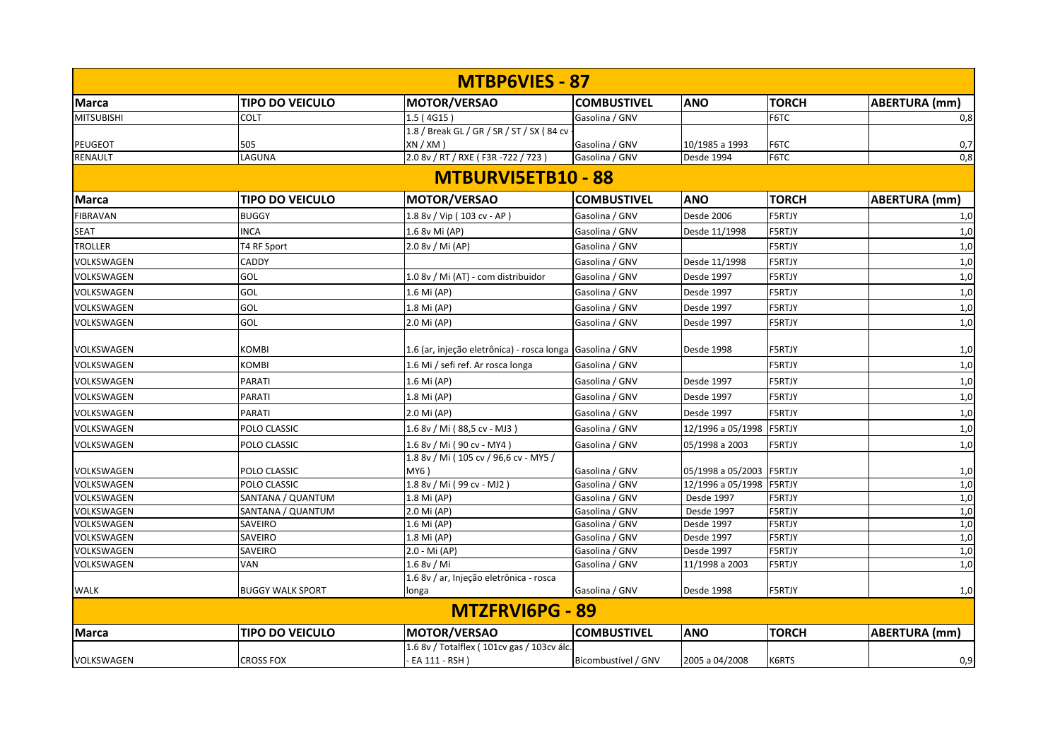|                           |                         | <b>MTBP6VIES - 87</b>                                     |                     |                          |               |                      |  |  |  |
|---------------------------|-------------------------|-----------------------------------------------------------|---------------------|--------------------------|---------------|----------------------|--|--|--|
| <b>Marca</b>              | <b>TIPO DO VEICULO</b>  | <b>MOTOR/VERSAO</b>                                       | <b>COMBUSTIVEL</b>  | <b>ANO</b>               | <b>TORCH</b>  | <b>ABERTURA (mm)</b> |  |  |  |
| <b>MITSUBISHI</b>         | <b>COLT</b>             | 1.5 (4G15)                                                | Gasolina / GNV      |                          | F6TC          | 0,8                  |  |  |  |
|                           |                         | 1.8 / Break GL / GR / SR / ST / SX (84 cv                 |                     |                          |               |                      |  |  |  |
| <b>PEUGEOT</b>            | 505                     | XN / XM )                                                 | Gasolina / GNV      | 10/1985 a 1993           | F6TC          | 0,7                  |  |  |  |
| RENAULT                   | LAGUNA                  | 2.0 8v / RT / RXE (F3R-722 / 723)                         | Gasolina / GNV      | Desde 1994               | F6TC          | 0,8                  |  |  |  |
| <b>MTBURVI5ETB10 - 88</b> |                         |                                                           |                     |                          |               |                      |  |  |  |
| <b>Marca</b>              | <b>TIPO DO VEICULO</b>  | <b>MOTOR/VERSAO</b>                                       | <b>COMBUSTIVEL</b>  | <b>ANO</b>               | <b>TORCH</b>  | <b>ABERTURA (mm)</b> |  |  |  |
| <b>FIBRAVAN</b>           | <b>BUGGY</b>            | 1.8 8v / Vip (103 cv - AP)                                | Gasolina / GNV      | Desde 2006               | <b>F5RTJY</b> | 1,0                  |  |  |  |
| <b>SEAT</b>               | <b>INCA</b>             | 1.6 8v Mi (AP)                                            | Gasolina / GNV      | Desde 11/1998            | <b>F5RTJY</b> | 1,0                  |  |  |  |
| <b>TROLLER</b>            | T4 RF Sport             | 2.0 8v / Mi (AP)                                          | Gasolina / GNV      |                          | F5RTJY        | 1,0                  |  |  |  |
| VOLKSWAGEN                | <b>CADDY</b>            |                                                           | Gasolina / GNV      | Desde 11/1998            | F5RTJY        | 1,0                  |  |  |  |
| VOLKSWAGEN                | GOL                     | 1.0 8v / Mi (AT) - com distribuidor                       | Gasolina / GNV      | Desde 1997               | <b>F5RTJY</b> | 1,0                  |  |  |  |
| VOLKSWAGEN                | <b>GOL</b>              | 1.6 Mi (AP)                                               | Gasolina / GNV      | Desde 1997               | <b>F5RTJY</b> | 1,0                  |  |  |  |
| VOLKSWAGEN                | GOL                     | 1.8 Mi (AP)                                               | Gasolina / GNV      | Desde 1997               | <b>F5RTJY</b> | 1,0                  |  |  |  |
| VOLKSWAGEN                | GOL                     | 2.0 Mi (AP)                                               | Gasolina / GNV      | Desde 1997               | F5RTJY        | 1,0                  |  |  |  |
|                           |                         |                                                           |                     |                          |               |                      |  |  |  |
| VOLKSWAGEN                | <b>KOMBI</b>            | 1.6 (ar, injeção eletrônica) - rosca longa Gasolina / GNV |                     | Desde 1998               | <b>F5RTJY</b> | 1,0                  |  |  |  |
| VOLKSWAGEN                | <b>KOMBI</b>            | 1.6 Mi / sefi ref. Ar rosca longa                         | Gasolina / GNV      |                          | F5RTJY        | 1,0                  |  |  |  |
| VOLKSWAGEN                | <b>PARATI</b>           | 1.6 Mi (AP)                                               | Gasolina / GNV      | Desde 1997               | F5RTJY        | 1,0                  |  |  |  |
| VOLKSWAGEN                | <b>PARATI</b>           | 1.8 Mi (AP)                                               | Gasolina / GNV      | Desde 1997               | F5RTJY        | 1,0                  |  |  |  |
| VOLKSWAGEN                | <b>PARATI</b>           | 2.0 Mi (AP)                                               | Gasolina / GNV      | Desde 1997               | F5RTJY        | 1,0                  |  |  |  |
| VOLKSWAGEN                | POLO CLASSIC            | 1.6 8v / Mi ( 88,5 cv - MJ3 )                             | Gasolina / GNV      | 12/1996 a 05/1998        | <b>F5RTJY</b> | 1,0                  |  |  |  |
| VOLKSWAGEN                | POLO CLASSIC            | 1.6 8v / Mi ( 90 cv - MY4 )                               | Gasolina / GNV      | 05/1998 a 2003           | F5RTJY        | 1,0                  |  |  |  |
|                           |                         | 1.8 8v / Mi (105 cv / 96,6 cv - MY5 /                     |                     |                          |               |                      |  |  |  |
| VOLKSWAGEN                | POLO CLASSIC            | MY6)                                                      | Gasolina / GNV      | 05/1998 a 05/2003 F5RTJY |               | 1,0                  |  |  |  |
| VOLKSWAGEN                | POLO CLASSIC            | 1.8 8v / Mi ( 99 cv - MJ2 )                               | Gasolina / GNV      | 12/1996 a 05/1998 F5RTJY |               | 1,0                  |  |  |  |
| VOLKSWAGEN                | SANTANA / QUANTUM       | 1.8 Mi (AP)                                               | Gasolina / GNV      | Desde 1997               | <b>F5RTJY</b> | 1,0                  |  |  |  |
| VOLKSWAGEN                | SANTANA / QUANTUM       | 2.0 Mi (AP)                                               | Gasolina / GNV      | Desde 1997               | <b>F5RTJY</b> | 1,0                  |  |  |  |
| VOLKSWAGEN                | <b>SAVEIRO</b>          | 1.6 Mi (AP)                                               | Gasolina / GNV      | Desde 1997               | F5RTJY        | 1,0                  |  |  |  |
| VOLKSWAGEN                | <b>SAVEIRO</b>          | 1.8 Mi (AP)                                               | Gasolina / GNV      | Desde 1997               | <b>F5RTJY</b> | 1,0                  |  |  |  |
| VOLKSWAGEN                | <b>SAVEIRO</b>          | 2.0 - Mi (AP)                                             | Gasolina / GNV      | Desde 1997               | <b>F5RTJY</b> | 1,0                  |  |  |  |
| VOLKSWAGEN                | <b>VAN</b>              | 1.6 8v / Mi                                               | Gasolina / GNV      | 11/1998 a 2003           | F5RTJY        | 1,0                  |  |  |  |
|                           |                         | 1.6 8v / ar, Injeção eletrônica - rosca                   |                     |                          |               |                      |  |  |  |
| <b>WALK</b>               | <b>BUGGY WALK SPORT</b> | longa                                                     | Gasolina / GNV      | Desde 1998               | F5RTJY        | 1,0                  |  |  |  |
|                           |                         | MTZFRVI6PG - 89                                           |                     |                          |               |                      |  |  |  |
| <b>Marca</b>              | <b>TIPO DO VEICULO</b>  | <b>MOTOR/VERSAO</b>                                       | <b>COMBUSTIVEL</b>  | <b>ANO</b>               | <b>TORCH</b>  | ABERTURA (mm)        |  |  |  |
|                           |                         | 1.6 8v / Totalflex (101cv gas / 103cv álc.                |                     |                          |               |                      |  |  |  |
| VOLKSWAGEN                | <b>CROSS FOX</b>        | EA 111 - RSH)                                             | Bicombustível / GNV | 2005 a 04/2008           | K6RTS         | 0,9                  |  |  |  |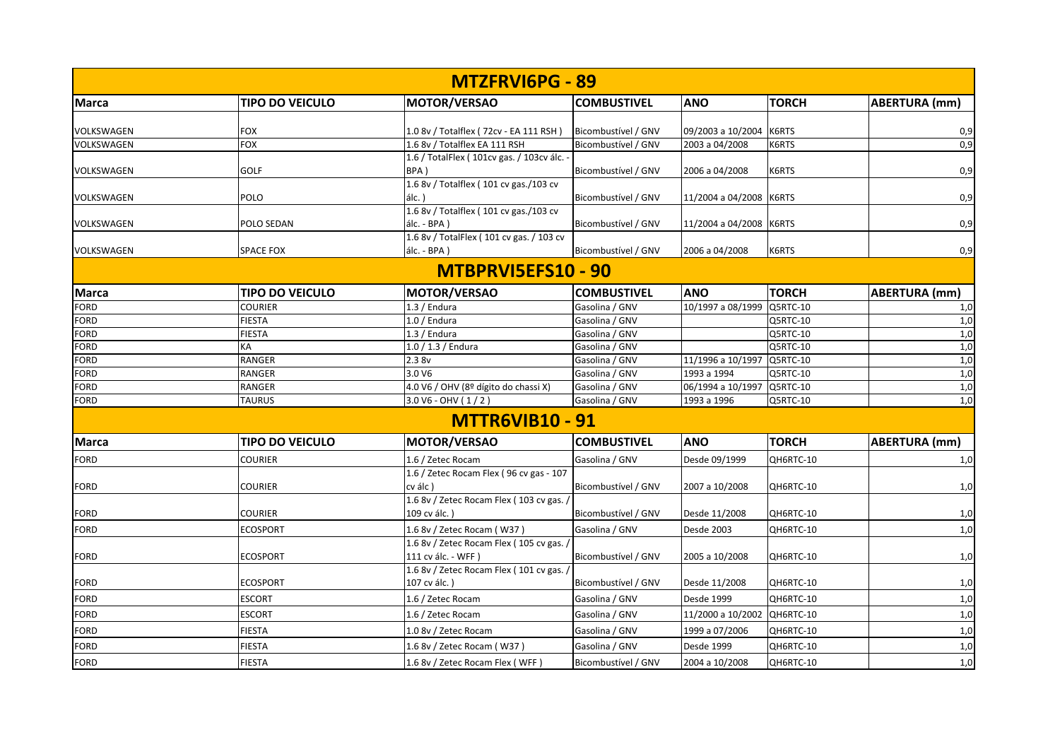|              |                        | MTZFRVI6PG - 89                                         |                     |                             |              |                      |
|--------------|------------------------|---------------------------------------------------------|---------------------|-----------------------------|--------------|----------------------|
| Marca        | <b>TIPO DO VEICULO</b> | MOTOR/VERSAO                                            | <b>COMBUSTIVEL</b>  | <b>ANO</b>                  | <b>TORCH</b> | <b>ABERTURA</b> (mm) |
|              |                        |                                                         |                     |                             |              |                      |
| VOLKSWAGEN   | <b>FOX</b>             | 1.0 8v / Totalflex (72cv - EA 111 RSH)                  | Bicombustível / GNV | 09/2003 a 10/2004 K6RTS     |              | 0,9<br>0,9           |
| VOLKSWAGEN   | <b>FOX</b>             | 1.6 8v / Totalflex EA 111 RSH                           | Bicombustível / GNV | 2003 a 04/2008              | K6RTS        |                      |
|              |                        | 1.6 / TotalFlex (101cv gas. / 103cv álc. -              |                     |                             |              |                      |
| VOLKSWAGEN   | GOLF                   | BPA)                                                    | Bicombustível / GNV | 2006 a 04/2008              | K6RTS        | 0,9                  |
|              |                        | 1.6 8v / Totalflex (101 cv gas./103 cv                  |                     |                             |              |                      |
| VOLKSWAGEN   | POLO                   | álc.)<br>1.6 8v / Totalflex (101 cv gas./103 cv         | Bicombustível / GNV | 11/2004 a 04/2008 K6RTS     |              | 0,9                  |
|              |                        |                                                         |                     |                             |              |                      |
| VOLKSWAGEN   | POLO SEDAN             | álc. - BPA)<br>1.6 8v / TotalFlex (101 cv gas. / 103 cv | Bicombustível / GNV | 11/2004 a 04/2008 K6RTS     |              | 0,9                  |
| VOLKSWAGEN   | <b>SPACE FOX</b>       | álc. - BPA)                                             | Bicombustível / GNV | 2006 a 04/2008              | K6RTS        | 0,9                  |
|              |                        | MTBPRVI5EFS10 - 90                                      |                     |                             |              |                      |
| <b>Marca</b> | <b>TIPO DO VEICULO</b> | <b>MOTOR/VERSAO</b>                                     | <b>COMBUSTIVEL</b>  | <b>ANO</b>                  | <b>TORCH</b> | <b>ABERTURA</b> (mm) |
| <b>FORD</b>  | <b>COURIER</b>         | $1.3/$ Endura                                           | Gasolina / GNV      | 10/1997 a 08/1999           | Q5RTC-10     | 1,0                  |
| <b>FORD</b>  | <b>FIESTA</b>          | $1.0/$ Endura                                           | Gasolina / GNV      |                             | Q5RTC-10     | 1,0                  |
| <b>FORD</b>  | <b>FIESTA</b>          | $1.3/$ Endura                                           | Gasolina / GNV      |                             | Q5RTC-10     | 1,0                  |
| <b>FORD</b>  | КA                     | $1.0 / 1.3 /$ Endura                                    | Gasolina / GNV      |                             | Q5RTC-10     | 1,0                  |
| <b>FORD</b>  | RANGER                 | 2.38v                                                   | Gasolina / GNV      | 11/1996 a 10/1997           | Q5RTC-10     | 1,0                  |
| <b>FORD</b>  | <b>RANGER</b>          | 3.0 V6                                                  | Gasolina / GNV      | 1993 a 1994                 | Q5RTC-10     | 1,0                  |
| <b>FORD</b>  | <b>RANGER</b>          | 4.0 V6 / OHV (8º dígito do chassi X)                    | Gasolina / GNV      | 06/1994 a 10/1997 Q5RTC-10  |              | 1,0                  |
| <b>FORD</b>  | <b>TAURUS</b>          | $3.0 V6 - OHV (1/2)$                                    | Gasolina / GNV      | 1993 a 1996                 | Q5RTC-10     | 1,0                  |
|              |                        | <b>MTTR6VIB10 - 91</b>                                  |                     |                             |              |                      |
| <b>Marca</b> | <b>TIPO DO VEICULO</b> | MOTOR/VERSAO                                            | <b>COMBUSTIVEL</b>  | <b>ANO</b>                  | <b>TORCH</b> | ABERTURA (mm)        |
| <b>FORD</b>  | <b>COURIER</b>         | 1.6 / Zetec Rocam                                       | Gasolina / GNV      | Desde 09/1999               | QH6RTC-10    | 1,0                  |
|              |                        | 1.6 / Zetec Rocam Flex (96 cv gas - 107                 |                     |                             |              |                      |
| <b>FORD</b>  | <b>COURIER</b>         | cv álc)                                                 | Bicombustível / GNV | 2007 a 10/2008              | QH6RTC-10    | 1,0                  |
|              |                        | 1.6 8v / Zetec Rocam Flex (103 cv gas. /                |                     |                             |              |                      |
| <b>FORD</b>  | <b>COURIER</b>         | 109 cv álc.)                                            | Bicombustível / GNV | Desde 11/2008               | QH6RTC-10    | 1,0                  |
| <b>FORD</b>  | <b>ECOSPORT</b>        | 1.6 8v / Zetec Rocam (W37)                              | Gasolina / GNV      | <b>Desde 2003</b>           | QH6RTC-10    | 1,0                  |
|              |                        | 1.6 8v / Zetec Rocam Flex (105 cv gas. /                |                     |                             |              |                      |
| <b>FORD</b>  | <b>ECOSPORT</b>        | 111 cv álc. - WFF)                                      | Bicombustível / GNV | 2005 a 10/2008              | QH6RTC-10    | 1,0                  |
|              |                        | 1.6 8v / Zetec Rocam Flex (101 cv gas. /                |                     |                             |              |                      |
| <b>FORD</b>  | <b>ECOSPORT</b>        | 107 cv álc.)                                            | Bicombustível / GNV | Desde 11/2008               | QH6RTC-10    | 1,0                  |
| <b>FORD</b>  | <b>ESCORT</b>          | 1.6 / Zetec Rocam                                       | Gasolina / GNV      | Desde 1999                  | QH6RTC-10    | 1,0                  |
| <b>FORD</b>  | <b>ESCORT</b>          | 1.6 / Zetec Rocam                                       | Gasolina / GNV      | 11/2000 a 10/2002 QH6RTC-10 |              | 1,0                  |
| <b>FORD</b>  | <b>FIESTA</b>          | 1.0 8v / Zetec Rocam                                    | Gasolina / GNV      | 1999 a 07/2006              | QH6RTC-10    | 1,0                  |
| <b>FORD</b>  | <b>FIESTA</b>          | 1.6 8v / Zetec Rocam (W37)                              | Gasolina / GNV      | Desde 1999                  | QH6RTC-10    | $1,0$                |
| <b>FORD</b>  | <b>FIESTA</b>          | 1.6 8v / Zetec Rocam Flex (WFF)                         | Bicombustível / GNV | 2004 a 10/2008              | QH6RTC-10    | 1,0                  |
|              |                        |                                                         |                     |                             |              |                      |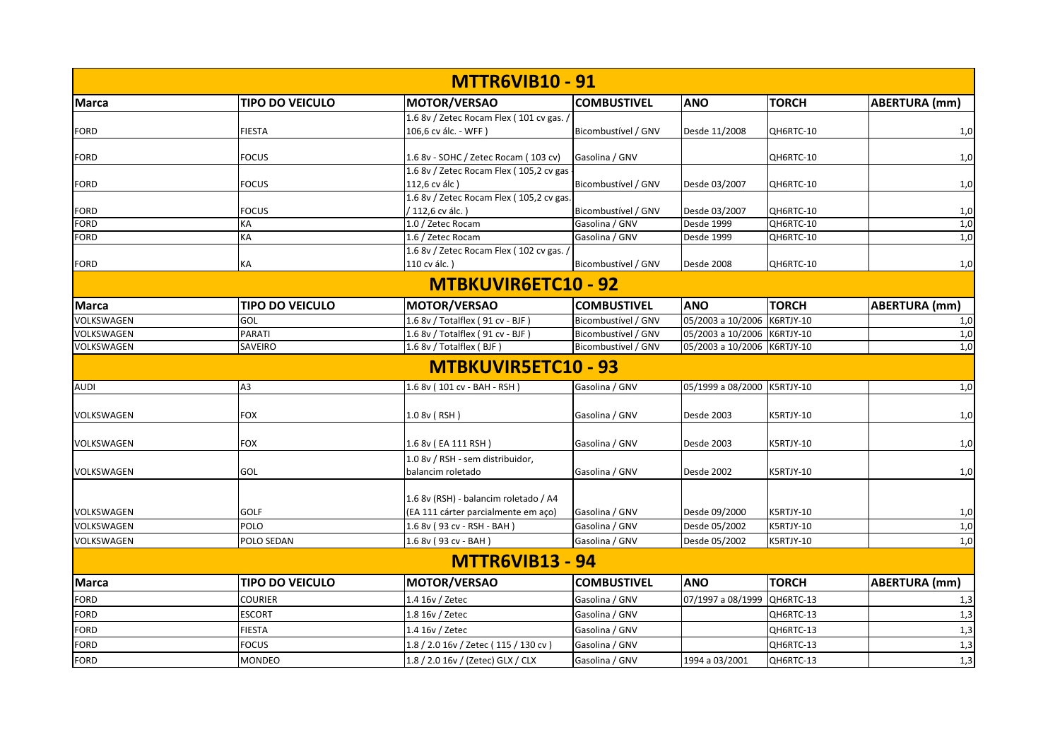|                          |                        | <b>MTTR6VIB10 - 91</b>                                                          |                                  |                                |              |                      |
|--------------------------|------------------------|---------------------------------------------------------------------------------|----------------------------------|--------------------------------|--------------|----------------------|
| <b>Marca</b>             | <b>TIPO DO VEICULO</b> | <b>MOTOR/VERSAO</b>                                                             | <b>COMBUSTIVEL</b>               | <b>ANO</b>                     | <b>TORCH</b> | <b>ABERTURA</b> (mm) |
|                          |                        | 1.6 8v / Zetec Rocam Flex (101 cv gas. /                                        |                                  |                                |              |                      |
| <b>FORD</b>              | <b>FIESTA</b>          | 106,6 cv álc. - WFF)                                                            | Bicombustível / GNV              | Desde 11/2008                  | QH6RTC-10    | 1,0                  |
|                          |                        |                                                                                 |                                  |                                |              |                      |
| <b>FORD</b>              | <b>FOCUS</b>           | 1.6 8v - SOHC / Zetec Rocam (103 cv)<br>1.6 8v / Zetec Rocam Flex (105,2 cv gas | Gasolina / GNV                   |                                | QH6RTC-10    | 1,0                  |
| <b>FORD</b>              | <b>FOCUS</b>           | 112,6 cv álc)                                                                   | Bicombustível / GNV              | Desde 03/2007                  | QH6RTC-10    | 1,0                  |
|                          |                        | 1.6 8v / Zetec Rocam Flex (105,2 cv gas.                                        |                                  |                                |              |                      |
| <b>FORD</b>              | <b>FOCUS</b>           | / 112,6 cv álc.)                                                                | Bicombustível / GNV              | Desde 03/2007                  | QH6RTC-10    | 1,0                  |
| <b>FORD</b>              | KA                     | 1.0 / Zetec Rocam                                                               | Gasolina / GNV                   | Desde 1999                     | QH6RTC-10    | 1,0                  |
| FORD                     | KA                     | 1.6 / Zetec Rocam                                                               | Gasolina / GNV                   | Desde 1999                     | QH6RTC-10    | 1,0                  |
|                          |                        | 1.6 8v / Zetec Rocam Flex (102 cv gas. /                                        |                                  |                                |              |                      |
| <b>FORD</b>              | KA                     | 110 cv álc.)                                                                    | Bicombustível / GNV              | Desde 2008                     | QH6RTC-10    | 1,0                  |
|                          |                        | MTBKUVIR6ETC10 - 92                                                             |                                  |                                |              |                      |
| Marca                    | <b>TIPO DO VEICULO</b> | <b>MOTOR/VERSAO</b>                                                             | <b>COMBUSTIVEL</b>               | <b>ANO</b>                     | <b>TORCH</b> | <b>ABERTURA</b> (mm) |
| VOLKSWAGEN               | GOL                    | 1.6 8v / Totalflex (91 cv - BJF)                                                | Bicombustível / GNV              | 05/2003 a 10/2006              | K6RTJY-10    | 1,0                  |
| VOLKSWAGEN               | <b>PARATI</b>          | 1.6 8v / Totalflex (91 cv - BJF)                                                | Bicombustível / GNV              | 05/2003 a 10/2006 K6RTJY-10    |              | 1,0                  |
| VOLKSWAGEN               | SAVEIRO                | 1.6 8v / Totalflex (BJF)                                                        | Bicombustível / GNV              | 05/2003 a 10/2006 K6RTJY-10    |              | 1,0                  |
|                          |                        | <b>MTBKUVIR5ETC10 - 93</b>                                                      |                                  |                                |              |                      |
| <b>AUDI</b>              | A3                     | 1.6 8v (101 cv - BAH - RSH)                                                     | Gasolina / GNV                   | 05/1999 a 08/2000 K5RTJY-10    |              | 1,0                  |
| VOLKSWAGEN               | <b>FOX</b>             | 1.0 8v (RSH)                                                                    | Gasolina / GNV                   | Desde 2003                     | K5RTJY-10    | 1,0                  |
|                          |                        |                                                                                 |                                  |                                |              |                      |
| VOLKSWAGEN               | <b>FOX</b>             | 1.6 8v (EA 111 RSH)                                                             | Gasolina / GNV                   | Desde 2003                     | K5RTJY-10    | 1,0                  |
|                          |                        | 1.0 8v / RSH - sem distribuidor,                                                |                                  |                                |              |                      |
| VOLKSWAGEN               | GOL                    | balancim roletado                                                               | Gasolina / GNV                   | Desde 2002                     | K5RTJY-10    | 1,0                  |
|                          |                        |                                                                                 |                                  |                                |              |                      |
|                          | <b>GOLF</b>            | 1.6 8v (RSH) - balancim roletado / A4                                           |                                  |                                |              |                      |
| VOLKSWAGEN<br>VOLKSWAGEN | POLO                   | (EA 111 cárter parcialmente em aço)                                             | Gasolina / GNV<br>Gasolina / GNV | Desde 09/2000                  | K5RTJY-10    | 1,0                  |
| VOLKSWAGEN               | POLO SEDAN             | 1.6 8v (93 cv - RSH - BAH)<br>1.6 8v (93 cv - BAH)                              | Gasolina / GNV                   | Desde 05/2002<br>Desde 05/2002 | K5RTJY-10    | 1,0                  |
|                          |                        |                                                                                 |                                  |                                | K5RTJY-10    | 1,0                  |
|                          |                        | <b>MTTR6VIB13 - 94</b>                                                          |                                  |                                |              |                      |
| <b>Marca</b>             | <b>TIPO DO VEICULO</b> | <b>MOTOR/VERSAO</b>                                                             | <b>COMBUSTIVEL</b>               | <b>ANO</b>                     | <b>TORCH</b> | <b>ABERTURA (mm)</b> |
| <b>FORD</b>              | <b>COURIER</b>         | 1.4 16v / Zetec                                                                 | Gasolina / GNV                   | 07/1997 a 08/1999              | QH6RTC-13    | 1,3                  |
| <b>FORD</b>              | <b>ESCORT</b>          | 1.8 16v / Zetec                                                                 | Gasolina / GNV                   |                                | QH6RTC-13    | 1,3                  |
| <b>FORD</b>              | <b>FIESTA</b>          | 1.4 16v / Zetec                                                                 | Gasolina / GNV                   |                                | QH6RTC-13    | 1,3                  |
| <b>FORD</b>              | <b>FOCUS</b>           | 1.8 / 2.0 16v / Zetec ( 115 / 130 cv )                                          | Gasolina / GNV                   |                                | QH6RTC-13    | 1,3                  |
| <b>FORD</b>              | <b>MONDEO</b>          | 1.8 / 2.0 16v / (Zetec) GLX / CLX                                               | Gasolina / GNV                   | 1994 a 03/2001                 | QH6RTC-13    | 1,3                  |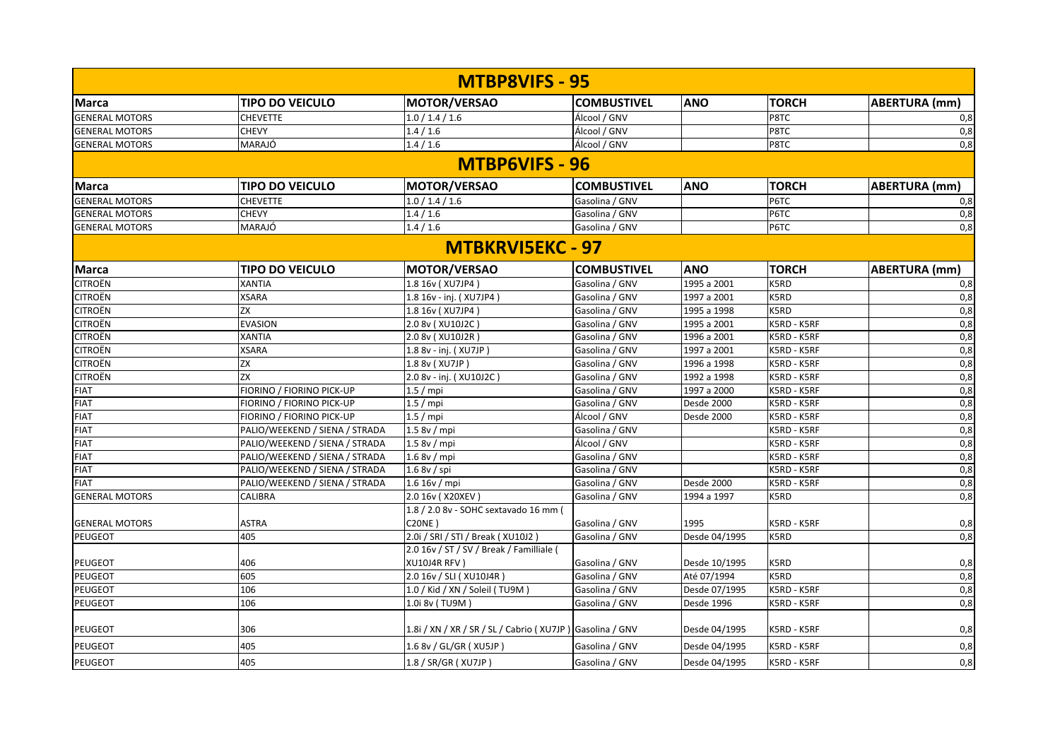|                       |                                | <b>MTBP8VIFS - 95</b>                                    |                    |               |              |                      |
|-----------------------|--------------------------------|----------------------------------------------------------|--------------------|---------------|--------------|----------------------|
| <b>Marca</b>          | <b>TIPO DO VEICULO</b>         | <b>MOTOR/VERSAO</b>                                      | <b>COMBUSTIVEL</b> | <b>ANO</b>    | <b>TORCH</b> | <b>ABERTURA (mm)</b> |
| <b>GENERAL MOTORS</b> | <b>CHEVETTE</b>                | 1.0 / 1.4 / 1.6                                          | Álcool / GNV       |               | P8TC         | 0,8                  |
| <b>GENERAL MOTORS</b> | <b>CHEVY</b>                   | 1.4 / 1.6                                                | Álcool / GNV       |               | P8TC         | 0,8                  |
| <b>GENERAL MOTORS</b> | MARAJÓ                         | 1.4 / 1.6                                                | Álcool / GNV       |               | P8TC         | 0,8                  |
|                       |                                | <b>MTBP6VIFS - 96</b>                                    |                    |               |              |                      |
| <b>Marca</b>          | <b>TIPO DO VEICULO</b>         | MOTOR/VERSAO                                             | <b>COMBUSTIVEL</b> | <b>ANO</b>    | <b>TORCH</b> | <b>ABERTURA (mm)</b> |
| <b>GENERAL MOTORS</b> | <b>CHEVETTE</b>                | 1.0 / 1.4 / 1.6                                          | Gasolina / GNV     |               | P6TC         | 0,8                  |
| <b>GENERAL MOTORS</b> | <b>CHEVY</b>                   | 1.4/1.6                                                  | Gasolina / GNV     |               | P6TC         | 0,8                  |
| <b>GENERAL MOTORS</b> | MARAJÓ                         | 1.4/1.6                                                  | Gasolina / GNV     |               | P6TC         | 0,8                  |
|                       |                                | <b>MTBKRVI5EKC - 97</b>                                  |                    |               |              |                      |
| <b>Marca</b>          | <b>TIPO DO VEICULO</b>         | MOTOR/VERSAO                                             | <b>COMBUSTIVEL</b> | <b>ANO</b>    | <b>TORCH</b> | ABERTURA (mm)        |
| <b>CITROËN</b>        | <b>XANTIA</b>                  | 1.8 16v (XU7JP4)                                         | Gasolina / GNV     | 1995 a 2001   | K5RD         | 0,8                  |
| <b>CITROËN</b>        | <b>XSARA</b>                   | 1.8 16v - inj. (XU7JP4)                                  | Gasolina / GNV     | 1997 a 2001   | K5RD         | $\overline{0,8}$     |
| <b>CITROËN</b>        | ZΧ                             | 1.8 16v (XU7JP4)                                         | Gasolina / GNV     | 1995 a 1998   | K5RD         | 0,8                  |
| <b>CITROËN</b>        | <b>EVASION</b>                 | 2.0 8v (XU10J2C)                                         | Gasolina / GNV     | 1995 a 2001   | K5RD - K5RF  | 0,8                  |
| <b>CITROËN</b>        | <b>XANTIA</b>                  | 2.0 8v (XU10J2R)                                         | Gasolina / GNV     | 1996 a 2001   | K5RD - K5RF  | 0,8                  |
| <b>CITROËN</b>        | XSARA                          | 1.8 8v - inj. (XU7JP)                                    | Gasolina / GNV     | 1997 a 2001   | K5RD - K5RF  | 0,8                  |
| <b>CITROËN</b>        | ZX                             | 1.8 8v (XU7JP)                                           | Gasolina / GNV     | 1996 a 1998   | K5RD - K5RF  | 0,8                  |
| <b>CITROËN</b>        | ZX                             | 2.0 8v - inj. (XU10J2C)                                  | Gasolina / GNV     | 1992 a 1998   | K5RD - K5RF  | 0,8                  |
| <b>FIAT</b>           | FIORINO / FIORINO PICK-UP      | $1.5 /$ mpi                                              | Gasolina / GNV     | 1997 a 2000   | K5RD - K5RF  | 0,8                  |
| <b>FIAT</b>           | FIORINO / FIORINO PICK-UP      | $1.5 /$ mpi                                              | Gasolina / GNV     | Desde 2000    | K5RD - K5RF  | 0,8                  |
| <b>FIAT</b>           | FIORINO / FIORINO PICK-UP      | $1.5 /$ mpi                                              | Álcool / GNV       | Desde 2000    | K5RD - K5RF  | 0,8                  |
| <b>FIAT</b>           | PALIO/WEEKEND / SIENA / STRADA | 1.58v/mpi                                                | Gasolina / GNV     |               | K5RD - K5RF  | 0,8                  |
| <b>FIAT</b>           | PALIO/WEEKEND / SIENA / STRADA | 1.58v/mpi                                                | Álcool / GNV       |               | K5RD - K5RF  | 0,8                  |
| <b>FIAT</b>           | PALIO/WEEKEND / SIENA / STRADA | 1.68v/mpi                                                | Gasolina / GNV     |               | K5RD - K5RF  | 0,8                  |
| <b>FIAT</b>           | PALIO/WEEKEND / SIENA / STRADA | $1.68v /$ spi                                            | Gasolina / GNV     |               | K5RD - K5RF  | 0,8                  |
| <b>FIAT</b>           | PALIO/WEEKEND / SIENA / STRADA | 1.6 16v / mpi                                            | Gasolina / GNV     | Desde 2000    | K5RD - K5RF  | 0,8                  |
| <b>GENERAL MOTORS</b> | CALIBRA                        | 2.0 16v (X20XEV)                                         | Gasolina / GNV     | 1994 a 1997   | K5RD         | 0,8                  |
|                       |                                | 1.8 / 2.0 8v - SOHC sextavado 16 mm (                    |                    |               |              |                      |
| <b>GENERAL MOTORS</b> | <b>ASTRA</b>                   | <b>C20NE)</b>                                            | Gasolina / GNV     | 1995          | K5RD - K5RF  | 0,8                  |
| PEUGEOT               | 405                            | 2.0i / SRI / STI / Break ( XU10J2 )                      | Gasolina / GNV     | Desde 04/1995 | K5RD         | 0,8                  |
|                       |                                | 2.0 16v / ST / SV / Break / Familliale (                 |                    |               |              |                      |
| <b>PEUGEOT</b>        | 406                            | <b>XU10J4R RFV)</b>                                      | Gasolina / GNV     | Desde 10/1995 | K5RD         | 0,8                  |
| <b>PEUGEOT</b>        | 605                            | 2.0 16v / SLI ( XU10J4R )                                | Gasolina / GNV     | Até 07/1994   | K5RD         | 0,8                  |
| PEUGEOT               | 106                            | 1.0 / Kid / XN / Soleil (TU9M)                           | Gasolina / GNV     | Desde 07/1995 | K5RD - K5RF  | 0,8                  |
| PEUGEOT               | 106                            | 1.0i 8v (TU9M)                                           | Gasolina / GNV     | Desde 1996    | K5RD - K5RF  | 0,8                  |
| PEUGEOT               | 306                            | 1.8i / XN / XR / SR / SL / Cabrio (XU7JP) Gasolina / GNV |                    | Desde 04/1995 | K5RD - K5RF  | 0,8                  |
| <b>PEUGEOT</b>        | 405                            | 1.6 8v / GL/GR (XU5JP)                                   | Gasolina / GNV     | Desde 04/1995 | K5RD - K5RF  | 0,8                  |
| PEUGEOT               | 405                            | 1.8 / SR/GR ( XU7JP )                                    | Gasolina / GNV     | Desde 04/1995 | K5RD - K5RF  | 0,8                  |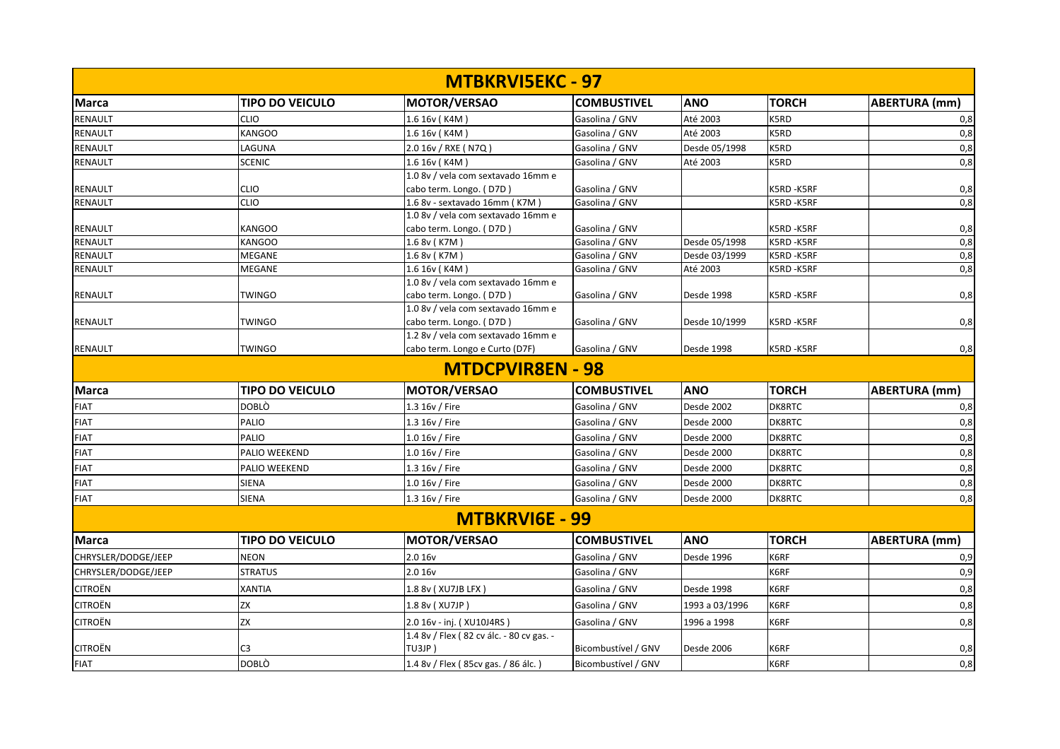|                     |                                | <b>MTBKRVISEKC - 97</b>                  |                                  |                                |                        |                      |
|---------------------|--------------------------------|------------------------------------------|----------------------------------|--------------------------------|------------------------|----------------------|
| <b>Marca</b>        | <b>TIPO DO VEICULO</b>         | MOTOR/VERSAO                             | <b>COMBUSTIVEL</b>               | <b>ANO</b>                     | <b>TORCH</b>           | <b>ABERTURA</b> (mm) |
| <b>RENAULT</b>      | <b>CLIO</b>                    | 1.6 16v (K4M)                            | Gasolina / GNV                   | Até 2003                       | K5RD                   | 0,8                  |
| RENAULT             | <b>KANGOO</b>                  | 1.6 16v (K4M)                            | Gasolina / GNV                   | Até 2003                       | K5RD                   | 0,8                  |
| RENAULT             | LAGUNA                         | 2.0 16v / RXE ( N7Q )                    | Gasolina / GNV                   | Desde 05/1998                  | K5RD                   | 0,8                  |
| RENAULT             | <b>SCENIC</b>                  | 1.6 16v (K4M)                            | Gasolina / GNV                   | Até 2003                       | K5RD                   | 0,8                  |
|                     |                                | 1.0 8v / vela com sextavado 16mm e       |                                  |                                |                        |                      |
| RENAULT             | <b>CLIO</b>                    | cabo term. Longo. (D7D)                  | Gasolina / GNV                   |                                | K5RD-K5RF              | 0,8                  |
| RENAULT             | <b>CLIO</b>                    | 1.6 8v - sextavado 16mm (K7M)            | Gasolina / GNV                   |                                | K5RD-K5RF              | 0,8                  |
|                     |                                | 1.0 8v / vela com sextavado 16mm e       |                                  |                                |                        |                      |
| RENAULT             | <b>KANGOO</b><br><b>KANGOO</b> | cabo term. Longo. (D7D)                  | Gasolina / GNV                   |                                | K5RD-K5RF<br>K5RD-K5RF | 0,8                  |
| RENAULT<br>RENAULT  | <b>MEGANE</b>                  | 1.6 8v (K7M)<br>1.6 8v (K7M)             | Gasolina / GNV<br>Gasolina / GNV | Desde 05/1998<br>Desde 03/1999 | K5RD-K5RF              | 0,8<br>0,8           |
| RENAULT             | <b>MEGANE</b>                  | 1.6 16v (K4M)                            | Gasolina / GNV                   | Até 2003                       | K5RD-K5RF              | 0,8                  |
|                     |                                | 1.0 8v / vela com sextavado 16mm e       |                                  |                                |                        |                      |
| RENAULT             | <b>TWINGO</b>                  | cabo term. Longo. (D7D)                  | Gasolina / GNV                   | Desde 1998                     | K5RD-K5RF              | 0,8                  |
|                     |                                | 1.0 8v / vela com sextavado 16mm e       |                                  |                                |                        |                      |
| <b>RENAULT</b>      | <b>TWINGO</b>                  | cabo term. Longo. (D7D)                  | Gasolina / GNV                   | Desde 10/1999                  | K5RD-K5RF              | 0,8                  |
|                     |                                | 1.2 8v / vela com sextavado 16mm e       |                                  |                                |                        |                      |
| <b>RENAULT</b>      | <b>TWINGO</b>                  | cabo term. Longo e Curto (D7F)           | Gasolina / GNV                   | Desde 1998                     | K5RD-K5RF              | 0,8                  |
|                     |                                | <b>MTDCPVIR8EN - 98</b>                  |                                  |                                |                        |                      |
| Marca               | <b>TIPO DO VEICULO</b>         | MOTOR/VERSAO                             | <b>COMBUSTIVEL</b>               | <b>ANO</b>                     | <b>TORCH</b>           | <b>ABERTURA</b> (mm) |
| <b>FIAT</b>         | <b>DOBLO</b>                   | 1.3 16v / Fire                           | Gasolina / GNV                   | Desde 2002                     | DK8RTC                 | 0,8                  |
| <b>FIAT</b>         | <b>PALIO</b>                   | 1.3 16v / Fire                           | Gasolina / GNV                   | Desde 2000                     | DK8RTC                 | 0,8                  |
| <b>FIAT</b>         | <b>PALIO</b>                   | 1.0 16v / Fire                           | Gasolina / GNV                   | Desde 2000                     | DK8RTC                 | 0,8                  |
| <b>FIAT</b>         | PALIO WEEKEND                  | 1.0 16v / Fire                           | Gasolina / GNV                   | Desde 2000                     | DK8RTC                 | 0,8                  |
| <b>FIAT</b>         | <b>PALIO WEEKEND</b>           | 1.3 16v / Fire                           | Gasolina / GNV                   | Desde 2000                     | DK8RTC                 | 0,8                  |
| <b>FIAT</b>         | <b>SIENA</b>                   | 1.0 16v / Fire                           | Gasolina / GNV                   | Desde 2000                     | DK8RTC                 | 0,8                  |
| <b>FIAT</b>         | <b>SIENA</b>                   | 1.3 16v / Fire                           | Gasolina / GNV                   | Desde 2000                     | DK8RTC                 | 0,8                  |
|                     |                                | <b>MTBKRVI6E - 99</b>                    |                                  |                                |                        |                      |
| <b>Marca</b>        | <b>TIPO DO VEICULO</b>         | MOTOR/VERSAO                             | <b>COMBUSTIVEL</b>               | <b>ANO</b>                     | <b>TORCH</b>           | <b>ABERTURA</b> (mm) |
| CHRYSLER/DODGE/JEEP | <b>NEON</b>                    | 2.0 16v                                  | Gasolina / GNV                   | Desde 1996                     | K6RF                   | 0,9                  |
| CHRYSLER/DODGE/JEEP | <b>STRATUS</b>                 | 2.0 16v                                  | Gasolina / GNV                   |                                | K6RF                   | 0,9                  |
| <b>CITROËN</b>      | <b>XANTIA</b>                  | 1.8 8v ( XU7JB LFX )                     | Gasolina / GNV                   | Desde 1998                     | K6RF                   | 0,8                  |
| <b>CITROËN</b>      | ZX                             | 1.8 8v (XU7JP)                           | Gasolina / GNV                   | 1993 a 03/1996                 | K6RF                   | 0,8                  |
| <b>CITROËN</b>      | <b>ZX</b>                      | 2.0 16v - inj. (XU10J4RS)                | Gasolina / GNV                   | 1996 a 1998                    | K6RF                   | 0,8                  |
| <b>CITROËN</b>      |                                | 1.4 8v / Flex (82 cv álc. - 80 cv gas. - |                                  |                                |                        |                      |
|                     | C <sub>3</sub>                 | TU3JP                                    | Bicombustível / GNV              | Desde 2006                     | K6RF                   | 0,8                  |
| <b>FIAT</b>         | <b>DOBLÒ</b>                   | 1.4 8v / Flex (85cv gas. / 86 álc.)      | Bicombustível / GNV              |                                | K6RF                   | 0,8                  |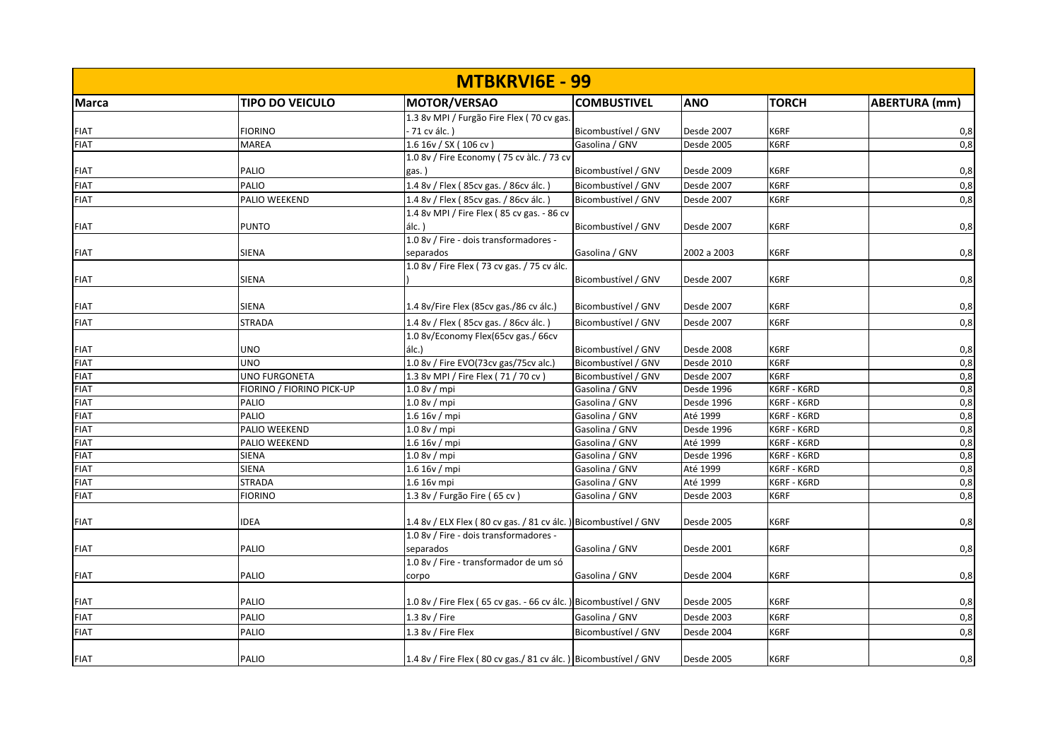| <b>MTBKRVI6E - 99</b> |                           |                                                                  |                     |             |              |                      |  |
|-----------------------|---------------------------|------------------------------------------------------------------|---------------------|-------------|--------------|----------------------|--|
| <b>Marca</b>          | <b>TIPO DO VEICULO</b>    | <b>MOTOR/VERSAO</b>                                              | <b>COMBUSTIVEL</b>  | <b>ANO</b>  | <b>TORCH</b> | <b>ABERTURA</b> (mm) |  |
|                       |                           | 1.3 8v MPI / Furgão Fire Flex (70 cv gas.                        |                     |             |              |                      |  |
| <b>FIAT</b>           | <b>FIORINO</b>            | - 71 cv álc. )                                                   | Bicombustível / GNV | Desde 2007  | K6RF         | 0,8                  |  |
| <b>FIAT</b>           | <b>MAREA</b>              | 1.6 16v / SX (106 cv)                                            | Gasolina / GNV      | Desde 2005  | K6RF         | 0,8                  |  |
|                       |                           | 1.0 8v / Fire Economy (75 cv àlc. / 73 cv                        |                     |             |              |                      |  |
| <b>FIAT</b>           | PALIO                     | gas. )                                                           | Bicombustível / GNV | Desde 2009  | K6RF         | 0,8                  |  |
| <b>FIAT</b>           | <b>PALIO</b>              | 1.4 8v / Flex (85cv gas. / 86cv álc.)                            | Bicombustível / GNV | Desde 2007  | K6RF         | 0,8                  |  |
| <b>FIAT</b>           | PALIO WEEKEND             | 1.4 8v / Flex (85cv gas. / 86cv álc.)                            | Bicombustível / GNV | Desde 2007  | K6RF         | 0,8                  |  |
|                       |                           | 1.4 8v MPI / Fire Flex (85 cv gas. - 86 cv                       |                     |             |              |                      |  |
| <b>FIAT</b>           | <b>PUNTO</b>              | álc. )                                                           | Bicombustível / GNV | Desde 2007  | K6RF         | 0,8                  |  |
|                       |                           | 1.0 8v / Fire - dois transformadores -                           |                     |             |              |                      |  |
| <b>FIAT</b>           | <b>SIENA</b>              | separados                                                        | Gasolina / GNV      | 2002 a 2003 | K6RF         | 0,8                  |  |
|                       |                           | 1.0 8v / Fire Flex (73 cv gas. / 75 cv álc.                      |                     |             |              |                      |  |
| <b>FIAT</b>           | SIENA                     |                                                                  | Bicombustível / GNV | Desde 2007  | K6RF         | 0,8                  |  |
|                       |                           |                                                                  |                     |             |              |                      |  |
| <b>FIAT</b>           | <b>SIENA</b>              | 1.4 8v/Fire Flex (85cv gas./86 cv álc.)                          | Bicombustível / GNV | Desde 2007  | K6RF         | 0,8                  |  |
| <b>FIAT</b>           | <b>STRADA</b>             | 1.4 8v / Flex (85cv gas. / 86cv álc.)                            | Bicombustível / GNV | Desde 2007  | K6RF         | 0,8                  |  |
|                       |                           | 1.0 8v/Economy Flex(65cv gas./ 66cv                              |                     |             |              |                      |  |
| <b>FIAT</b>           | <b>UNO</b>                | álc.)                                                            | Bicombustível / GNV | Desde 2008  | K6RF         | 0,8                  |  |
| <b>FIAT</b>           | <b>UNO</b>                | 1.0 8v / Fire EVO(73cv gas/75cv alc.)                            | Bicombustível / GNV | Desde 2010  | K6RF         | 0,8                  |  |
| <b>FIAT</b>           | <b>UNO FURGONETA</b>      | 1.3 8v MPI / Fire Flex (71 / 70 cv)                              | Bicombustível / GNV | Desde 2007  | K6RF         | 0,8                  |  |
| <b>FIAT</b>           | FIORINO / FIORINO PICK-UP | 1.0 8v / mpi                                                     | Gasolina / GNV      | Desde 1996  | K6RF - K6RD  | 0,8                  |  |
| <b>FIAT</b>           | <b>PALIO</b>              | 1.0 8v / mpi                                                     | Gasolina / GNV      | Desde 1996  | K6RF - K6RD  | 0,8                  |  |
| <b>FIAT</b>           | <b>PALIO</b>              | 1.6 16v / mpi                                                    | Gasolina / GNV      | Até 1999    | K6RF - K6RD  | 0,8                  |  |
| <b>FIAT</b>           | PALIO WEEKEND             | 1.0 8v / mpi                                                     | Gasolina / GNV      | Desde 1996  | K6RF - K6RD  | 0,8                  |  |
| <b>FIAT</b>           | PALIO WEEKEND             | 1.6 16v/mpi                                                      | Gasolina / GNV      | Até 1999    | K6RF - K6RD  | 0,8                  |  |
| <b>FIAT</b>           | <b>SIENA</b>              | 1.0 8v / mpi                                                     | Gasolina / GNV      | Desde 1996  | K6RF - K6RD  | 0,8                  |  |
| <b>FIAT</b>           | <b>SIENA</b>              | $1.6 16v$ / mpi                                                  | Gasolina / GNV      | Até 1999    | K6RF - K6RD  | 0,8                  |  |
| <b>FIAT</b>           | <b>STRADA</b>             | 1.6 16v mpi                                                      | Gasolina / GNV      | Até 1999    | K6RF - K6RD  | 0,8                  |  |
| <b>FIAT</b>           | <b>FIORINO</b>            | 1.3 8v / Furgão Fire (65 cv)                                     | Gasolina / GNV      | Desde 2003  | K6RF         | 0,8                  |  |
|                       |                           |                                                                  |                     |             |              |                      |  |
| <b>FIAT</b>           | <b>IDEA</b>               | 1.4 8v / ELX Flex (80 cv gas. / 81 cv álc. ) Bicombustível / GNV |                     | Desde 2005  | K6RF         | 0,8                  |  |
|                       |                           | 1.0 8v / Fire - dois transformadores -                           |                     |             |              |                      |  |
| <b>FIAT</b>           | <b>PALIO</b>              | separados                                                        | Gasolina / GNV      | Desde 2001  | K6RF         | 0,8                  |  |
|                       |                           | 1.0 8v / Fire - transformador de um só                           |                     |             |              |                      |  |
| <b>FIAT</b>           | <b>PALIO</b>              | corpo                                                            | Gasolina / GNV      | Desde 2004  | K6RF         | 0,8                  |  |
|                       |                           |                                                                  |                     |             |              |                      |  |
| <b>FIAT</b>           | <b>PALIO</b>              | 1.0 8v / Fire Flex (65 cv gas. - 66 cv álc.) Bicombustível / GNV |                     | Desde 2005  | K6RF         | 0,8                  |  |
| <b>FIAT</b>           | <b>PALIO</b>              | 1.3 8v / Fire                                                    | Gasolina / GNV      | Desde 2003  | K6RF         | 0,8                  |  |
| <b>FIAT</b>           | PALIO                     | 1.3 8v / Fire Flex                                               | Bicombustível / GNV | Desde 2004  | K6RF         | 0,8                  |  |
|                       |                           |                                                                  |                     |             |              |                      |  |
| <b>FIAT</b>           | <b>PALIO</b>              | 1.4 8v / Fire Flex (80 cv gas./ 81 cv álc.) Bicombustível / GNV  |                     | Desde 2005  | K6RF         | 0,8                  |  |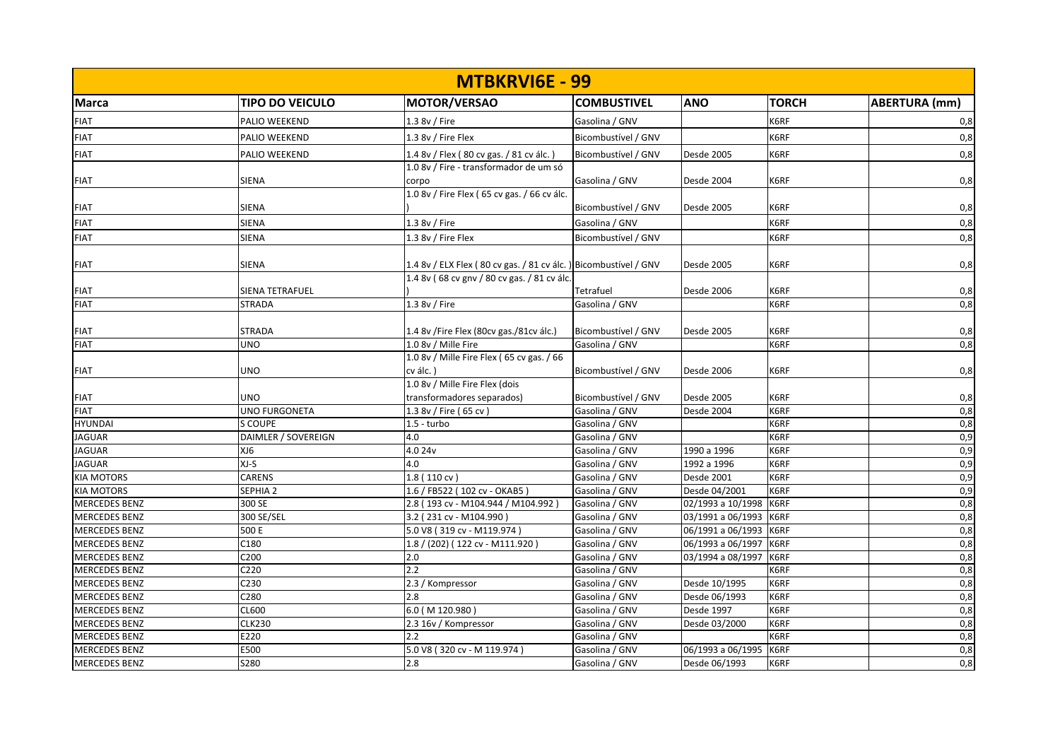| <b>MTBKRVI6E - 99</b> |                     |                                                                 |                     |                   |              |                      |  |
|-----------------------|---------------------|-----------------------------------------------------------------|---------------------|-------------------|--------------|----------------------|--|
| <b>Marca</b>          | TIPO DO VEICULO     | <b>MOTOR/VERSAO</b>                                             | <b>COMBUSTIVEL</b>  | <b>ANO</b>        | <b>TORCH</b> | <b>ABERTURA (mm)</b> |  |
| <b>FIAT</b>           | PALIO WEEKEND       | 1.3 8v / Fire                                                   | Gasolina / GNV      |                   | K6RF         | 0,8                  |  |
| <b>FIAT</b>           | PALIO WEEKEND       | 1.3 8v / Fire Flex                                              | Bicombustível / GNV |                   | K6RF         | 0,8                  |  |
| <b>FIAT</b>           | PALIO WEEKEND       | 1.4 8v / Flex (80 cv gas. / 81 cv álc.)                         | Bicombustível / GNV | <b>Desde 2005</b> | K6RF         | 0,8                  |  |
|                       |                     | 1.0 8v / Fire - transformador de um só                          |                     |                   |              |                      |  |
| <b>FIAT</b>           | SIENA               | corpo                                                           | Gasolina / GNV      | Desde 2004        | K6RF         | 0,8                  |  |
|                       |                     | 1.0 8v / Fire Flex (65 cv gas. / 66 cv álc.                     |                     |                   |              |                      |  |
| <b>FIAT</b>           | SIENA               |                                                                 | Bicombustível / GNV | <b>Desde 2005</b> | K6RF         | 0,8                  |  |
| <b>FIAT</b>           | SIENA               | 1.3 8v / Fire                                                   | Gasolina / GNV      |                   | K6RF         | 0,8                  |  |
| <b>FIAT</b>           | SIENA               | 1.3 8v / Fire Flex                                              | Bicombustível / GNV |                   | K6RF         | 0,8                  |  |
| <b>FIAT</b>           | SIENA               | 1.4 8v / ELX Flex (80 cv gas. / 81 cv álc.) Bicombustível / GNV |                     | Desde 2005        | K6RF         | 0,8                  |  |
|                       |                     | 1.4 8v (68 cv gnv / 80 cv gas. / 81 cv álc.                     |                     |                   |              |                      |  |
| <b>FIAT</b>           | SIENA TETRAFUEL     |                                                                 | Tetrafuel           | Desde 2006        | K6RF         | 0,8                  |  |
| <b>FIAT</b>           | <b>STRADA</b>       | 1.3 8v / Fire                                                   | Gasolina / GNV      |                   | K6RF         | 0,8                  |  |
| <b>FIAT</b>           | <b>STRADA</b>       | 1.4 8v /Fire Flex (80cv gas./81cv álc.)                         | Bicombustível / GNV | Desde 2005        | K6RF         | 0,8                  |  |
| <b>FIAT</b>           | UNO                 | 1.0 8v / Mille Fire                                             | Gasolina / GNV      |                   | K6RF         | 0,8                  |  |
|                       |                     | 1.0 8v / Mille Fire Flex (65 cv gas. / 66                       |                     |                   |              |                      |  |
| <b>FIAT</b>           | UNO                 | cv álc.                                                         | Bicombustível / GNV | Desde 2006        | K6RF         | 0,8                  |  |
|                       |                     | 1.0 8v / Mille Fire Flex (dois                                  |                     |                   |              |                      |  |
| <b>FIAT</b>           | UNO                 | transformadores separados)                                      | Bicombustível / GNV | Desde 2005        | K6RF         | 0,8                  |  |
| <b>FIAT</b>           | UNO FURGONETA       | 1.3 8v / Fire (65 cv)                                           | Gasolina / GNV      | Desde 2004        | K6RF         | 0,8                  |  |
| <b>HYUNDAI</b>        | S COUPE             | $1.5 -$ turbo                                                   | Gasolina / GNV      |                   | K6RF         | 0,8                  |  |
| <b>JAGUAR</b>         | DAIMLER / SOVEREIGN | 4.0                                                             | Gasolina / GNV      |                   | K6RF         | 0,9                  |  |
| <b>JAGUAR</b>         | XJ6                 | 4.0 24v                                                         | Gasolina / GNV      | 1990 a 1996       | K6RF         | 0,9                  |  |
| <b>JAGUAR</b>         | XJ-S                | 4.0                                                             | Gasolina / GNV      | 1992 a 1996       | K6RF         | 0,9                  |  |
| <b>KIA MOTORS</b>     | CARENS              | 1.8 (110 cv)                                                    | Gasolina / GNV      | <b>Desde 2001</b> | K6RF         | 0,9                  |  |
| <b>KIA MOTORS</b>     | SEPHIA <sub>2</sub> | 1.6 / FB522 (102 cv - OKAB5)                                    | Gasolina / GNV      | Desde 04/2001     | K6RF         | 0,9                  |  |
| <b>MERCEDES BENZ</b>  | 300 SE              | 2.8 (193 cv - M104.944 / M104.992)                              | Gasolina / GNV      | 02/1993 a 10/1998 | K6RF         | 0,8                  |  |
| <b>MERCEDES BENZ</b>  | 300 SE/SEL          | 3.2 (231 cv - M104.990)                                         | Gasolina / GNV      | 03/1991 a 06/1993 | K6RF         | 0,8                  |  |
| <b>MERCEDES BENZ</b>  | 500 E               | 5.0 V8 (319 cv - M119.974)                                      | Gasolina / GNV      | 06/1991 a 06/1993 | K6RF         | 0,8                  |  |
| <b>MERCEDES BENZ</b>  | C180                | 1.8 / (202) (122 cv - M111.920)                                 | Gasolina / GNV      | 06/1993 a 06/1997 | K6RF         | 0,8                  |  |
| <b>MERCEDES BENZ</b>  | C <sub>200</sub>    | 2.0                                                             | Gasolina / GNV      | 03/1994 a 08/1997 | K6RF         | 0,8                  |  |
| <b>MERCEDES BENZ</b>  | C220                | 2.2                                                             | Gasolina / GNV      |                   | K6RF         | 0,8                  |  |
| <b>MERCEDES BENZ</b>  | C230                | 2.3 / Kompressor                                                | Gasolina / GNV      | Desde 10/1995     | K6RF         | 0,8                  |  |
| <b>MERCEDES BENZ</b>  | C280                | 2.8                                                             | Gasolina / GNV      | Desde 06/1993     | K6RF         | 0,8                  |  |
| <b>MERCEDES BENZ</b>  | CL600               | 6.0 (M 120.980)                                                 | Gasolina / GNV      | Desde 1997        | K6RF         | 0,8                  |  |
| <b>MERCEDES BENZ</b>  | <b>CLK230</b>       | 2.3 16v / Kompressor                                            | Gasolina / GNV      | Desde 03/2000     | K6RF         | 0,8                  |  |
| <b>MERCEDES BENZ</b>  | E220                | 2.2                                                             | Gasolina / GNV      |                   | K6RF         | 0,8                  |  |
| <b>MERCEDES BENZ</b>  | E500                | 5.0 V8 (320 cv - M 119.974)                                     | Gasolina / GNV      | 06/1993 a 06/1995 | K6RF         | 0,8                  |  |
| <b>MERCEDES BENZ</b>  | <b>S280</b>         | 2.8                                                             | Gasolina / GNV      | Desde 06/1993     | K6RF         | 0,8                  |  |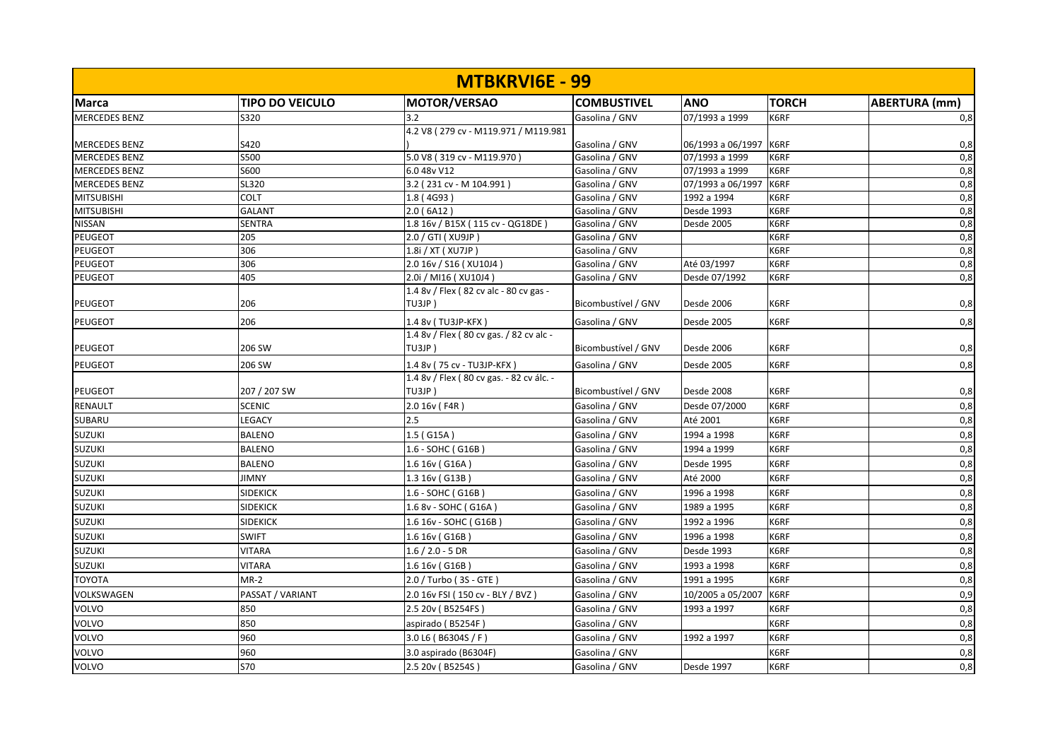| <b>MTBKRVI6E - 99</b> |                        |                                                  |                     |                   |              |                      |  |
|-----------------------|------------------------|--------------------------------------------------|---------------------|-------------------|--------------|----------------------|--|
| <b>Marca</b>          | <b>TIPO DO VEICULO</b> | <b>MOTOR/VERSAO</b>                              | <b>COMBUSTIVEL</b>  | <b>ANO</b>        | <b>TORCH</b> | <b>ABERTURA (mm)</b> |  |
| <b>MERCEDES BENZ</b>  | S320                   | 3.2                                              | Gasolina / GNV      | 07/1993 a 1999    | K6RF         | 0,8                  |  |
|                       |                        | 4.2 V8 (279 cv - M119.971 / M119.981             |                     |                   |              |                      |  |
| <b>MERCEDES BENZ</b>  | S420                   |                                                  | Gasolina / GNV      | 06/1993 a 06/1997 | K6RF         | 0,8                  |  |
| <b>MERCEDES BENZ</b>  | S500                   | 5.0 V8 (319 cv - M119.970)                       | Gasolina / GNV      | 07/1993 a 1999    | K6RF         | 0,8                  |  |
| <b>MERCEDES BENZ</b>  | S600                   | 6.0 48v V12                                      | Gasolina / GNV      | 07/1993 a 1999    | K6RF         | 0,8                  |  |
| <b>MERCEDES BENZ</b>  | SL320                  | 3.2 (231 cv - M 104.991)                         | Gasolina / GNV      | 07/1993 a 06/1997 | K6RF         | 0,8                  |  |
| <b>MITSUBISHI</b>     | COLT                   | 1.8(4G93)                                        | Gasolina / GNV      | 1992 a 1994       | K6RF         | 0,8                  |  |
| <b>MITSUBISHI</b>     | <b>GALANT</b>          | 2.0(6A12)                                        | Gasolina / GNV      | Desde 1993        | K6RF         | 0,8                  |  |
| <b>NISSAN</b>         | <b>SENTRA</b>          | 1.8 16v / B15X (115 cv - QG18DE)                 | Gasolina / GNV      | Desde 2005        | K6RF         | 0,8                  |  |
| <b>PEUGEOT</b>        | 205                    | 2.0 / GTI ( XU9JP )                              | Gasolina / GNV      |                   | K6RF         | 0,8                  |  |
| PEUGEOT               | 306                    | 1.8i / XT ( XU7JP )                              | Gasolina / GNV      |                   | K6RF         | 0,8                  |  |
| PEUGEOT               | 306                    | 2.0 16v / S16 (XU10J4)                           | Gasolina / GNV      | Até 03/1997       | K6RF         | 0,8                  |  |
| <b>PEUGEOT</b>        | 405                    | 2.0i / MI16 (XU10J4)                             | Gasolina / GNV      | Desde 07/1992     | K6RF         | 0,8                  |  |
| <b>PEUGEOT</b>        | 206                    | 1.4 8v / Flex (82 cv alc - 80 cv gas -<br>TU3JP) | Bicombustível / GNV | Desde 2006        | K6RF         | 0,8                  |  |
| <b>PEUGEOT</b>        | 206                    | 1.4 8v (TU3JP-KFX)                               | Gasolina / GNV      | Desde 2005        | K6RF         | 0,8                  |  |
|                       |                        | 1.4 8v / Flex (80 cv gas. / 82 cv alc -          |                     |                   |              |                      |  |
| <b>PEUGEOT</b>        | 206 SW                 | TU3JP)                                           | Bicombustível / GNV | Desde 2006        | K6RF         | 0,8                  |  |
| <b>PEUGEOT</b>        | 206 SW                 | 1.4 8v (75 cv - TU3JP-KFX)                       | Gasolina / GNV      | <b>Desde 2005</b> | K6RF         | 0,8                  |  |
|                       |                        | 1.4 8v / Flex (80 cv gas. - 82 cv álc. -         |                     |                   |              |                      |  |
| <b>PEUGEOT</b>        | 207 / 207 SW           | TU3JP)                                           | Bicombustível / GNV | Desde 2008        | K6RF         | 0,8                  |  |
| <b>RENAULT</b>        | <b>SCENIC</b>          | 2.0 16v (F4R)                                    | Gasolina / GNV      | Desde 07/2000     | K6RF         | 0,8                  |  |
| <b>SUBARU</b>         | LEGACY                 | 2.5                                              | Gasolina / GNV      | Até 2001          | K6RF         | 0,8                  |  |
| <b>SUZUKI</b>         | <b>BALENO</b>          | 1.5 ( G15A )                                     | Gasolina / GNV      | 1994 a 1998       | K6RF         | 0,8                  |  |
| <b>SUZUKI</b>         | <b>BALENO</b>          | 1.6 - SOHC (G16B)                                | Gasolina / GNV      | 1994 a 1999       | K6RF         | 0,8                  |  |
| <b>SUZUKI</b>         | <b>BALENO</b>          | 1.6 16v (G16A)                                   | Gasolina / GNV      | Desde 1995        | K6RF         | 0,8                  |  |
| <b>SUZUKI</b>         | <b>JIMNY</b>           | 1.3 16v (G13B)                                   | Gasolina / GNV      | Até 2000          | K6RF         | 0,8                  |  |
| <b>SUZUKI</b>         | <b>SIDEKICK</b>        | 1.6 - SOHC (G16B)                                | Gasolina / GNV      | 1996 a 1998       | K6RF         | 0,8                  |  |
| <b>SUZUKI</b>         | <b>SIDEKICK</b>        | 1.6 8v - SOHC (G16A)                             | Gasolina / GNV      | 1989 a 1995       | K6RF         | 0,8                  |  |
| <b>SUZUKI</b>         | <b>SIDEKICK</b>        | 1.6 16v - SOHC (G16B)                            | Gasolina / GNV      | 1992 a 1996       | K6RF         | 0,8                  |  |
| <b>SUZUKI</b>         | <b>SWIFT</b>           | 1.6 16v (G16B)                                   | Gasolina / GNV      | 1996 a 1998       | K6RF         | 0,8                  |  |
| <b>SUZUKI</b>         | <b>VITARA</b>          | $1.6 / 2.0 - 5 DR$                               | Gasolina / GNV      | Desde 1993        | K6RF         | 0,8                  |  |
| <b>SUZUKI</b>         | <b>VITARA</b>          | 1.6 16v (G16B)                                   | Gasolina / GNV      | 1993 a 1998       | K6RF         | 0,8                  |  |
| <b>TOYOTA</b>         | $MR-2$                 | 2.0 / Turbo (3S - GTE)                           | Gasolina / GNV      | 1991 a 1995       | K6RF         | 0,8                  |  |
| VOLKSWAGEN            | PASSAT / VARIANT       | 2.0 16v FSI (150 cv - BLY / BVZ)                 | Gasolina / GNV      | 10/2005 a 05/2007 | K6RF         | 0,9                  |  |
| VOLVO                 | 850                    | 2.5 20v (B5254FS)                                | Gasolina / GNV      | 1993 a 1997       | K6RF         | 0,8                  |  |
| VOLVO                 | 850                    | aspirado (B5254F)                                | Gasolina / GNV      |                   | K6RF         | 0,8                  |  |
| VOLVO                 | 960                    | 3.0 L6 (B6304S / F)                              | Gasolina / GNV      | 1992 a 1997       | K6RF         | 0,8                  |  |
| VOLVO                 | 960                    | 3.0 aspirado (B6304F)                            | Gasolina / GNV      |                   | K6RF         | 0,8                  |  |
| VOLVO                 | <b>S70</b>             | 2.5 20v (B5254S)                                 | Gasolina / GNV      | Desde 1997        | K6RF         | 0,8                  |  |
|                       |                        |                                                  |                     |                   |              |                      |  |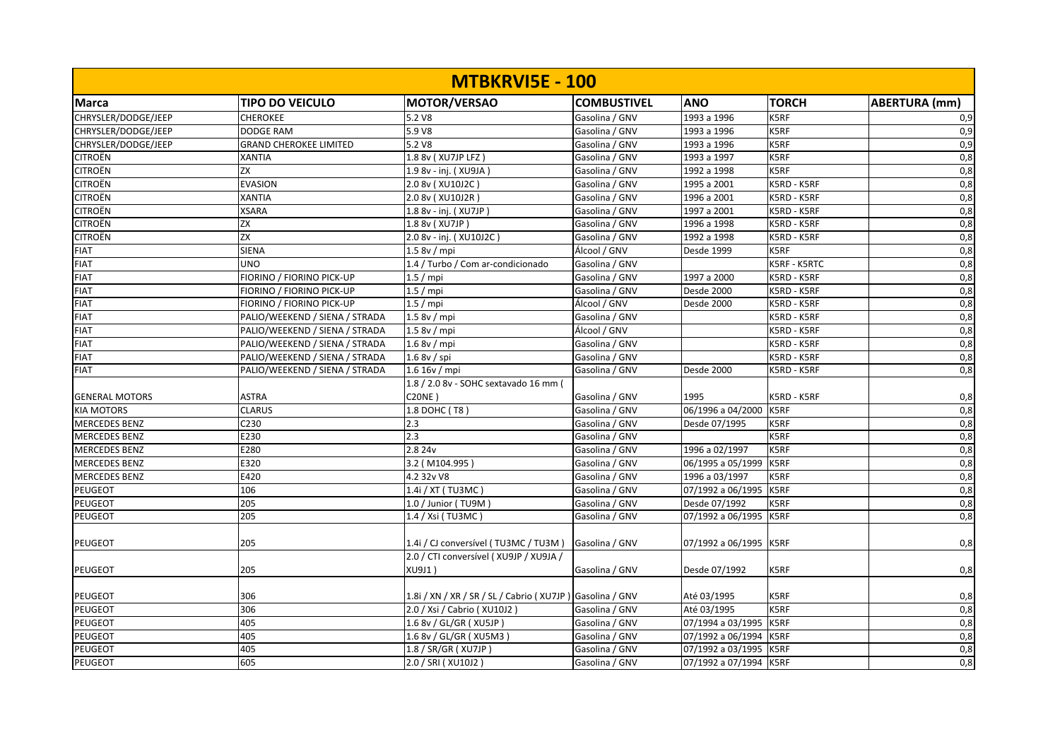| <b>MTBKRVISE - 100</b> |                                |                                                          |                    |                        |              |                      |  |
|------------------------|--------------------------------|----------------------------------------------------------|--------------------|------------------------|--------------|----------------------|--|
| Marca                  | <b>TIPO DO VEICULO</b>         | <b>MOTOR/VERSAO</b>                                      | <b>COMBUSTIVEL</b> | <b>ANO</b>             | <b>TORCH</b> | <b>ABERTURA</b> (mm) |  |
| CHRYSLER/DODGE/JEEP    | <b>CHEROKEE</b>                | 5.2 V8                                                   | Gasolina / GNV     | 1993 a 1996            | K5RF         | 0,9                  |  |
| CHRYSLER/DODGE/JEEP    | <b>DODGE RAM</b>               | 5.9 V8                                                   | Gasolina / GNV     | 1993 a 1996            | K5RF         | 0,9                  |  |
| CHRYSLER/DODGE/JEEP    | <b>GRAND CHEROKEE LIMITED</b>  | 5.2 V8                                                   | Gasolina / GNV     | 1993 a 1996            | K5RF         | 0,9                  |  |
| <b>CITROËN</b>         | <b>XANTIA</b>                  | 1.8 8v ( XU7JP LFZ )                                     | Gasolina / GNV     | 1993 a 1997            | K5RF         | 0,8                  |  |
| <b>CITROËN</b>         | ZX                             | 1.9 8v - inj. (XU9JA)                                    | Gasolina / GNV     | 1992 a 1998            | K5RF         | 0,8                  |  |
| <b>CITROËN</b>         | <b>EVASION</b>                 | 2.0 8v (XU10J2C)                                         | Gasolina / GNV     | 1995 a 2001            | K5RD - K5RF  | 0,8                  |  |
| <b>CITROËN</b>         | <b>XANTIA</b>                  | 2.0 8v (XU10J2R)                                         | Gasolina / GNV     | 1996 a 2001            | K5RD - K5RF  | 0,8                  |  |
| <b>CITROËN</b>         | <b>XSARA</b>                   | 1.8 8v - inj. (XU7JP)                                    | Gasolina / GNV     | 1997 a 2001            | K5RD - K5RF  | 0,8                  |  |
| <b>CITROËN</b>         | ZX                             | 1.8 8v (XU7JP)                                           | Gasolina / GNV     | 1996 a 1998            | K5RD - K5RF  | 0,8                  |  |
| <b>CITROËN</b>         | ZX                             | 2.0 8v - inj. (XU10J2C)                                  | Gasolina / GNV     | 1992 a 1998            | K5RD - K5RF  | 0,8                  |  |
| <b>FIAT</b>            | <b>SIENA</b>                   | 1.58v/mpi                                                | Álcool / GNV       | Desde 1999             | K5RF         | 0,8                  |  |
| <b>FIAT</b>            | <b>UNO</b>                     | 1.4 / Turbo / Com ar-condicionado                        | Gasolina / GNV     |                        | K5RF - K5RTC | 0,8                  |  |
| <b>FIAT</b>            | FIORINO / FIORINO PICK-UP      | 1.5/mpi                                                  | Gasolina / GNV     | 1997 a 2000            | K5RD - K5RF  | 0,8                  |  |
| <b>FIAT</b>            | FIORINO / FIORINO PICK-UP      | $1.5 /$ mpi                                              | Gasolina / GNV     | Desde 2000             | K5RD - K5RF  | 0,8                  |  |
| <b>FIAT</b>            | FIORINO / FIORINO PICK-UP      | 1.5/mpi                                                  | Álcool / GNV       | Desde 2000             | K5RD - K5RF  | 0,8                  |  |
| <b>FIAT</b>            | PALIO/WEEKEND / SIENA / STRADA | 1.58v/mpi                                                | Gasolina / GNV     |                        | K5RD - K5RF  | 0,8                  |  |
| <b>FIAT</b>            | PALIO/WEEKEND / SIENA / STRADA | 1.5 8v / mpi                                             | Álcool / GNV       |                        | K5RD - K5RF  | 0,8                  |  |
| <b>FIAT</b>            | PALIO/WEEKEND / SIENA / STRADA | 1.68v/mpi                                                | Gasolina / GNV     |                        | K5RD - K5RF  | 0,8                  |  |
| <b>FIAT</b>            | PALIO/WEEKEND / SIENA / STRADA | 1.68v / spi                                              | Gasolina / GNV     |                        | K5RD - K5RF  | 0,8                  |  |
| <b>FIAT</b>            | PALIO/WEEKEND / SIENA / STRADA | 1.6 16v/mpi                                              | Gasolina / GNV     | Desde 2000             | K5RD - K5RF  | 0,8                  |  |
|                        |                                | 1.8 / 2.0 8v - SOHC sextavado 16 mm (                    |                    |                        |              |                      |  |
| <b>GENERAL MOTORS</b>  | <b>ASTRA</b>                   | <b>C20NE)</b>                                            | Gasolina / GNV     | 1995                   | K5RD - K5RF  | 0,8                  |  |
| <b>KIA MOTORS</b>      | <b>CLARUS</b>                  | $1.8$ DOHC (T8)                                          | Gasolina / GNV     | 06/1996 a 04/2000      | K5RF         | 0,8                  |  |
| <b>MERCEDES BENZ</b>   | C230                           | 2.3                                                      | Gasolina / GNV     | Desde 07/1995          | K5RF         | 0,8                  |  |
| <b>MERCEDES BENZ</b>   | E230                           | 2.3                                                      | Gasolina / GNV     |                        | K5RF         | 0,8                  |  |
| <b>MERCEDES BENZ</b>   | E280                           | 2.8 24v                                                  | Gasolina / GNV     | 1996 a 02/1997         | K5RF         | 0,8                  |  |
| <b>MERCEDES BENZ</b>   | E320                           | 3.2 (M104.995)                                           | Gasolina / GNV     | 06/1995 a 05/1999      | K5RF         | 0,8                  |  |
| <b>MERCEDES BENZ</b>   | E420                           | 4.2 32v V8                                               | Gasolina / GNV     | 1996 a 03/1997         | K5RF         | 0,8                  |  |
| <b>PEUGEOT</b>         | 106                            | 1.4i / XT (TU3MC)                                        | Gasolina / GNV     | 07/1992 a 06/1995      | K5RF         | 0,8                  |  |
| PEUGEOT                | 205                            | 1.0 / Junior (TU9M)                                      | Gasolina / GNV     | Desde 07/1992          | K5RF         | 0,8                  |  |
| <b>PEUGEOT</b>         | 205                            | 1.4 / Xsi (TU3MC)                                        | Gasolina / GNV     | 07/1992 a 06/1995      | K5RF         | 0,8                  |  |
| PEUGEOT                | 205                            | 1.4i / CJ conversível (TU3MC / TU3M)                     | Gasolina / GNV     | 07/1992 a 06/1995      | K5RF         | 0,8                  |  |
| <b>PEUGEOT</b>         | 205                            | 2.0 / CTI conversível (XU9JP / XU9JA /<br>XU9J1)         | Gasolina / GNV     | Desde 07/1992          | K5RF         | 0,8                  |  |
| <b>PEUGEOT</b>         | 306                            | 1.8i / XN / XR / SR / SL / Cabrio (XU7JP) Gasolina / GNV |                    | Até 03/1995            | K5RF         | 0,8                  |  |
| <b>PEUGEOT</b>         | 306                            | 2.0 / Xsi / Cabrio ( XU10J2 )                            | Gasolina / GNV     | Até 03/1995            | K5RF         | 0,8                  |  |
| <b>PEUGEOT</b>         | 405                            | 1.6 8v / GL/GR ( XU5JP )                                 | Gasolina / GNV     | 07/1994 a 03/1995      | K5RF         | 0,8                  |  |
| PEUGEOT                | 405                            | 1.6 8v / GL/GR (XU5M3)                                   | Gasolina / GNV     | 07/1992 a 06/1994      | K5RF         | 0,8                  |  |
| <b>PEUGEOT</b>         | 405                            | 1.8 / SR/GR ( XU7JP )                                    | Gasolina / GNV     | 07/1992 a 03/1995      | K5RF         | 0,8                  |  |
| <b>PEUGEOT</b>         | 605                            | 2.0 / SRI ( XU10J2 )                                     | Gasolina / GNV     | 07/1992 a 07/1994 K5RF |              | 0,8                  |  |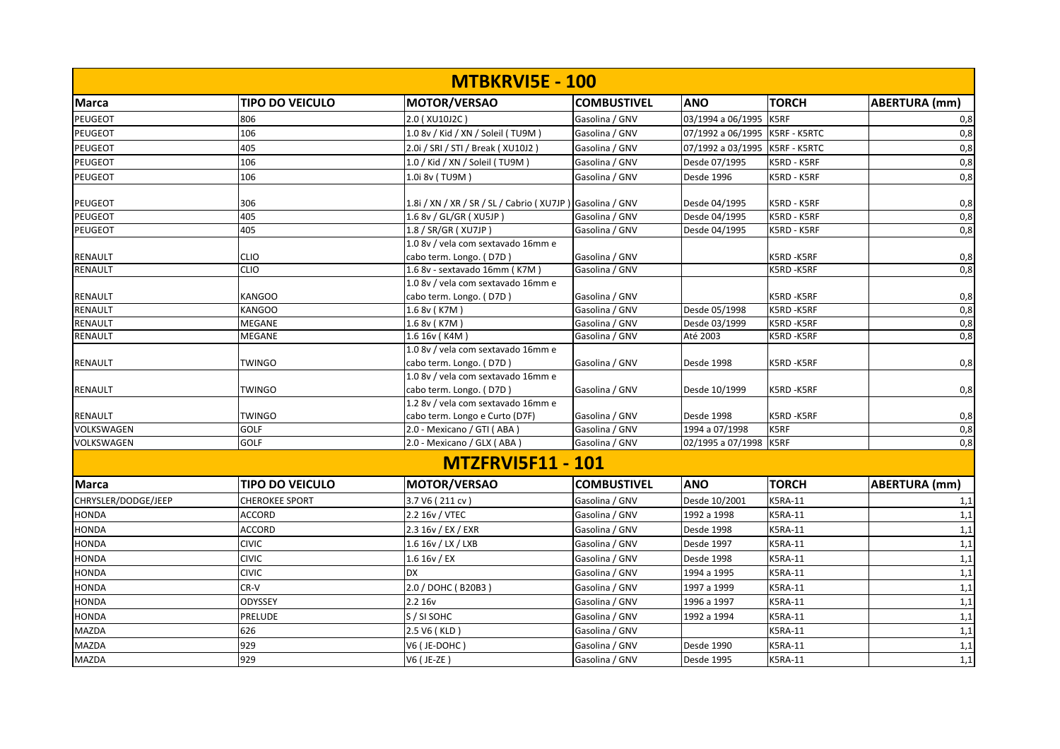|                     |                        | <b>MTBKRVISE - 100</b>                                   |                    |                   |                     |                      |
|---------------------|------------------------|----------------------------------------------------------|--------------------|-------------------|---------------------|----------------------|
| <b>Marca</b>        | <b>TIPO DO VEICULO</b> | MOTOR/VERSAO                                             | <b>COMBUSTIVEL</b> | <b>ANO</b>        | <b>TORCH</b>        | <b>ABERTURA</b> (mm) |
| PEUGEOT             | 806                    | 2.0 (XU10J2C)                                            | Gasolina / GNV     | 03/1994 a 06/1995 | K5RF                | 0,8                  |
| PEUGEOT             | 106                    | 1.0 8v / Kid / XN / Soleil (TU9M)                        | Gasolina / GNV     | 07/1992 a 06/1995 | K5RF - K5RTC        | 0,8                  |
| PEUGEOT             | 405                    | 2.0i / SRI / STI / Break ( XU10J2 )                      | Gasolina / GNV     | 07/1992 a 03/1995 | <b>K5RF - K5RTC</b> | 0,8                  |
| <b>PEUGEOT</b>      | 106                    | 1.0 / Kid / XN / Soleil (TU9M)                           | Gasolina / GNV     | Desde 07/1995     | K5RD - K5RF         | 0,8                  |
| <b>PEUGEOT</b>      | 106                    | 1.0i 8v (TU9M)                                           | Gasolina / GNV     | Desde 1996        | K5RD - K5RF         | $\overline{0,8}$     |
| <b>PEUGEOT</b>      | 306                    | 1.8i / XN / XR / SR / SL / Cabrio (XU7JP) Gasolina / GNV |                    | Desde 04/1995     | K5RD - K5RF         | 0,8                  |
| <b>PEUGEOT</b>      | 405                    | 1.6 8v / GL/GR (XU5JP)                                   | Gasolina / GNV     | Desde 04/1995     | K5RD - K5RF         | 0,8                  |
| <b>PEUGEOT</b>      | 405                    | 1.8 / SR/GR ( XU7JP )                                    | Gasolina / GNV     | Desde 04/1995     | K5RD - K5RF         | 0,8                  |
|                     |                        | 1.0 8v / vela com sextavado 16mm e                       |                    |                   |                     |                      |
| <b>RENAULT</b>      | <b>CLIO</b>            | cabo term. Longo. (D7D)                                  | Gasolina / GNV     |                   | K5RD-K5RF           | 0,8                  |
| <b>RENAULT</b>      | <b>CLIO</b>            | 1.6 8v - sextavado 16mm (K7M)                            | Gasolina / GNV     |                   | K5RD-K5RF           | 0,8                  |
|                     |                        | 1.0 8v / vela com sextavado 16mm e                       |                    |                   |                     |                      |
| <b>RENAULT</b>      | <b>KANGOO</b>          | cabo term. Longo. (D7D)                                  | Gasolina / GNV     |                   | K5RD-K5RF           | 0,8                  |
| RENAULT             | <b>KANGOO</b>          | 1.6 8v (K7M)                                             | Gasolina / GNV     | Desde 05/1998     | K5RD-K5RF           | 0,8                  |
| <b>RENAULT</b>      | MEGANE                 | 1.6 8v (K7M)                                             | Gasolina / GNV     | Desde 03/1999     | K5RD-K5RF           | 0,8                  |
| <b>RENAULT</b>      | MEGANE                 | 1.6 16v (K4M)                                            | Gasolina / GNV     | Até 2003          | K5RD-K5RF           | 0,8                  |
|                     |                        | 1.0 8v / vela com sextavado 16mm e                       |                    |                   |                     |                      |
| <b>RENAULT</b>      | TWINGO                 | cabo term. Longo. (D7D)                                  | Gasolina / GNV     | Desde 1998        | K5RD-K5RF           | 0,8                  |
|                     |                        | 1.0 8v / vela com sextavado 16mm e                       |                    |                   |                     |                      |
| <b>RENAULT</b>      | <b>TWINGO</b>          | cabo term. Longo. (D7D)                                  | Gasolina / GNV     | Desde 10/1999     | K5RD-K5RF           | 0,8                  |
|                     |                        | 1.2 8v / vela com sextavado 16mm e                       |                    |                   |                     |                      |
| <b>RENAULT</b>      | <b>TWINGO</b>          | cabo term. Longo e Curto (D7F)                           | Gasolina / GNV     | Desde 1998        | K5RD-K5RF           | 0,8                  |
| VOLKSWAGEN          | GOLF                   | 2.0 - Mexicano / GTI (ABA)                               | Gasolina / GNV     | 1994 a 07/1998    | K5RF                | 0,8                  |
| <b>VOLKSWAGEN</b>   | GOLF                   | 2.0 - Mexicano / GLX (ABA)                               | Gasolina / GNV     | 02/1995 a 07/1998 | K5RF                | $\overline{0,8}$     |
|                     |                        | <b>MTZFRVI5F11 - 101</b>                                 |                    |                   |                     |                      |
| Marca               | <b>TIPO DO VEICULO</b> | MOTOR/VERSAO                                             | <b>COMBUSTIVEL</b> | <b>ANO</b>        | <b>TORCH</b>        | <b>ABERTURA (mm)</b> |
| CHRYSLER/DODGE/JEEP | <b>CHEROKEE SPORT</b>  | 3.7 V6 (211 cv)                                          | Gasolina / GNV     | Desde 10/2001     | <b>K5RA-11</b>      | 1,1                  |
| <b>HONDA</b>        | ACCORD                 | 2.2 16v / VTEC                                           | Gasolina / GNV     | 1992 a 1998       | <b>K5RA-11</b>      | 1,1                  |
| <b>HONDA</b>        | <b>ACCORD</b>          | 2.3 16v / EX / EXR                                       | Gasolina / GNV     | Desde 1998        | <b>K5RA-11</b>      | 1,1                  |
| <b>HONDA</b>        | <b>CIVIC</b>           | 1.6 16v / LX / LXB                                       | Gasolina / GNV     | Desde 1997        | <b>K5RA-11</b>      | 1,1                  |
| <b>HONDA</b>        | CIVIC                  | $1.6$ 16v / EX                                           | Gasolina / GNV     | Desde 1998        | <b>K5RA-11</b>      | 1,1                  |
| <b>HONDA</b>        | <b>CIVIC</b>           | <b>DX</b>                                                | Gasolina / GNV     | 1994 a 1995       | <b>K5RA-11</b>      | 1,1                  |
| <b>HONDA</b>        | CR-V                   | 2.0 / DOHC (B20B3)                                       | Gasolina / GNV     | 1997 a 1999       | <b>K5RA-11</b>      | 1,1                  |
| <b>HONDA</b>        | ODYSSEY                | 2.2 16v                                                  | Gasolina / GNV     | 1996 a 1997       | <b>K5RA-11</b>      | 1,1                  |
| <b>HONDA</b>        | PRELUDE                | S / SI SOHC                                              | Gasolina / GNV     | 1992 a 1994       | <b>K5RA-11</b>      | 1,1                  |
| <b>MAZDA</b>        | 626                    | 2.5 V6 (KLD)                                             | Gasolina / GNV     |                   | <b>K5RA-11</b>      | 1,1                  |
| <b>MAZDA</b>        | 929                    | V6 (JE-DOHC)                                             | Gasolina / GNV     | Desde 1990        | K5RA-11             | 1,1                  |
| <b>MAZDA</b>        | 929                    | V6 (JE-ZE)                                               | Gasolina / GNV     | <b>Desde 1995</b> | <b>K5RA-11</b>      | 1,1                  |
|                     |                        |                                                          |                    |                   |                     |                      |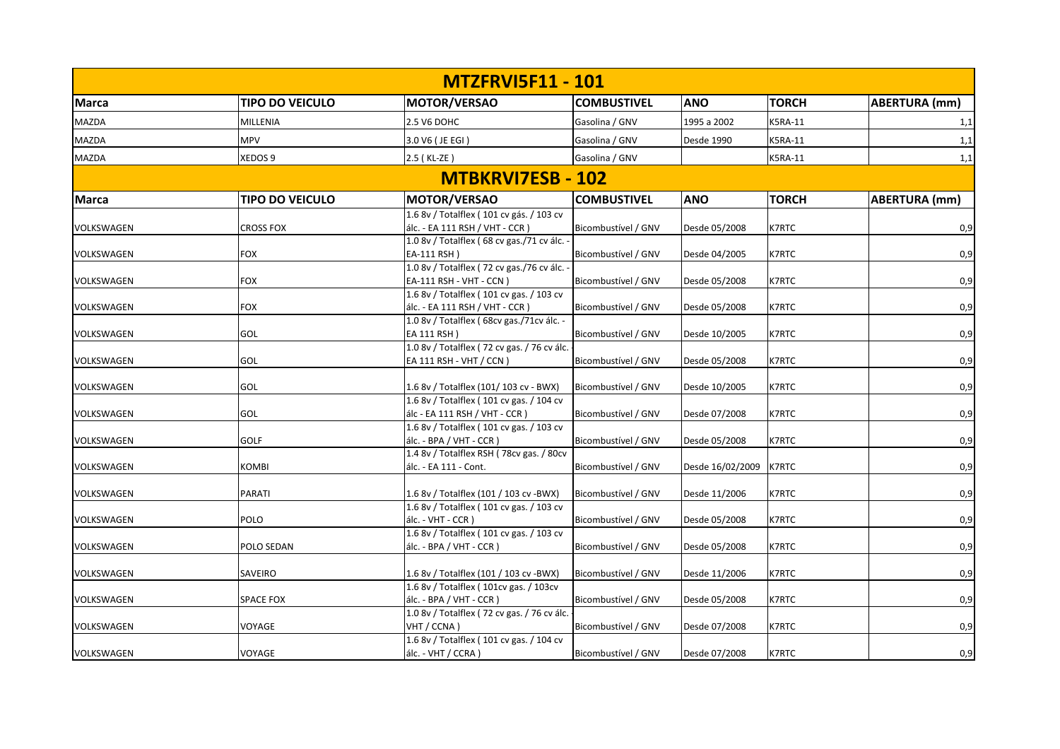|              |                        | <b>MTZFRVI5F11 - 101</b>                                                                                         |                     |                  |              |                      |
|--------------|------------------------|------------------------------------------------------------------------------------------------------------------|---------------------|------------------|--------------|----------------------|
| <b>Marca</b> | <b>TIPO DO VEICULO</b> | MOTOR/VERSAO                                                                                                     | <b>COMBUSTIVEL</b>  | <b>ANO</b>       | <b>TORCH</b> | <b>ABERTURA</b> (mm) |
| <b>MAZDA</b> | MILLENIA               | 2.5 V6 DOHC                                                                                                      | Gasolina / GNV      | 1995 a 2002      | K5RA-11      | 1,1                  |
| <b>MAZDA</b> | <b>MPV</b>             | 3.0 V6 (JE EGI)                                                                                                  | Gasolina / GNV      | Desde 1990       | K5RA-11      | 1,1                  |
| <b>MAZDA</b> | XEDOS 9                | 2.5 (KL-ZE)                                                                                                      | Gasolina / GNV      |                  | K5RA-11      | 1,1                  |
|              |                        | <b>MTBKRVI7ESB - 102</b>                                                                                         |                     |                  |              |                      |
| <b>Marca</b> | <b>TIPO DO VEICULO</b> | MOTOR/VERSAO                                                                                                     | <b>COMBUSTIVEL</b>  | <b>ANO</b>       | <b>TORCH</b> | <b>ABERTURA</b> (mm) |
| VOLKSWAGEN   | <b>CROSS FOX</b>       | 1.6 8v / Totalflex (101 cv gás. / 103 cv<br>álc. - EA 111 RSH / VHT - CCR)                                       | Bicombustível / GNV | Desde 05/2008    | K7RTC        | 0,9                  |
| VOLKSWAGEN   | <b>FOX</b>             | 1.0 8v / Totalflex (68 cv gas./71 cv álc. -<br>EA-111 RSH)                                                       | Bicombustível / GNV | Desde 04/2005    | <b>K7RTC</b> | 0,9                  |
| VOLKSWAGEN   | <b>FOX</b>             | 1.0 8v / Totalflex (72 cv gas./76 cv álc.<br>EA-111 RSH - VHT - CCN)<br>1.6 8v / Totalflex (101 cv gas. / 103 cv | Bicombustível / GNV | Desde 05/2008    | <b>K7RTC</b> | 0,9                  |
| VOLKSWAGEN   | <b>FOX</b>             | álc. - EA 111 RSH / VHT - CCR)<br>1.0 8v / Totalflex (68cv gas./71cv álc. -                                      | Bicombustível / GNV | Desde 05/2008    | K7RTC        | 0,9                  |
| VOLKSWAGEN   | GOL                    | EA 111 RSH)<br>1.0 8v / Totalflex (72 cv gas. / 76 cv álc.                                                       | Bicombustível / GNV | Desde 10/2005    | <b>K7RTC</b> | 0,9                  |
| VOLKSWAGEN   | GOL                    | EA 111 RSH - VHT / CCN)                                                                                          | Bicombustível / GNV | Desde 05/2008    | <b>K7RTC</b> | 0,9                  |
| VOLKSWAGEN   | GOL                    | 1.6 8v / Totalflex (101/ 103 cv - BWX)<br>1.6 8v / Totalflex (101 cv gas. / 104 cv                               | Bicombustível / GNV | Desde 10/2005    | <b>K7RTC</b> | 0,9                  |
| VOLKSWAGEN   | GOL                    | álc - EA 111 RSH / VHT - CCR)<br>1.6 8v / Totalflex (101 cv gas. / 103 cv                                        | Bicombustível / GNV | Desde 07/2008    | <b>K7RTC</b> | 0,9                  |
| VOLKSWAGEN   | GOLF                   | $álc. - BPA / VHT - CCR$ )<br>1.4 8v / Totalflex RSH (78cv gas. / 80cv                                           | Bicombustível / GNV | Desde 05/2008    | <b>K7RTC</b> | 0,9                  |
| VOLKSWAGEN   | <b>KOMBI</b>           | álc. - EA 111 - Cont.                                                                                            | Bicombustível / GNV | Desde 16/02/2009 | <b>K7RTC</b> | 0,9                  |
| VOLKSWAGEN   | PARATI                 | 1.6 8v / Totalflex (101 / 103 cv -BWX)<br>1.6 8v / Totalflex (101 cv gas. / 103 cv                               | Bicombustível / GNV | Desde 11/2006    | <b>K7RTC</b> | 0,9                  |
| VOLKSWAGEN   | POLO                   | álc. - VHT - CCR)<br>1.6 8v / Totalflex (101 cv gas. / 103 cv                                                    | Bicombustível / GNV | Desde 05/2008    | <b>K7RTC</b> | 0,9                  |
| VOLKSWAGEN   | POLO SEDAN             | álc. - BPA / VHT - CCR)                                                                                          | Bicombustível / GNV | Desde 05/2008    | K7RTC        | 0,9                  |
| VOLKSWAGEN   | SAVEIRO                | 1.6 8v / Totalflex (101 / 103 cv -BWX)<br>1.6 8v / Totalflex (101cv gas. / 103cv                                 | Bicombustível / GNV | Desde 11/2006    | <b>K7RTC</b> | 0,9                  |
| VOLKSWAGEN   | <b>SPACE FOX</b>       | álc. - BPA / VHT - CCR)<br>1.0 8v / Totalflex (72 cv gas. / 76 cv álc.                                           | Bicombustível / GNV | Desde 05/2008    | <b>K7RTC</b> | 0,9                  |
| VOLKSWAGEN   | VOYAGE                 | VHT / CCNA)<br>1.6 8v / Totalflex (101 cv gas. / 104 cv                                                          | Bicombustível / GNV | Desde 07/2008    | K7RTC        | 0,9                  |
| VOLKSWAGEN   | VOYAGE                 | álc. - VHT / CCRA)                                                                                               | Bicombustível / GNV | Desde 07/2008    | <b>K7RTC</b> | 0,9                  |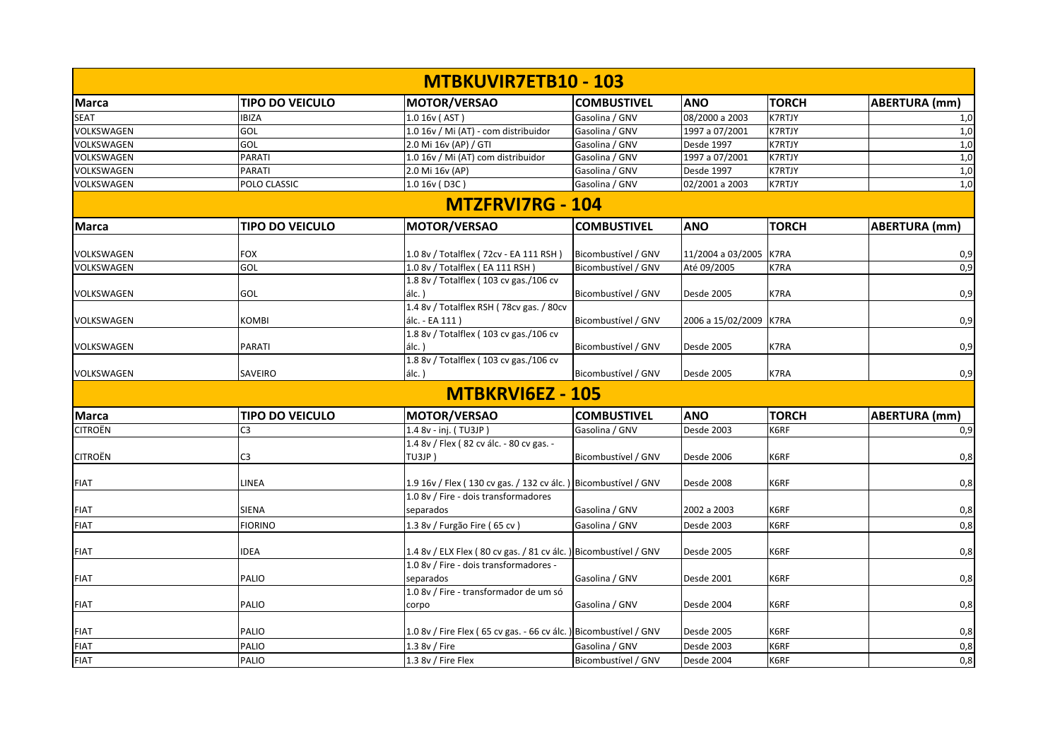|                |                        | <b>MTBKUVIR7ETB10 - 103</b>                                       |                     |                        |               |                      |
|----------------|------------------------|-------------------------------------------------------------------|---------------------|------------------------|---------------|----------------------|
| <b>Marca</b>   | <b>TIPO DO VEICULO</b> | MOTOR/VERSAO                                                      | <b>COMBUSTIVEL</b>  | <b>ANO</b>             | <b>TORCH</b>  | ABERTURA (mm)        |
| <b>SEAT</b>    | <b>IBIZA</b>           | 1.0 16v (AST)                                                     | Gasolina / GNV      | 08/2000 a 2003         | <b>K7RTJY</b> | 1,0                  |
| VOLKSWAGEN     | GOL                    | 1.0 16v / Mi (AT) - com distribuidor                              | Gasolina / GNV      | 1997 a 07/2001         | <b>K7RTJY</b> | 1,0                  |
| VOLKSWAGEN     | GOL                    | 2.0 Mi 16v (AP) / GTI                                             | Gasolina / GNV      | Desde 1997             | <b>K7RTJY</b> | 1,0                  |
| VOLKSWAGEN     | <b>PARATI</b>          | 1.0 16v / Mi (AT) com distribuidor                                | Gasolina / GNV      | 1997 a 07/2001         | <b>K7RTJY</b> | 1,0                  |
| VOLKSWAGEN     | PARATI                 | 2.0 Mi 16v (AP)                                                   | Gasolina / GNV      | Desde 1997             | <b>K7RTJY</b> | 1,0                  |
| VOLKSWAGEN     | POLO CLASSIC           | 1.0 16v (D3C)                                                     | Gasolina / GNV      | 02/2001 a 2003         | <b>K7RTJY</b> | 1,0                  |
|                |                        | <b>MTZFRVI7RG - 104</b>                                           |                     |                        |               |                      |
| <b>Marca</b>   | <b>TIPO DO VEICULO</b> | MOTOR/VERSAO                                                      | <b>COMBUSTIVEL</b>  | <b>ANO</b>             | <b>TORCH</b>  | <b>ABERTURA</b> (mm) |
| VOLKSWAGEN     | <b>FOX</b>             | 1.0 8v / Totalflex (72cv - EA 111 RSH)                            | Bicombustível / GNV | 11/2004 a 03/2005      | K7RA          | 0,9                  |
| VOLKSWAGEN     | GOL                    | 1.0 8v / Totalflex (EA 111 RSH)                                   | Bicombustível / GNV | Até 09/2005            | K7RA          | 0,9                  |
|                |                        | 1.8 8v / Totalflex (103 cv gas./106 cv                            |                     |                        |               |                      |
| VOLKSWAGEN     | GOL                    | $álc.$ )                                                          | Bicombustível / GNV | Desde 2005             | K7RA          | 0,9                  |
|                |                        | 1.4 8v / Totalflex RSH (78cv gas. / 80cv                          |                     |                        |               |                      |
| VOLKSWAGEN     | <b>KOMBI</b>           | álc. - EA 111)                                                    | Bicombustível / GNV | 2006 a 15/02/2009 K7RA |               | 0,9                  |
|                |                        | 1.8 8v / Totalflex (103 cv gas./106 cv                            |                     |                        |               |                      |
| VOLKSWAGEN     | PARATI                 | álc.)                                                             | Bicombustível / GNV | <b>Desde 2005</b>      | K7RA          | 0,9                  |
|                |                        | 1.8 8v / Totalflex (103 cv gas./106 cv                            |                     |                        |               |                      |
| VOLKSWAGEN     | SAVEIRO                | $álc.$ )                                                          | Bicombustível / GNV | <b>Desde 2005</b>      | K7RA          | 0,9                  |
|                |                        | <b>MTBKRVI6EZ - 105</b>                                           |                     |                        |               |                      |
| <b>Marca</b>   | <b>TIPO DO VEICULO</b> | MOTOR/VERSAO                                                      | <b>COMBUSTIVEL</b>  | <b>ANO</b>             | <b>TORCH</b>  | <b>ABERTURA</b> (mm) |
| <b>CITROËN</b> | C <sub>3</sub>         | 1.4 8v - inj. (TU3JP)                                             | Gasolina / GNV      | Desde 2003             | K6RF          | 0,9                  |
|                |                        | 1.4 8v / Flex (82 cv álc. - 80 cv gas. -                          |                     |                        |               |                      |
| <b>CITROËN</b> | C3                     | TU3JP)                                                            | Bicombustível / GNV | Desde 2006             | K6RF          | 0,8                  |
| <b>FIAT</b>    | LINEA                  | 1.9 16v / Flex (130 cv gas. / 132 cv álc.) Bicombustível / GNV    |                     | Desde 2008             | K6RF          | 0,8                  |
|                |                        | 1.0 8v / Fire - dois transformadores                              |                     |                        |               |                      |
| <b>FIAT</b>    | <b>SIENA</b>           | separados                                                         | Gasolina / GNV      | 2002 a 2003            | K6RF          | 0,8                  |
| <b>FIAT</b>    | <b>FIORINO</b>         | 1.3 8v / Furgão Fire (65 cv)                                      | Gasolina / GNV      | Desde 2003             | K6RF          | 0,8                  |
|                |                        |                                                                   |                     |                        |               |                      |
| <b>FIAT</b>    | <b>IDEA</b>            | 1.4 8v / ELX Flex (80 cv gas. / 81 cv álc. ) Bicombustível / GNV  |                     | Desde 2005             | K6RF          | 0,8                  |
|                |                        | 1.0 8v / Fire - dois transformadores -                            |                     |                        |               |                      |
| <b>FIAT</b>    | PALIO                  | separados                                                         | Gasolina / GNV      | <b>Desde 2001</b>      | K6RF          | 0,8                  |
|                |                        | 1.0 8v / Fire - transformador de um só                            |                     |                        |               |                      |
| <b>FIAT</b>    | PALIO                  | corpo                                                             | Gasolina / GNV      | Desde 2004             | K6RF          | 0,8                  |
|                |                        |                                                                   |                     |                        |               |                      |
| <b>FIAT</b>    | PALIO                  | 1.0 8v / Fire Flex (65 cv gas. - 66 cv álc. ) Bicombustível / GNV |                     | Desde 2005             | K6RF          | 0,8                  |
| <b>FIAT</b>    | PALIO                  | 1.3 8v / Fire                                                     | Gasolina / GNV      | Desde 2003             | K6RF          | 0,8                  |
| <b>FIAT</b>    | PALIO                  | 1.3 8v / Fire Flex                                                | Bicombustível / GNV | Desde 2004             | K6RF          | 0,8                  |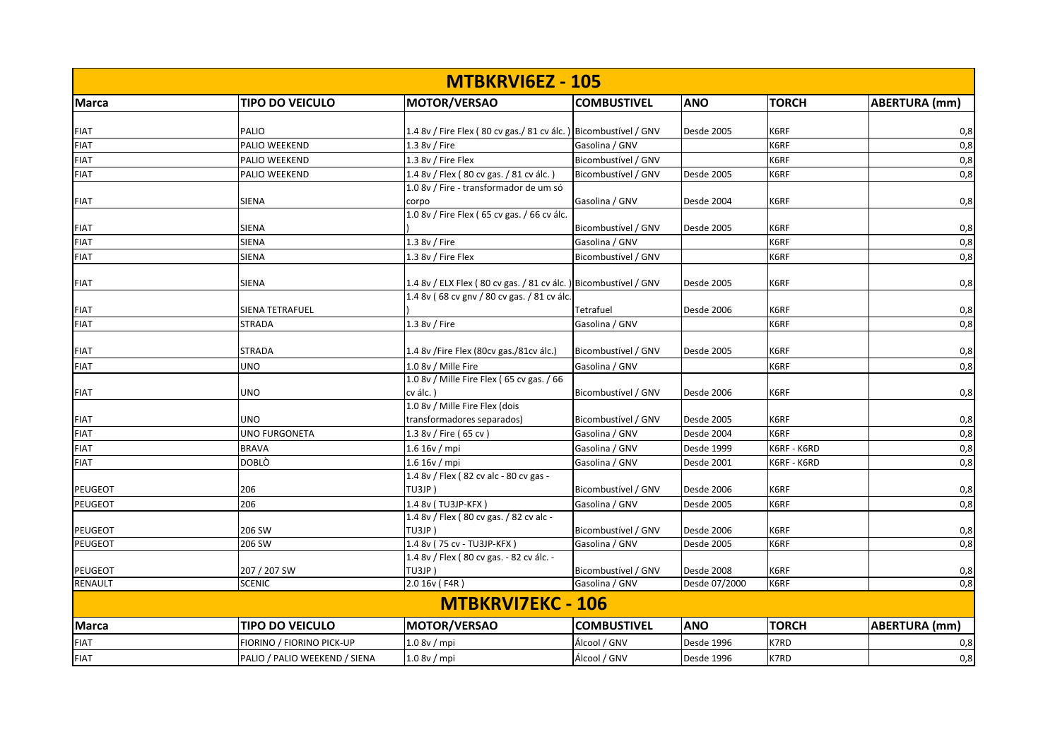|                    |                               | <b>MTBKRVI6EZ - 105</b>                                          |                     |                   |              |                      |
|--------------------|-------------------------------|------------------------------------------------------------------|---------------------|-------------------|--------------|----------------------|
| <b>Marca</b>       | <b>TIPO DO VEICULO</b>        | MOTOR/VERSAO                                                     | <b>COMBUSTIVEL</b>  | <b>ANO</b>        | <b>TORCH</b> | <b>ABERTURA</b> (mm) |
| <b>FIAT</b>        | PALIO                         | 1.4 8v / Fire Flex (80 cv gas./ 81 cv álc.) Bicombustível / GNV  |                     | Desde 2005        | K6RF         | 0,8                  |
| <b>FIAT</b>        | PALIO WEEKEND                 | 1.3 8v / Fire                                                    | Gasolina / GNV      |                   | K6RF         | 0,8                  |
| <b>FIAT</b>        | PALIO WEEKEND                 | 1.3 8v / Fire Flex                                               | Bicombustível / GNV |                   | K6RF         | 0,8                  |
| <b>FIAT</b>        | PALIO WEEKEND                 | 1.4 8v / Flex (80 cv gas. / 81 cv álc.)                          | Bicombustível / GNV | <b>Desde 2005</b> | K6RF         | 0,8                  |
|                    |                               | 1.0 8v / Fire - transformador de um só                           |                     |                   |              |                      |
| <b>FIAT</b>        | SIENA                         | corpo                                                            | Gasolina / GNV      | Desde 2004        | K6RF         | 0,8                  |
|                    |                               | 1.0 8v / Fire Flex (65 cv gas. / 66 cv álc.                      |                     |                   |              |                      |
| <b>FIAT</b>        | <b>SIENA</b>                  |                                                                  | Bicombustível / GNV | <b>Desde 2005</b> | K6RF         | 0,8                  |
| <b>FIAT</b>        | SIENA                         | 1.3 8v / Fire                                                    | Gasolina / GNV      |                   | K6RF         | 0,8                  |
| <b>FIAT</b>        | <b>SIENA</b>                  | 1.3 8v / Fire Flex                                               | Bicombustível / GNV |                   | K6RF         | 0,8                  |
|                    | SIENA                         | 1.4 8v / ELX Flex (80 cv gas. / 81 cv álc. ) Bicombustível / GNV |                     | Desde 2005        | K6RF         |                      |
| <b>FIAT</b>        |                               | 1.4 8v (68 cv gnv / 80 cv gas. / 81 cv álc.                      |                     |                   |              | 0,8                  |
| FIAT               | SIENA TETRAFUEL               |                                                                  | Tetrafuel           | Desde 2006        | K6RF         | 0,8                  |
| <b>FIAT</b>        | <b>STRADA</b>                 | 1.3 8v / Fire                                                    | Gasolina / GNV      |                   | K6RF         | 0,8                  |
|                    |                               |                                                                  |                     |                   |              |                      |
| <b>FIAT</b>        | <b>STRADA</b>                 | 1.4 8v /Fire Flex (80cv gas./81cv álc.)                          | Bicombustível / GNV | Desde 2005        | K6RF         | 0,8                  |
| <b>FIAT</b>        | UNO                           | 1.0 8v / Mille Fire                                              | Gasolina / GNV      |                   | K6RF         | 0,8                  |
|                    |                               | 1.0 8v / Mille Fire Flex (65 cv gas. / 66                        |                     |                   |              |                      |
| <b>FIAT</b>        | UNO                           | cv álc.)                                                         | Bicombustível / GNV | Desde 2006        | K6RF         | 0,8                  |
|                    |                               | 1.0 8v / Mille Fire Flex (dois                                   |                     |                   |              |                      |
| <b>FIAT</b>        | UNO                           | transformadores separados)                                       | Bicombustível / GNV | <b>Desde 2005</b> | K6RF         | 0,8                  |
| <b>FIAT</b>        | UNO FURGONETA                 | 1.3 8v / Fire (65 cv)                                            | Gasolina / GNV      | Desde 2004        | K6RF         | 0,8                  |
| <b>FIAT</b>        | <b>BRAVA</b>                  | 1.6 16v / mpi                                                    | Gasolina / GNV      | Desde 1999        | K6RF - K6RD  | 0,8                  |
| <b>FIAT</b>        | <b>DOBLÒ</b>                  | 1.616v/mpi                                                       | Gasolina / GNV      | <b>Desde 2001</b> | K6RF - K6RD  | 0,8                  |
|                    |                               | 1.4 8v / Flex (82 cv alc - 80 cv gas -                           |                     |                   |              |                      |
| PEUGEOT            | 206                           | TU3JP)                                                           | Bicombustível / GNV | Desde 2006        | K6RF         | 0,8                  |
| <b>PEUGEOT</b>     | 206                           | 1.4 8v (TU3JP-KFX)                                               | Gasolina / GNV      | Desde 2005        | K6RF         | 0,8                  |
|                    |                               | 1.4 8v / Flex (80 cv gas. / 82 cv alc -                          |                     |                   |              |                      |
| <b>PEUGEOT</b>     | 206 SW                        | TU3JP)                                                           | Bicombustível / GNV | Desde 2006        | K6RF         | 0,8                  |
| PEUGEOT            | 206 SW                        | 1.4 8v (75 cv - TU3JP-KFX)                                       | Gasolina / GNV      | Desde 2005        | K6RF         | 0,8                  |
|                    |                               | 1.4 8v / Flex (80 cv gas. - 82 cv álc. -                         |                     |                   |              |                      |
| PEUGEOT<br>RENAULT | 207 / 207 SW                  | TU3JP)                                                           | Bicombustível / GNV | Desde 2008        | K6RF         | 0,8<br>0,8           |
|                    | <b>SCENIC</b>                 | 2.0 16v (F4R)                                                    | Gasolina / GNV      | Desde 07/2000     | K6RF         |                      |
|                    |                               | <b>MTBKRVI7EKC - 106</b>                                         |                     |                   |              |                      |
| <b>Marca</b>       | <b>TIPO DO VEICULO</b>        | MOTOR/VERSAO                                                     | <b>COMBUSTIVEL</b>  | <b>ANO</b>        | <b>TORCH</b> | <b>ABERTURA (mm)</b> |
| <b>FIAT</b>        | FIORINO / FIORINO PICK-UP     | 1.08v/mpi                                                        | Álcool / GNV        | Desde 1996        | K7RD         | 0,8                  |
| <b>FIAT</b>        | PALIO / PALIO WEEKEND / SIENA | 1.08v/mpi                                                        | Álcool / GNV        | Desde 1996        | K7RD         | 0,8                  |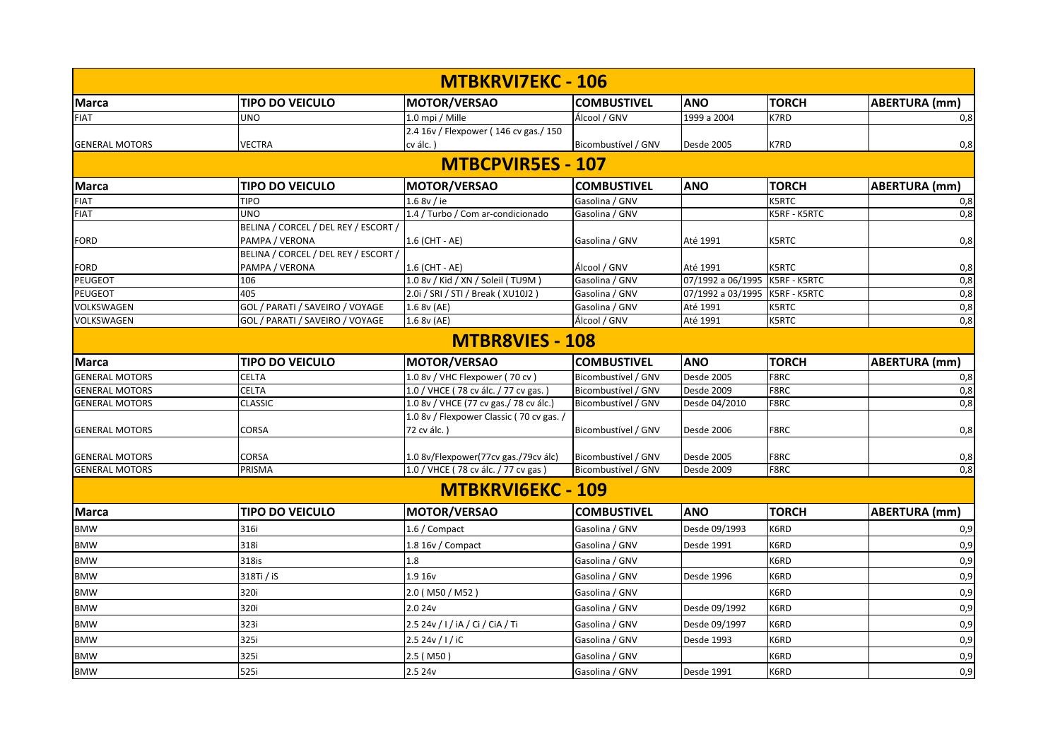|                          |                                                                    | <b>MTBKRVI7EKC - 106</b>                 |                                |                                |                       |                      |
|--------------------------|--------------------------------------------------------------------|------------------------------------------|--------------------------------|--------------------------------|-----------------------|----------------------|
| <b>Marca</b>             | <b>TIPO DO VEICULO</b>                                             | <b>MOTOR/VERSAO</b>                      | <b>COMBUSTIVEL</b>             | <b>ANO</b>                     | <b>TORCH</b>          | <b>ABERTURA (mm)</b> |
| <b>FIAT</b>              | <b>UNO</b>                                                         | 1.0 mpi / Mille                          | Álcool / GNV                   | 1999 a 2004                    | K7RD                  | 0,8                  |
|                          |                                                                    | 2.4 16v / Flexpower (146 cv gas./150)    |                                |                                |                       |                      |
| <b>GENERAL MOTORS</b>    | <b>VECTRA</b>                                                      | cv álc.)                                 | Bicombustível / GNV            | <b>Desde 2005</b>              | K7RD                  | 0,8                  |
|                          |                                                                    | <b>MTBCPVIR5ES - 107</b>                 |                                |                                |                       |                      |
| <b>Marca</b>             | <b>TIPO DO VEICULO</b>                                             | <b>MOTOR/VERSAO</b>                      | <b>COMBUSTIVEL</b>             | <b>ANO</b>                     | <b>TORCH</b>          | <b>ABERTURA</b> (mm) |
| <b>FIAT</b>              | <b>TIPO</b>                                                        | 1.6 8v / ie                              | Gasolina / GNV                 |                                | <b>K5RTC</b>          | 0,8                  |
| <b>FIAT</b>              | <b>UNO</b>                                                         | 1.4 / Turbo / Com ar-condicionado        | Gasolina / GNV                 |                                | K5RF - K5RTC          | 0,8                  |
|                          | BELINA / CORCEL / DEL REY / ESCORT /                               |                                          |                                |                                |                       |                      |
| <b>FORD</b>              | PAMPA / VERONA                                                     | 1.6 (CHT - AE)                           | Gasolina / GNV                 | Até 1991                       | K5RTC                 | 0,8                  |
|                          | BELINA / CORCEL / DEL REY / ESCORT /                               |                                          |                                |                                |                       |                      |
| <b>FORD</b>              | PAMPA / VERONA                                                     | 1.6 (CHT - AE)                           | Álcool / GNV                   | Até 1991                       | <b>K5RTC</b>          | 0,8                  |
| <b>PEUGEOT</b>           | 106                                                                | 1.0 8v / Kid / XN / Soleil (TU9M)        | Gasolina / GNV                 | 07/1992 a 06/1995 K5RF - K5RTC |                       | 0,8                  |
| <b>PEUGEOT</b>           | 405                                                                | 2.0i / SRI / STI / Break ( XU10J2 )      | Gasolina / GNV                 | 07/1992 a 03/1995              | <b>K5RF - K5RTC</b>   | 0,8                  |
| VOLKSWAGEN<br>VOLKSWAGEN | GOL / PARATI / SAVEIRO / VOYAGE<br>GOL / PARATI / SAVEIRO / VOYAGE | 1.6 8v (AE)                              | Gasolina / GNV<br>Álcool / GNV | Até 1991<br>Até 1991           | <b>K5RTC</b><br>K5RTC | 0,8<br>0,8           |
|                          |                                                                    | 1.6 8v (AE)                              |                                |                                |                       |                      |
|                          |                                                                    | <b>MTBR8VIES - 108</b>                   |                                |                                |                       |                      |
| Marca                    | <b>TIPO DO VEICULO</b>                                             | <b>MOTOR/VERSAO</b>                      | <b>COMBUSTIVEL</b>             | <b>ANO</b>                     | <b>TORCH</b>          | <b>ABERTURA (mm)</b> |
| <b>GENERAL MOTORS</b>    | <b>CELTA</b>                                                       | 1.0 8v / VHC Flexpower (70 cv)           | Bicombustível / GNV            | Desde 2005                     | F8RC                  | 0,8                  |
| <b>GENERAL MOTORS</b>    | <b>CELTA</b>                                                       | 1.0 / VHCE (78 cv álc. / 77 cv gas.)     | Bicombustível / GNV            | Desde 2009                     | F8RC                  | $\overline{0,8}$     |
| <b>GENERAL MOTORS</b>    | <b>CLASSIC</b>                                                     | 1.0 8v / VHCE (77 cv gas./ 78 cv álc.)   | Bicombustível / GNV            | Desde 04/2010                  | F8RC                  | 0,8                  |
|                          |                                                                    | 1.0 8v / Flexpower Classic (70 cv gas. / |                                |                                |                       |                      |
| <b>GENERAL MOTORS</b>    | CORSA                                                              | 72 cv álc.)                              | Bicombustível / GNV            | Desde 2006                     | F8RC                  | 0,8                  |
| <b>GENERAL MOTORS</b>    | CORSA                                                              | 1.0 8v/Flexpower(77cv gas./79cv álc)     | Bicombustível / GNV            | Desde 2005                     | F8RC                  | 0,8                  |
| <b>GENERAL MOTORS</b>    | PRISMA                                                             | 1.0 / VHCE (78 cv álc. / 77 cv gas)      | Bicombustível / GNV            | Desde 2009                     | F8RC                  | 0,8                  |
|                          |                                                                    | <b>MTBKRVI6EKC - 109</b>                 |                                |                                |                       |                      |
| <b>Marca</b>             | <b>TIPO DO VEICULO</b>                                             | <b>MOTOR/VERSAO</b>                      | <b>COMBUSTIVEL</b>             | <b>ANO</b>                     | <b>TORCH</b>          | <b>ABERTURA</b> (mm) |
| <b>BMW</b>               | 316i                                                               | 1.6 / Compact                            | Gasolina / GNV                 | Desde 09/1993                  | K6RD                  | 0,9                  |
| <b>BMW</b>               | 318i                                                               | 1.8 16v / Compact                        | Gasolina / GNV                 | Desde 1991                     | K6RD                  | 0,9                  |
| <b>BMW</b>               | 318is                                                              | 1.8                                      | Gasolina / GNV                 |                                | K6RD                  | 0,9                  |
| <b>BMW</b>               | 318Ti / iS                                                         | 1.9 16v                                  | Gasolina / GNV                 | Desde 1996                     | K6RD                  | 0,9                  |
| <b>BMW</b>               | 320i                                                               | 2.0 (M50 / M52)                          | Gasolina / GNV                 |                                | K6RD                  | 0,9                  |
| <b>BMW</b>               | 320i                                                               | 2.0 24v                                  | Gasolina / GNV                 | Desde 09/1992                  | K6RD                  | 0,9                  |
| <b>BMW</b>               | 323i                                                               | 2.5 24v / I / iA / Ci / CiA / Ti         | Gasolina / GNV                 | Desde 09/1997                  | K6RD                  | 0,9                  |
| <b>BMW</b>               | 325i                                                               | 2.5 24v / I / iC                         | Gasolina / GNV                 | Desde 1993                     | K6RD                  | 0,9                  |
| <b>BMW</b>               | 325i                                                               | 2.5(M50)                                 | Gasolina / GNV                 |                                | K6RD                  | 0,9                  |
| <b>BMW</b>               | 525i                                                               | 2.5 24v                                  | Gasolina / GNV                 | Desde 1991                     | K6RD                  | 0,9                  |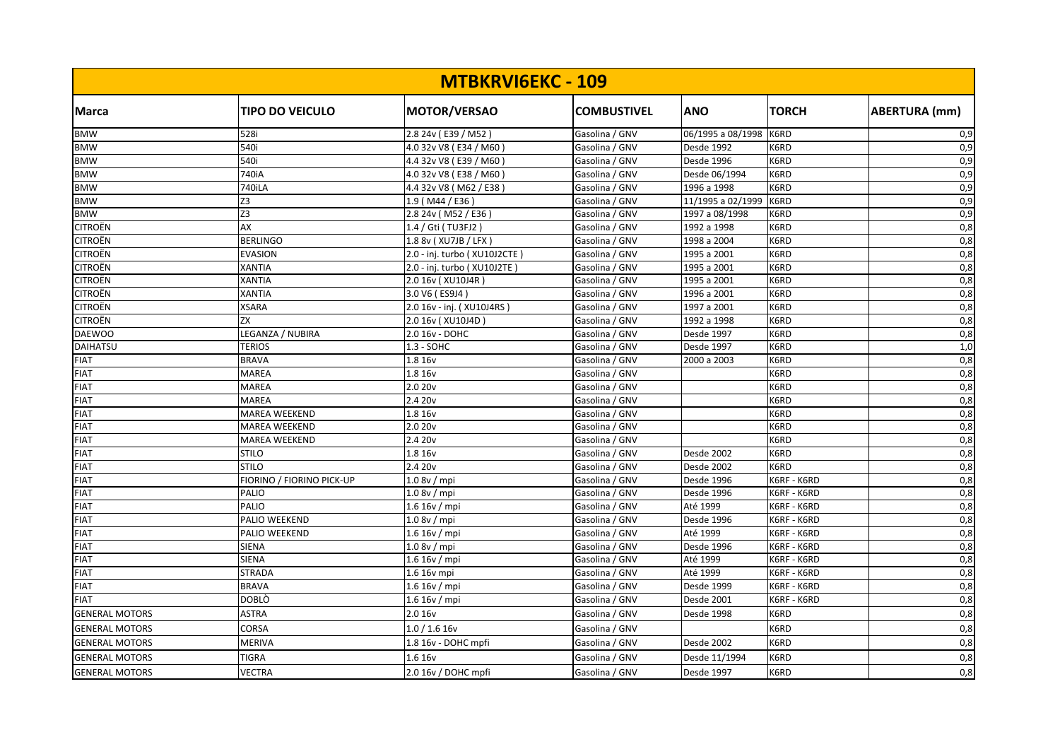| <b>MTBKRVIGEKC - 109</b> |                           |                               |                    |                   |              |                      |  |
|--------------------------|---------------------------|-------------------------------|--------------------|-------------------|--------------|----------------------|--|
| <b>Marca</b>             | <b>TIPO DO VEICULO</b>    | <b>MOTOR/VERSAO</b>           | <b>COMBUSTIVEL</b> | <b>ANO</b>        | <b>TORCH</b> | <b>ABERTURA</b> (mm) |  |
| <b>BMW</b>               | 528i                      | 2.8 24v (E39 / M52)           | Gasolina / GNV     | 06/1995 a 08/1998 | K6RD         | 0,9                  |  |
| <b>BMW</b>               | 540i                      | 4.0 32v V8 (E34 / M60         | Gasolina / GNV     | Desde 1992        | K6RD         | 0,9                  |  |
| <b>BMW</b>               | 540i                      | 4.4 32v V8 (E39 / M60         | Gasolina / GNV     | Desde 1996        | K6RD         | 0,9                  |  |
| <b>BMW</b>               | 740iA                     | 4.0 32v V8 (E38 / M60         | Gasolina / GNV     | Desde 06/1994     | K6RD         | 0,9                  |  |
| <b>BMW</b>               | <b>740iLA</b>             | 4.4 32v V8 (M62 / E38)        | Gasolina / GNV     | 1996 a 1998       | K6RD         | 0,9                  |  |
| <b>BMW</b>               | Z3                        | 1.9 (M44 / E36)               | Gasolina / GNV     | 11/1995 a 02/1999 | K6RD         | 0,9                  |  |
| <b>BMW</b>               | Z3                        | 2.8 24v (M52 / E36)           | Gasolina / GNV     | 1997 a 08/1998    | K6RD         | 0,9                  |  |
| <b>CITROËN</b>           | AX                        | 1.4 / Gti (TU3FJ2             | Gasolina / GNV     | 1992 a 1998       | K6RD         | 0,8                  |  |
| <b>CITROËN</b>           | <b>BERLINGO</b>           | 1.8 8v (XU7JB / LFX)          | Gasolina / GNV     | 1998 a 2004       | K6RD         | 0,8                  |  |
| <b>CITROËN</b>           | <b>EVASION</b>            | 2.0 - inj. turbo (XU10J2CTE)  | Gasolina / GNV     | 1995 a 2001       | K6RD         | 0,8                  |  |
| <b>CITROËN</b>           | <b>XANTIA</b>             | 2.0 - inj. turbo ( XU10J2TE ) | Gasolina / GNV     | 1995 a 2001       | K6RD         | 0,8                  |  |
| <b>CITROËN</b>           | <b>XANTIA</b>             | 2.0 16v (XU10J4R)             | Gasolina / GNV     | 1995 a 2001       | K6RD         | 0,8                  |  |
| <b>CITROËN</b>           | <b>XANTIA</b>             | 3.0 V6 (ES9J4)                | Gasolina / GNV     | 1996 a 2001       | K6RD         | 0,8                  |  |
| <b>CITROËN</b>           | <b>XSARA</b>              | 2.0 16v - inj. (XU10J4RS)     | Gasolina / GNV     | 1997 a 2001       | K6RD         | 0,8                  |  |
| <b>CITROËN</b>           | ZX                        | 2.0 16v (XU10J4D)             | Gasolina / GNV     | 1992 a 1998       | K6RD         | 0,8                  |  |
| <b>DAEWOO</b>            | LEGANZA / NUBIRA          | 2.0 16v - DOHC                | Gasolina / GNV     | Desde 1997        | K6RD         | 0,8                  |  |
| <b>DAIHATSU</b>          | <b>TERIOS</b>             | 1.3 - SOHC                    | Gasolina / GNV     | Desde 1997        | K6RD         | 1,0                  |  |
| <b>FIAT</b>              | <b>BRAVA</b>              | 1.8 16v                       | Gasolina / GNV     | 2000 a 2003       | K6RD         | 0,8                  |  |
| <b>FIAT</b>              | <b>MAREA</b>              | 1.8 16v                       | Gasolina / GNV     |                   | K6RD         | 0,8                  |  |
| <b>FIAT</b>              | <b>MAREA</b>              | 2.0 20v                       | Gasolina / GNV     |                   | K6RD         | 0,8                  |  |
| <b>FIAT</b>              | <b>MAREA</b>              | 2.4 20 <sub>v</sub>           | Gasolina / GNV     |                   | K6RD         | 0,8                  |  |
| <b>FIAT</b>              | <b>MAREA WEEKEND</b>      | 1.8 16v                       | Gasolina / GNV     |                   | K6RD         | 0,8                  |  |
| <b>FIAT</b>              | MAREA WEEKEND             | 2.0 20v                       | Gasolina / GNV     |                   | K6RD         | 0,8                  |  |
| <b>FIAT</b>              | <b>MAREA WEEKEND</b>      | 2.420v                        | Gasolina / GNV     |                   | K6RD         | 0,8                  |  |
| <b>FIAT</b>              | <b>STILO</b>              | 1.8 16v                       | Gasolina / GNV     | Desde 2002        | K6RD         | 0,8                  |  |
| <b>FIAT</b>              | <b>STILO</b>              | 2.4 20v                       | Gasolina / GNV     | Desde 2002        | K6RD         | 0,8                  |  |
| <b>FIAT</b>              | FIORINO / FIORINO PICK-UP | 1.0 8v / mpi                  | Gasolina / GNV     | Desde 1996        | K6RF - K6RD  | 0,8                  |  |
| <b>FIAT</b>              | PALIO                     | 1.0 8v / mpi                  | Gasolina / GNV     | Desde 1996        | K6RF - K6RD  | 0,8                  |  |
| <b>FIAT</b>              | PALIO                     | 1.6 16v/mpi                   | Gasolina / GNV     | Até 1999          | K6RF - K6RD  | 0,8                  |  |
| <b>FIAT</b>              | PALIO WEEKEND             | 1.08v/mpi                     | Gasolina / GNV     | Desde 1996        | K6RF - K6RD  | 0,8                  |  |
| <b>FIAT</b>              | PALIO WEEKEND             | 1.6 16v / mpi                 | Gasolina / GNV     | Até 1999          | K6RF - K6RD  | 0,8                  |  |
| <b>FIAT</b>              | <b>SIENA</b>              | 1.08v/mpi                     | Gasolina / GNV     | Desde 1996        | K6RF - K6RD  | 0,8                  |  |
| <b>FIAT</b>              | <b>SIENA</b>              | 1.6 16v/mpi                   | Gasolina / GNV     | Até 1999          | K6RF - K6RD  | 0,8                  |  |
| <b>FIAT</b>              | <b>STRADA</b>             | 1.6 16v mpi                   | Gasolina / GNV     | Até 1999          | K6RF - K6RD  | 0,8                  |  |
| <b>FIAT</b>              | <b>BRAVA</b>              | 1.616v/mpi                    | Gasolina / GNV     | Desde 1999        | K6RF - K6RD  | 0,8                  |  |
| <b>FIAT</b>              | DOBLÒ                     | 1.6 16v/mpi                   | Gasolina / GNV     | Desde 2001        | K6RF - K6RD  | 0,8                  |  |
| <b>GENERAL MOTORS</b>    | <b>ASTRA</b>              | 2.0 16v                       | Gasolina / GNV     | Desde 1998        | K6RD         | 0,8                  |  |
| <b>GENERAL MOTORS</b>    | CORSA                     | 1.0 / 1.6 16v                 | Gasolina / GNV     |                   | K6RD         | 0,8                  |  |
| <b>GENERAL MOTORS</b>    | <b>MERIVA</b>             | 1.8 16v - DOHC mpfi           | Gasolina / GNV     | Desde 2002        | K6RD         | 0,8                  |  |
| <b>GENERAL MOTORS</b>    | <b>TIGRA</b>              | 1.6 16v                       | Gasolina / GNV     | Desde 11/1994     | K6RD         | 0,8                  |  |
| <b>GENERAL MOTORS</b>    | VECTRA                    | 2.0 16v / DOHC mpfi           | Gasolina / GNV     | <b>Desde 1997</b> | K6RD         | 0,8                  |  |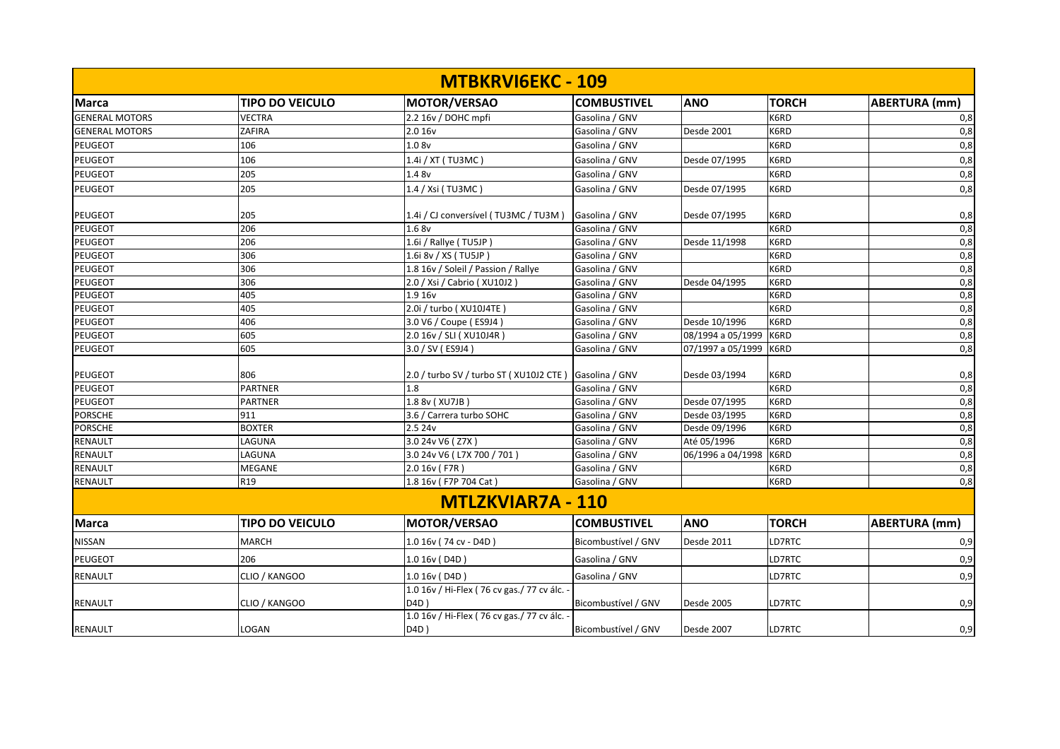|                       |                        | <b>MTBKRVIGEKC - 109</b>                         |                     |                   |              |                      |
|-----------------------|------------------------|--------------------------------------------------|---------------------|-------------------|--------------|----------------------|
| <b>Marca</b>          | <b>TIPO DO VEICULO</b> | <b>MOTOR/VERSAO</b>                              | <b>COMBUSTIVEL</b>  | <b>ANO</b>        | <b>TORCH</b> | <b>ABERTURA (mm)</b> |
| <b>GENERAL MOTORS</b> | <b>VECTRA</b>          | 2.2 16v / DOHC mpfi                              | Gasolina / GNV      |                   | K6RD         | 0,8                  |
| <b>GENERAL MOTORS</b> | ZAFIRA                 | 2.0 16v                                          | Gasolina / GNV      | Desde 2001        | K6RD         | 0,8                  |
| <b>PEUGEOT</b>        | 106                    | 1.08v                                            | Gasolina / GNV      |                   | K6RD         | 0,8                  |
| PEUGEOT               | 106                    | 1.4i / XT (TU3MC)                                | Gasolina / GNV      | Desde 07/1995     | K6RD         | 0,8                  |
| PEUGEOT               | 205                    | 1.4 8v                                           | Gasolina / GNV      |                   | K6RD         | 0,8                  |
| <b>PEUGEOT</b>        | 205                    | 1.4 / Xsi (TU3MC)                                | Gasolina / GNV      | Desde 07/1995     | K6RD         | 0,8                  |
| <b>PEUGEOT</b>        | 205                    | 1.4i / CJ conversível (TU3MC / TU3M)             | Gasolina / GNV      | Desde 07/1995     | K6RD         | 0,8                  |
| <b>PEUGEOT</b>        | 206                    | 1.68v                                            | Gasolina / GNV      |                   | K6RD         | 0,8                  |
| <b>PEUGEOT</b>        | 206                    | 1.6i / Rallye (TU5JP)                            | Gasolina / GNV      | Desde 11/1998     | K6RD         | 0,8                  |
| <b>PEUGEOT</b>        | 306                    | $\overline{1.6}$ i 8v / XS (TU5JP)               | Gasolina / GNV      |                   | K6RD         | 0,8                  |
| <b>PEUGEOT</b>        | 306                    | 1.8 16v / Soleil / Passion / Rallye              | Gasolina / GNV      |                   | K6RD         | 0,8                  |
| <b>PEUGEOT</b>        | 306                    | 2.0 / Xsi / Cabrio (XU10J2)                      | Gasolina / GNV      | Desde 04/1995     | K6RD         | 0,8                  |
| PEUGEOT               | 405                    | 1.9 16v                                          | Gasolina / GNV      |                   | K6RD         | 0,8                  |
| <b>PEUGEOT</b>        | 405                    | 2.0i / turbo ( XU10J4TE )                        | Gasolina / GNV      |                   | K6RD         | 0,8                  |
| PEUGEOT               | 406                    | 3.0 V6 / Coupe (ES9J4)                           | Gasolina / GNV      | Desde 10/1996     | K6RD         | 0,8                  |
| <b>PEUGEOT</b>        | 605                    | 2.0 16v / SLI (XU10J4R)                          | Gasolina / GNV      | 08/1994 a 05/1999 | K6RD         | 0,8                  |
| <b>PEUGEOT</b>        | 605                    | $3.0 /$ SV (ES9J4)                               | Gasolina / GNV      | 07/1997 a 05/1999 | K6RD         | 0,8                  |
| <b>PEUGEOT</b>        | 806                    | 2.0 / turbo SV / turbo ST (XU10J2 CTE)           | Gasolina / GNV      | Desde 03/1994     | K6RD         | 0,8                  |
| PEUGEOT               | <b>PARTNER</b>         | 1.8                                              | Gasolina / GNV      |                   | K6RD         | 0,8                  |
| <b>PEUGEOT</b>        | <b>PARTNER</b>         | 1.8 8v (XU7JB)                                   | Gasolina / GNV      | Desde 07/1995     | K6RD         | 0,8                  |
| <b>PORSCHE</b>        | 911                    | 3.6 / Carrera turbo SOHC                         | Gasolina / GNV      | Desde 03/1995     | K6RD         | 0,8                  |
| <b>PORSCHE</b>        | <b>BOXTER</b>          | 2.5 24v                                          | Gasolina / GNV      | Desde 09/1996     | K6RD         | 0,8                  |
| <b>RENAULT</b>        | LAGUNA                 | 3.0 24v V6 (Z7X)                                 | Gasolina / GNV      | Até 05/1996       | K6RD         | 0,8                  |
| <b>RENAULT</b>        | LAGUNA                 | 3.0 24v V6 (L7X 700 / 701)                       | Gasolina / GNV      | 06/1996 a 04/1998 | K6RD         | 0,8                  |
| <b>RENAULT</b>        | <b>MEGANE</b>          | 2.0 16v (F7R)                                    | Gasolina / GNV      |                   | K6RD         | 0,8                  |
| <b>RENAULT</b>        | R19                    | 1.8 16v (F7P 704 Cat)                            | Gasolina / GNV      |                   | K6RD         | 0,8                  |
|                       |                        | <b>MTLZKVIAR7A - 110</b>                         |                     |                   |              |                      |
| <b>Marca</b>          | <b>TIPO DO VEICULO</b> | <b>MOTOR/VERSAO</b>                              | <b>COMBUSTIVEL</b>  | <b>ANO</b>        | <b>TORCH</b> | <b>ABERTURA (mm)</b> |
| <b>NISSAN</b>         | <b>MARCH</b>           | 1.0 16v (74 cv - D4D)                            | Bicombustível / GNV | Desde 2011        | LD7RTC       | 0,9                  |
| <b>PEUGEOT</b>        | 206                    | 1.0 16v (D4D)                                    | Gasolina / GNV      |                   | LD7RTC       | 0,9                  |
| <b>RENAULT</b>        | CLIO / KANGOO          | 1.0 16v (D4D)                                    | Gasolina / GNV      |                   | LD7RTC       | 0,9                  |
| <b>RENAULT</b>        | CLIO / KANGOO          | 1.0 16v / Hi-Flex (76 cv gas./77 cv álc.<br>D4D) | Bicombustível / GNV | Desde 2005        | LD7RTC       | 0,9                  |
| <b>RENAULT</b>        | LOGAN                  | 1.0 16v / Hi-Flex (76 cv gas./77 cv álc.<br>D4D) | Bicombustível / GNV | Desde 2007        | LD7RTC       | 0,9                  |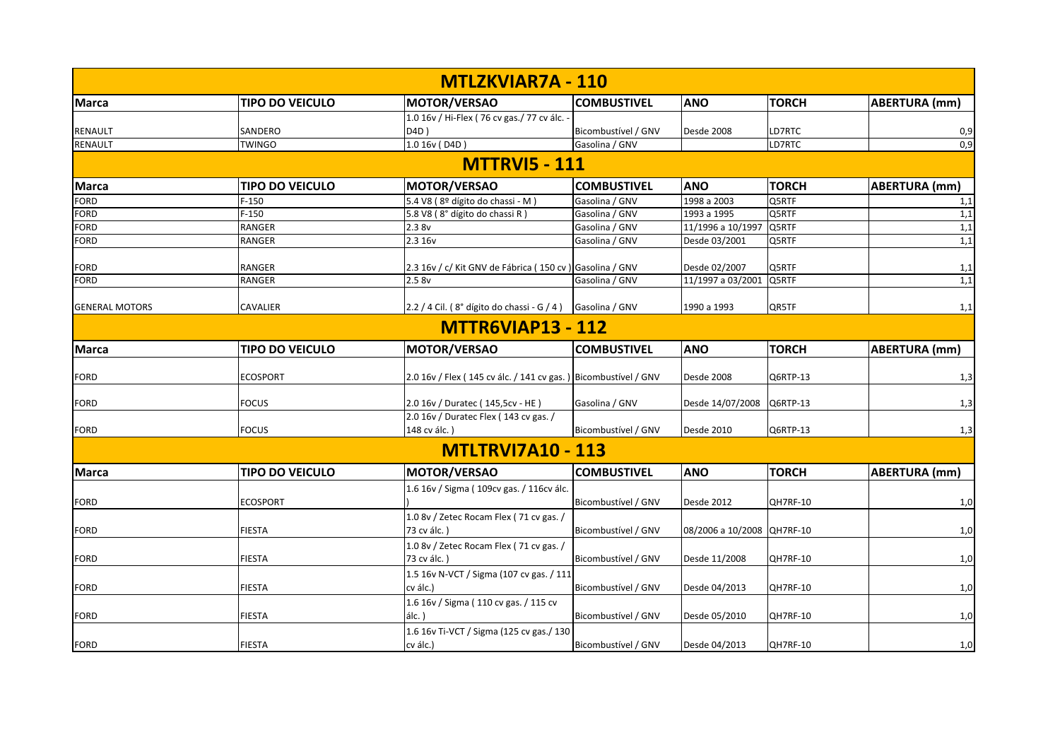|                       |                        | <b>MTLZKVIAR7A - 110</b>                                        |                     |                            |              |                      |
|-----------------------|------------------------|-----------------------------------------------------------------|---------------------|----------------------------|--------------|----------------------|
| <b>Marca</b>          | <b>TIPO DO VEICULO</b> | MOTOR/VERSAO                                                    | <b>COMBUSTIVEL</b>  | <b>ANO</b>                 | <b>TORCH</b> | ABERTURA (mm)        |
|                       |                        | 1.0 16v / Hi-Flex ( 76 cv gas./ 77 cv álc. -                    |                     |                            |              |                      |
| <b>RENAULT</b>        | SANDERO                | D4D)                                                            | Bicombustível / GNV | Desde 2008                 | LD7RTC       | 0,9                  |
| <b>RENAULT</b>        | <b>TWINGO</b>          | 1.0 16v (D4D)                                                   | Gasolina / GNV      |                            | LD7RTC       | 0,9                  |
|                       |                        | <b>MTTRVI5 - 111</b>                                            |                     |                            |              |                      |
| <b>Marca</b>          | <b>TIPO DO VEICULO</b> | MOTOR/VERSAO                                                    | <b>COMBUSTIVEL</b>  | <b>ANO</b>                 | <b>TORCH</b> | <b>ABERTURA</b> (mm) |
| <b>FORD</b>           | $F-150$                | 5.4 V8 (8º dígito do chassi - M)                                | Gasolina / GNV      | 1998 a 2003                | Q5RTF        | 1,1                  |
| <b>FORD</b>           | $F-150$                | 5.8 V8 (8° dígito do chassi R)                                  | Gasolina / GNV      | 1993 a 1995                | Q5RTF        | 1,1                  |
| <b>FORD</b>           | <b>RANGER</b>          | 2.38v                                                           | Gasolina / GNV      | 11/1996 a 10/1997 Q5RTF    |              | 1,1                  |
| <b>FORD</b>           | <b>RANGER</b>          | 2.3 16v                                                         | Gasolina / GNV      | Desde 03/2001              | Q5RTF        | 1,1                  |
|                       |                        |                                                                 |                     |                            |              |                      |
| <b>FORD</b>           | <b>RANGER</b>          | 2.3 16v / c/ Kit GNV de Fábrica (150 cv) Gasolina / GNV         |                     | Desde 02/2007              | Q5RTF        | 1,1                  |
| <b>FORD</b>           | RANGER                 | 2.58v                                                           | Gasolina / GNV      | 11/1997 a 03/2001          | Q5RTF        | 1,1                  |
| <b>GENERAL MOTORS</b> | CAVALIER               | 2.2 / 4 Cil. (8° dígito do chassi - G / 4) Gasolina / GNV       |                     | 1990 a 1993                | QR5TF        | 1,1                  |
|                       |                        | <b>MTTR6VIAP13 - 112</b>                                        |                     |                            |              |                      |
| <b>Marca</b>          | <b>TIPO DO VEICULO</b> | MOTOR/VERSAO                                                    | <b>COMBUSTIVEL</b>  | <b>ANO</b>                 | <b>TORCH</b> | <b>ABERTURA</b> (mm) |
| <b>FORD</b>           | <b>ECOSPORT</b>        | 2.0 16v / Flex (145 cv álc. / 141 cv gas. ) Bicombustível / GNV |                     | Desde 2008                 | Q6RTP-13     | 1,3                  |
| <b>FORD</b>           | <b>FOCUS</b>           | 2.0 16v / Duratec (145,5cv - HE)                                | Gasolina / GNV      | Desde 14/07/2008           | Q6RTP-13     | 1,3                  |
| <b>FORD</b>           | <b>FOCUS</b>           | 2.0 16v / Duratec Flex (143 cv gas. /<br>148 cv álc.)           | Bicombustível / GNV | Desde 2010                 | Q6RTP-13     | 1,3                  |
|                       |                        | <b>MTLTRVI7A10 - 113</b>                                        |                     |                            |              |                      |
| <b>Marca</b>          | <b>TIPO DO VEICULO</b> | MOTOR/VERSAO                                                    | <b>COMBUSTIVEL</b>  | <b>ANO</b>                 | <b>TORCH</b> | <b>ABERTURA</b> (mm) |
| <b>FORD</b>           | <b>ECOSPORT</b>        | 1.6 16v / Sigma (109cv gas. / 116cv álc.                        | Bicombustível / GNV | Desde 2012                 | QH7RF-10     | 1,0                  |
| <b>FORD</b>           | <b>FIESTA</b>          | 1.0 8v / Zetec Rocam Flex (71 cv gas. /<br>73 cv álc.)          | Bicombustível / GNV | 08/2006 a 10/2008 QH7RF-10 |              | 1,0                  |
| <b>FORD</b>           | <b>FIESTA</b>          | 1.0 8v / Zetec Rocam Flex (71 cv gas. /<br>73 cv álc.)          | Bicombustível / GNV | Desde 11/2008              | QH7RF-10     | 1,0                  |
|                       | <b>FIESTA</b>          | 1.5 16v N-VCT / Sigma (107 cv gas. / 111<br>cv álc.)            | Bicombustível / GNV | Desde 04/2013              | QH7RF-10     |                      |
| <b>FORD</b>           |                        |                                                                 |                     |                            |              | 1,0                  |
| <b>FORD</b>           | <b>FIESTA</b>          | 1.6 16v / Sigma (110 cv gas. / 115 cv<br>$álc.$ )               | Bicombustível / GNV | Desde 05/2010              | QH7RF-10     | 1,0                  |
| <b>FORD</b>           | <b>FIESTA</b>          | 1.6 16v Ti-VCT / Sigma (125 cv gas./ 130<br>cv álc.)            | Bicombustível / GNV | Desde 04/2013              | QH7RF-10     | 1,0                  |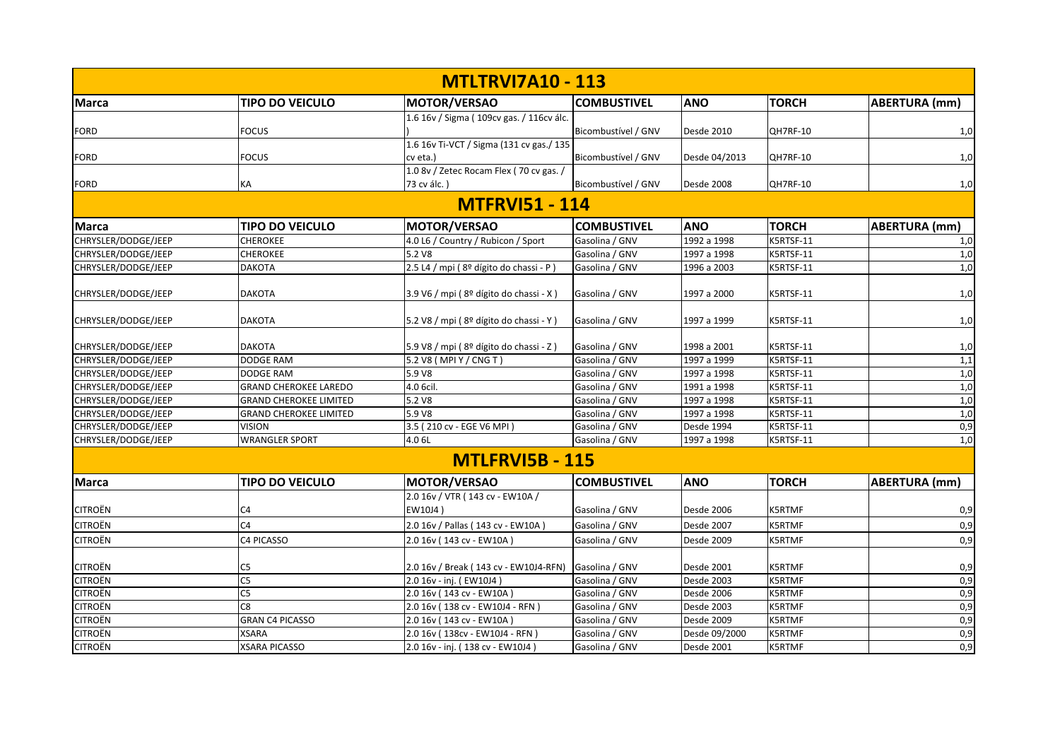|                     |                               | <b>MTLTRVI7A10 - 113</b>                               |                     |               |               |                      |
|---------------------|-------------------------------|--------------------------------------------------------|---------------------|---------------|---------------|----------------------|
| <b>Marca</b>        | <b>TIPO DO VEICULO</b>        | <b>MOTOR/VERSAO</b>                                    | <b>COMBUSTIVEL</b>  | <b>ANO</b>    | <b>TORCH</b>  | <b>ABERTURA (mm)</b> |
| <b>FORD</b>         | <b>FOCUS</b>                  | 1.6 16 v / Sigma (109 cv gas. / 116 cv álc.            | Bicombustível / GNV | Desde 2010    | QH7RF-10      | 1,0                  |
| <b>FORD</b>         | <b>FOCUS</b>                  | 1.6 16v Ti-VCT / Sigma (131 cv gas./ 135<br>cv eta.)   | Bicombustível / GNV | Desde 04/2013 | QH7RF-10      | 1,0                  |
| <b>FORD</b>         | KA                            | 1.0 8v / Zetec Rocam Flex (70 cv gas. /<br>73 cv álc.) | Bicombustível / GNV | Desde 2008    | QH7RF-10      | 1,0                  |
|                     |                               | <b>MTFRVI51 - 114</b>                                  |                     |               |               |                      |
| <b>Marca</b>        | TIPO DO VEICULO               | MOTOR/VERSAO                                           | <b>COMBUSTIVEL</b>  | <b>ANO</b>    | <b>TORCH</b>  | <b>ABERTURA</b> (mm) |
| CHRYSLER/DODGE/JEEP | <b>CHEROKEE</b>               | 4.0 L6 / Country / Rubicon / Sport                     | Gasolina / GNV      | 1992 a 1998   | K5RTSF-11     | 1,0                  |
| CHRYSLER/DODGE/JEEP | <b>CHEROKEE</b>               | 5.2 V8                                                 | Gasolina / GNV      | 1997 a 1998   | K5RTSF-11     | 1,0                  |
| CHRYSLER/DODGE/JEEP | <b>DAKOTA</b>                 | 2.5 L4 / mpi (8º dígito do chassi - P)                 | Gasolina / GNV      | 1996 a 2003   | K5RTSF-11     | 1,0                  |
| CHRYSLER/DODGE/JEEP | <b>DAKOTA</b>                 | 3.9 V6 / mpi (8º dígito do chassi - X)                 | Gasolina / GNV      | 1997 a 2000   | K5RTSF-11     | 1,0                  |
| CHRYSLER/DODGE/JEEP | <b>DAKOTA</b>                 | 5.2 V8 / mpi (8º dígito do chassi - Y)                 | Gasolina / GNV      | 1997 a 1999   | K5RTSF-11     | 1,0                  |
| CHRYSLER/DODGE/JEEP | <b>DAKOTA</b>                 | 5.9 V8 / mpi (8º dígito do chassi - Z)                 | Gasolina / GNV      | 1998 a 2001   | K5RTSF-11     | 1,0                  |
| CHRYSLER/DODGE/JEEP | DODGE RAM                     | 5.2 V8 (MPI Y / CNG T)                                 | Gasolina / GNV      | 1997 a 1999   | K5RTSF-11     | 1,1                  |
| CHRYSLER/DODGE/JEEP | <b>DODGE RAM</b>              | 5.9 V8                                                 | Gasolina / GNV      | 1997 a 1998   | K5RTSF-11     | 1,0                  |
| CHRYSLER/DODGE/JEEP | <b>GRAND CHEROKEE LAREDO</b>  | 4.0 6cil.                                              | Gasolina / GNV      | 1991 a 1998   | K5RTSF-11     | 1,0                  |
| CHRYSLER/DODGE/JEEP | <b>GRAND CHEROKEE LIMITED</b> | 5.2 V8                                                 | Gasolina / GNV      | 1997 a 1998   | K5RTSF-11     | 1,0                  |
| CHRYSLER/DODGE/JEEP | <b>GRAND CHEROKEE LIMITED</b> | 5.9 V8                                                 | Gasolina / GNV      | 1997 a 1998   | K5RTSF-11     | 1,0                  |
| CHRYSLER/DODGE/JEEP | <b>VISION</b>                 | 3.5 (210 cv - EGE V6 MPI)                              | Gasolina / GNV      | Desde 1994    | K5RTSF-11     | 0,9                  |
| CHRYSLER/DODGE/JEEP | <b>WRANGLER SPORT</b>         | 4.0 6L                                                 | Gasolina / GNV      | 1997 a 1998   | K5RTSF-11     | 1,0                  |
|                     |                               | <b>MTLFRVI5B - 115</b>                                 |                     |               |               |                      |
| <b>Marca</b>        | <b>TIPO DO VEICULO</b>        | MOTOR/VERSAO                                           | <b>COMBUSTIVEL</b>  | <b>ANO</b>    | <b>TORCH</b>  | <b>ABERTURA (mm)</b> |
|                     |                               | 2.0 16v / VTR (143 cv - EW10A /                        |                     |               |               |                      |
| <b>CITROËN</b>      | C <sub>4</sub>                | EW10J4)                                                | Gasolina / GNV      | Desde 2006    | <b>K5RTMF</b> | 0,9                  |
| <b>CITROËN</b>      | C <sub>4</sub>                | 2.0 16v / Pallas (143 cv - EW10A)                      | Gasolina / GNV      | Desde 2007    | K5RTMF        | 0,9                  |
| <b>CITROËN</b>      | C4 PICASSO                    | 2.0 16v (143 cv - EW10A)                               | Gasolina / GNV      | Desde 2009    | <b>K5RTMF</b> | 0,9                  |
| <b>CITROËN</b>      | C <sub>5</sub>                | 2.0 16v / Break (143 cv - EW10J4-RFN)                  | Gasolina / GNV      | Desde 2001    | <b>K5RTMF</b> | 0,9                  |
| <b>CITROËN</b>      | C <sub>5</sub>                | 2.0 16v - inj. (EW10J4)                                | Gasolina / GNV      | Desde 2003    | <b>K5RTMF</b> | 0,9                  |
| <b>CITROËN</b>      | $\overline{\text{C5}}$        | 2.0 16v (143 cv - EW10A)                               | Gasolina / GNV      | Desde 2006    | <b>K5RTMF</b> | 0,9                  |
| <b>CITROËN</b>      | C8                            | 2.0 16v (138 cv - EW10J4 - RFN)                        | Gasolina / GNV      | Desde 2003    | <b>K5RTMF</b> | 0,9                  |
| <b>CITROËN</b>      | <b>GRAN C4 PICASSO</b>        | 2.0 16v (143 cv - EW10A)                               | Gasolina / GNV      | Desde 2009    | <b>K5RTMF</b> | 0,9                  |
| <b>CITROËN</b>      | XSARA                         | 2.0 16v (138cv - EW10J4 - RFN)                         | Gasolina / GNV      | Desde 09/2000 | <b>K5RTMF</b> | 0,9                  |
| <b>CITROËN</b>      | <b>XSARA PICASSO</b>          | 2.0 16v - inj. (138 cv - EW10J4)                       | Gasolina / GNV      | Desde 2001    | <b>K5RTMF</b> | 0,9                  |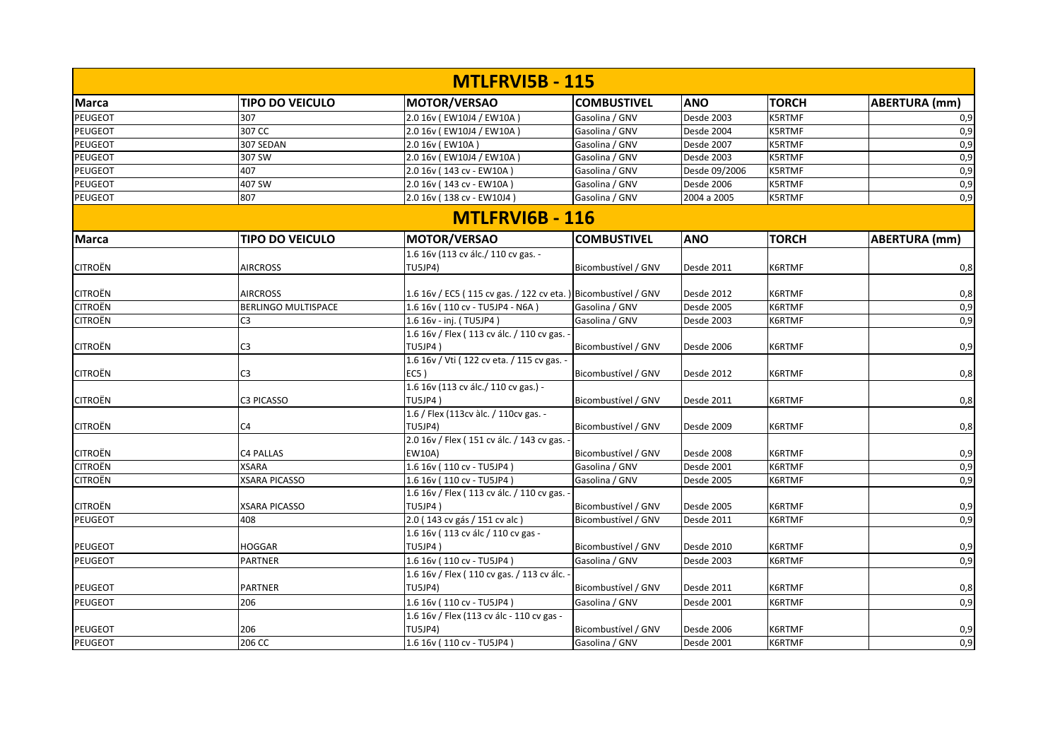| <b>MTLFRVI5B - 115</b> |                            |                                                                |                     |               |               |                      |  |  |
|------------------------|----------------------------|----------------------------------------------------------------|---------------------|---------------|---------------|----------------------|--|--|
| <b>Marca</b>           | <b>TIPO DO VEICULO</b>     | <b>MOTOR/VERSAO</b>                                            | <b>COMBUSTIVEL</b>  | <b>ANO</b>    | <b>TORCH</b>  | <b>ABERTURA (mm)</b> |  |  |
| <b>PEUGEOT</b>         | 307                        | 2.0 16v (EW10J4 / EW10A)                                       | Gasolina / GNV      | Desde 2003    | <b>K5RTMF</b> | 0,9                  |  |  |
| PEUGEOT                | 307 CC                     | 2.0 16v (EW10J4 / EW10A)                                       | Gasolina / GNV      | Desde 2004    | <b>K5RTMF</b> | 0,9                  |  |  |
| <b>PEUGEOT</b>         | 307 SEDAN                  | 2.0 16v (EW10A)                                                | Gasolina / GNV      | Desde 2007    | <b>K5RTMF</b> | 0,9                  |  |  |
| <b>PEUGEOT</b>         | 307 SW                     | 2.0 16v (EW10J4 / EW10A)                                       | Gasolina / GNV      | Desde 2003    | <b>K5RTMF</b> | 0,9                  |  |  |
| PEUGEOT                | 407                        | 2.0 16v (143 cv - EW10A)                                       | Gasolina / GNV      | Desde 09/2006 | <b>K5RTMF</b> | 0,9                  |  |  |
| PEUGEOT                | 407 SW                     | 2.0 16v (143 cv - EW10A)                                       | Gasolina / GNV      | Desde 2006    | <b>K5RTMF</b> | 0,9                  |  |  |
| <b>PEUGEOT</b>         | 807                        | 2.0 16v (138 cv - EW10J4)                                      | Gasolina / GNV      | 2004 a 2005   | K5RTMF        | 0,9                  |  |  |
|                        |                            | <b>MTLFRVI6B - 116</b>                                         |                     |               |               |                      |  |  |
| <b>Marca</b>           | <b>TIPO DO VEICULO</b>     | <b>MOTOR/VERSAO</b>                                            | <b>COMBUSTIVEL</b>  | <b>ANO</b>    | <b>TORCH</b>  | <b>ABERTURA</b> (mm) |  |  |
|                        |                            | 1.6 16v (113 cv álc./ 110 cv gas. -                            |                     |               |               |                      |  |  |
| <b>CITROËN</b>         | <b>AIRCROSS</b>            | TU5JP4)                                                        | Bicombustível / GNV | Desde 2011    | K6RTMF        | 0,8                  |  |  |
|                        |                            |                                                                |                     |               |               |                      |  |  |
| <b>CITROËN</b>         | <b>AIRCROSS</b>            | 1.6 16v / EC5 (115 cv gas. / 122 cv eta. ) Bicombustível / GNV |                     | Desde 2012    | K6RTMF        | 0,8                  |  |  |
| <b>CITROËN</b>         | <b>BERLINGO MULTISPACE</b> | 1.6 16v (110 cv - TU5JP4 - N6A)                                | Gasolina / GNV      | Desde 2005    | K6RTMF        | 0,9                  |  |  |
| <b>CITROËN</b>         | C <sub>3</sub>             | 1.6 16v - inj. (TU5JP4)                                        | Gasolina / GNV      | Desde 2003    | K6RTMF        | 0,9                  |  |  |
|                        |                            | 1.6 16v / Flex (113 cv álc. / 110 cv gas. -                    |                     |               |               |                      |  |  |
| <b>CITROËN</b>         | C <sub>3</sub>             | TU5JP4)                                                        | Bicombustível / GNV | Desde 2006    | K6RTMF        | 0,9                  |  |  |
|                        |                            | 1.6 16v / Vti (122 cv eta. / 115 cv gas. -                     |                     |               |               |                      |  |  |
| <b>CITROËN</b>         | C <sub>3</sub>             | $EC5$ )                                                        | Bicombustível / GNV | Desde 2012    | K6RTMF        | 0,8                  |  |  |
|                        |                            | 1.6 16v (113 cv álc./ 110 cv gas.) -                           |                     |               |               |                      |  |  |
| <b>CITROËN</b>         | <b>C3 PICASSO</b>          | TU5JP4)                                                        | Bicombustível / GNV | Desde 2011    | K6RTMF        | 0,8                  |  |  |
|                        |                            | 1.6 / Flex (113cv àlc. / 110cv gas. -                          |                     |               |               |                      |  |  |
| <b>CITROËN</b>         | C <sub>4</sub>             | <b>TU5JP4)</b>                                                 | Bicombustível / GNV | Desde 2009    | K6RTMF        | 0,8                  |  |  |
|                        |                            | 2.0 16v / Flex (151 cv álc. / 143 cv gas. -                    |                     |               |               |                      |  |  |
| <b>CITROËN</b>         | <b>C4 PALLAS</b>           | <b>EW10A)</b>                                                  | Bicombustível / GNV | Desde 2008    | K6RTMF        | 0,9                  |  |  |
| <b>CITROËN</b>         | <b>XSARA</b>               | 1.6 16v (110 cv - TU5JP4)                                      | Gasolina / GNV      | Desde 2001    | K6RTMF        | 0,9                  |  |  |
| CITROËN                | <b>XSARA PICASSO</b>       | 1.6 16v (110 cv - TU5JP4)                                      | Gasolina / GNV      | Desde 2005    | K6RTMF        | 0,9                  |  |  |
|                        |                            | 1.6 16v / Flex (113 cv álc. / 110 cv gas. -                    |                     |               |               |                      |  |  |
| <b>CITROËN</b>         | <b>XSARA PICASSO</b>       | <b>TU5JP4)</b>                                                 | Bicombustível / GNV | Desde 2005    | K6RTMF        | 0,9                  |  |  |
| <b>PEUGEOT</b>         | 408                        | 2.0 (143 cv gás / 151 cv alc)                                  | Bicombustível / GNV | Desde 2011    | K6RTMF        | 0,9                  |  |  |
|                        |                            | 1.6 16v (113 cv álc / 110 cv gas -                             |                     |               |               |                      |  |  |
| <b>PEUGEOT</b>         | <b>HOGGAR</b>              | TU5JP4)                                                        | Bicombustível / GNV | Desde 2010    | K6RTMF        | 0,9                  |  |  |
| <b>PEUGEOT</b>         | <b>PARTNER</b>             | 1.6 16y (110 cv - TU5JP4)                                      | Gasolina / GNV      | Desde 2003    | K6RTMF        | 0,9                  |  |  |
|                        |                            | 1.6 16v / Flex (110 cv gas. / 113 cv álc. -                    |                     |               |               |                      |  |  |
| <b>PEUGEOT</b>         | <b>PARTNER</b>             | TU5JP4)                                                        | Bicombustível / GNV | Desde 2011    | K6RTMF        | 0,8                  |  |  |
| <b>PEUGEOT</b>         | 206                        | 1.6 16v (110 cv - TU5JP4)                                      | Gasolina / GNV      | Desde 2001    | K6RTMF        | 0,9                  |  |  |
|                        |                            | 1.6 16v / Flex (113 cv álc - 110 cv gas -                      |                     |               |               |                      |  |  |
| <b>PEUGEOT</b>         | 206                        | TU5JP4)                                                        | Bicombustível / GNV | Desde 2006    | K6RTMF        | 0,9                  |  |  |
| PEUGEOT                | 206 CC                     | 1.6 16v (110 cv - TU5JP4)                                      | Gasolina / GNV      | Desde 2001    | K6RTMF        | 0,9                  |  |  |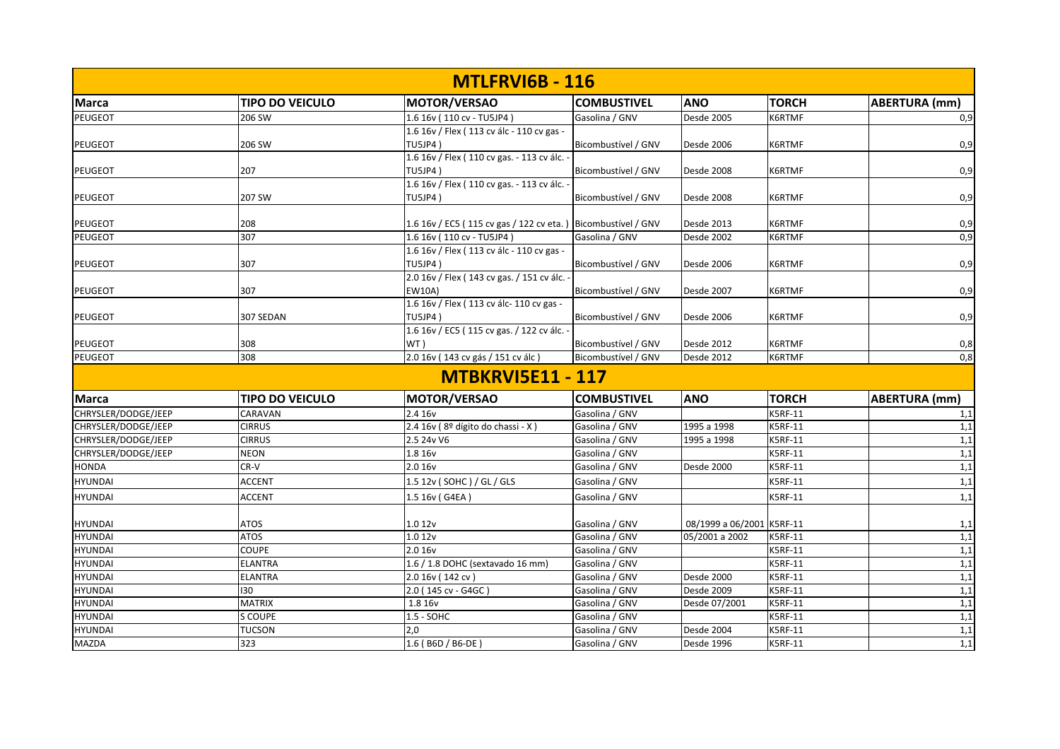|                     |                        | <b>MTLFRVI6B - 116</b>                                       |                     |                           |                |                      |
|---------------------|------------------------|--------------------------------------------------------------|---------------------|---------------------------|----------------|----------------------|
| <b>Marca</b>        | <b>TIPO DO VEICULO</b> | MOTOR/VERSAO                                                 | <b>COMBUSTIVEL</b>  | <b>ANO</b>                | <b>TORCH</b>   | <b>ABERTURA</b> (mm) |
| <b>PEUGEOT</b>      | 206 SW                 | 1.6 16v (110 cv - TU5JP4)                                    | Gasolina / GNV      | Desde 2005                | K6RTMF         | 0,9                  |
|                     |                        | 1.6 16v / Flex (113 cv álc - 110 cv gas -                    |                     |                           |                |                      |
| <b>PEUGEOT</b>      | 206 SW                 | TU5JP4)                                                      | Bicombustível / GNV | Desde 2006                | K6RTMF         | 0,9                  |
|                     |                        | 1.6 16v / Flex (110 cv gas. - 113 cv álc. -                  |                     |                           |                |                      |
| PEUGEOT             | 207                    | TU5JP4)                                                      | Bicombustível / GNV | Desde 2008                | K6RTMF         | 0,9                  |
|                     |                        | 1.6 16v / Flex (110 cv gas. - 113 cv álc.                    |                     |                           |                |                      |
| <b>PEUGEOT</b>      | 207 SW                 | TU5JP4)                                                      | Bicombustível / GNV | Desde 2008                | K6RTMF         | 0,9                  |
|                     |                        |                                                              |                     |                           |                |                      |
| <b>PEUGEOT</b>      | 208                    | 1.6 16v / EC5 (115 cv gas / 122 cv eta.) Bicombustível / GNV |                     | Desde 2013                | K6RTMF         | 0,9                  |
| <b>PEUGEOT</b>      | 307                    | 1.6 16v (110 cv - TU5JP4)                                    | Gasolina / GNV      | Desde 2002                | K6RTMF         | 0,9                  |
|                     |                        | 1.6 16v / Flex (113 cv álc - 110 cv gas -                    |                     |                           |                |                      |
| <b>PEUGEOT</b>      | 307                    | TU5JP4)                                                      | Bicombustível / GNV | Desde 2006                | K6RTMF         | 0,9                  |
|                     |                        | 2.0 16v / Flex (143 cv gas. / 151 cv álc.                    |                     |                           |                |                      |
| <b>PEUGEOT</b>      | 307                    | <b>EW10A)</b>                                                | Bicombustível / GNV | Desde 2007                | K6RTMF         | 0,9                  |
|                     |                        | 1.6 16v / Flex (113 cv álc-110 cv gas -                      |                     |                           |                |                      |
| <b>PEUGEOT</b>      | 307 SEDAN              | TU5JP4)                                                      | Bicombustível / GNV | Desde 2006                | K6RTMF         | 0,9                  |
|                     |                        | 1.6 16v / EC5 (115 cv gas. / 122 cv álc. -                   |                     |                           |                |                      |
| <b>PEUGEOT</b>      | 308                    | WT)                                                          | Bicombustível / GNV | Desde 2012                | K6RTMF         | 0,8                  |
| <b>PEUGEOT</b>      | 308                    | 2.0 16v (143 cv gás / 151 cv álc)                            | Bicombustível / GNV | Desde 2012                | K6RTMF         | 0,8                  |
|                     |                        | <b>MTBKRVI5E11 - 117</b>                                     |                     |                           |                |                      |
| <b>Marca</b>        | <b>TIPO DO VEICULO</b> | MOTOR/VERSAO                                                 | <b>COMBUSTIVEL</b>  | <b>ANO</b>                | <b>TORCH</b>   | <b>ABERTURA</b> (mm) |
| CHRYSLER/DODGE/JEEP | CARAVAN                | 2.4 16v                                                      | Gasolina / GNV      |                           | <b>K5RF-11</b> | 1,1                  |
| CHRYSLER/DODGE/JEEP | <b>CIRRUS</b>          | 2.4 16v (8º dígito do chassi - X)                            | Gasolina / GNV      | 1995 a 1998               | <b>K5RF-11</b> | 1,1                  |
| CHRYSLER/DODGE/JEEP | <b>CIRRUS</b>          | 2.5 24v V6                                                   | Gasolina / GNV      | 1995 a 1998               | <b>K5RF-11</b> | 1,1                  |
| CHRYSLER/DODGE/JEEP | <b>NEON</b>            | 1.8 16v                                                      | Gasolina / GNV      |                           | <b>K5RF-11</b> | 1,1                  |
| <b>HONDA</b>        | CR-V                   | 2.0 16v                                                      | Gasolina / GNV      | Desde 2000                | <b>K5RF-11</b> | 1,1                  |
| <b>HYUNDAI</b>      | <b>ACCENT</b>          | 1.5 12v (SOHC) / GL / GLS                                    | Gasolina / GNV      |                           | <b>K5RF-11</b> | 1,1                  |
| <b>HYUNDAI</b>      | <b>ACCENT</b>          | 1.5 16v (G4EA)                                               | Gasolina / GNV      |                           | <b>K5RF-11</b> | 1,1                  |
|                     |                        |                                                              |                     |                           |                |                      |
| <b>HYUNDAI</b>      | <b>ATOS</b>            | 1.012v                                                       | Gasolina / GNV      | 08/1999 a 06/2001 K5RF-11 |                | 1,1                  |
| <b>HYUNDAI</b>      | <b>ATOS</b>            | 1.012v                                                       | Gasolina / GNV      | 05/2001 a 2002            | <b>K5RF-11</b> | 1,1                  |
| <b>HYUNDAI</b>      | <b>COUPE</b>           | 2.0 16v                                                      | Gasolina / GNV      |                           | <b>K5RF-11</b> | 1,1                  |
| <b>HYUNDAI</b>      | <b>ELANTRA</b>         | 1.6 / 1.8 DOHC (sextavado 16 mm)                             | Gasolina / GNV      |                           | <b>K5RF-11</b> | 1,1                  |
| <b>HYUNDAI</b>      | ELANTRA                | 2.0 16v (142 cv)                                             | Gasolina / GNV      | Desde 2000                | K5RF-11        | 1,1                  |
| <b>HYUNDAI</b>      | 130                    | 2.0 (145 cv - G4GC)                                          | Gasolina / GNV      | Desde 2009                | <b>K5RF-11</b> | 1,1                  |
| <b>HYUNDAI</b>      | <b>MATRIX</b>          | 1.8 16v                                                      | Gasolina / GNV      | Desde 07/2001             | <b>K5RF-11</b> | 1,1                  |
| <b>HYUNDAI</b>      | S COUPE                | 1.5 - SOHC                                                   | Gasolina / GNV      |                           | K5RF-11        | 1,1                  |
| <b>HYUNDAI</b>      | <b>TUCSON</b>          | 2,0                                                          | Gasolina / GNV      | Desde 2004                | <b>K5RF-11</b> | 1,1                  |
| <b>MAZDA</b>        | 323                    | 1.6 (B6D / B6-DE)                                            | Gasolina / GNV      | Desde 1996                | <b>K5RF-11</b> | 1,1                  |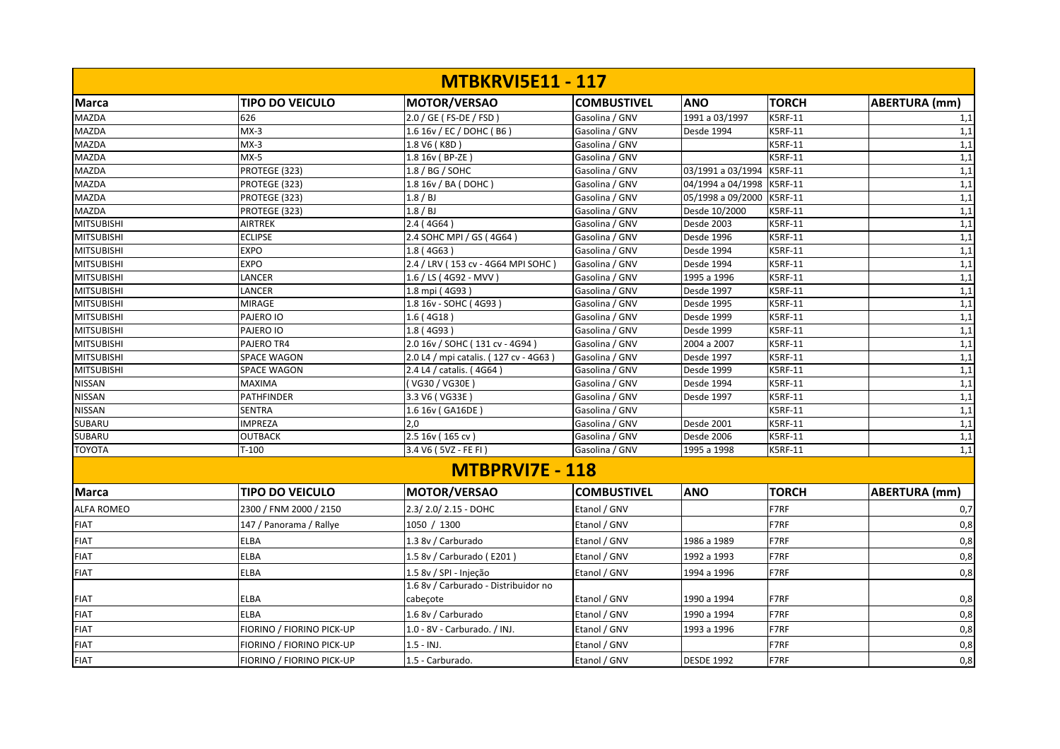|                   |                           | <b>MTBKRVI5E11 - 117</b>              |                    |                   |                |                      |
|-------------------|---------------------------|---------------------------------------|--------------------|-------------------|----------------|----------------------|
| <b>Marca</b>      | <b>TIPO DO VEICULO</b>    | <b>MOTOR/VERSAO</b>                   | <b>COMBUSTIVEL</b> | <b>ANO</b>        | <b>TORCH</b>   | <b>ABERTURA</b> (mm) |
| <b>MAZDA</b>      | 626                       | 2.0 / GE ( FS-DE / FSD )              | Gasolina / GNV     | 1991 a 03/1997    | <b>K5RF-11</b> | 1,1                  |
| <b>MAZDA</b>      | $MX-3$                    | 1.6 16v / EC / DOHC (B6)              | Gasolina / GNV     | Desde 1994        | <b>K5RF-11</b> | 1,1                  |
| <b>MAZDA</b>      | $MX-3$                    | 1.8 V6 (K8D)                          | Gasolina / GNV     |                   | <b>K5RF-11</b> | 1,1                  |
| <b>MAZDA</b>      | $MX-5$                    | 1.8 16v (BP-ZE)                       | Gasolina / GNV     |                   | <b>K5RF-11</b> | 1,1                  |
| <b>MAZDA</b>      | PROTEGE (323)             | 1.8 / BG / SOHC                       | Gasolina / GNV     | 03/1991 a 03/1994 | <b>K5RF-11</b> | 1,1                  |
| <b>MAZDA</b>      | PROTEGE (323)             | 1.8 16v / BA (DOHC)                   | Gasolina / GNV     | 04/1994 a 04/1998 | <b>K5RF-11</b> | 1,1                  |
| <b>MAZDA</b>      | PROTEGE (323)             | 1.8 / BJ                              | Gasolina / GNV     | 05/1998 a 09/2000 | <b>K5RF-11</b> | 1,1                  |
| <b>MAZDA</b>      | PROTEGE (323)             | 1.8 / BJ                              | Gasolina / GNV     | Desde 10/2000     | <b>K5RF-11</b> | 1,1                  |
| <b>MITSUBISHI</b> | <b>AIRTREK</b>            | 2.4 (4G64)                            | Gasolina / GNV     | Desde 2003        | <b>K5RF-11</b> | 1,1                  |
| <b>MITSUBISHI</b> | <b>ECLIPSE</b>            | 2.4 SOHC MPI / GS (4G64)              | Gasolina / GNV     | Desde 1996        | <b>K5RF-11</b> | 1,1                  |
| <b>MITSUBISHI</b> | <b>EXPO</b>               | 1.8(4G63)                             | Gasolina / GNV     | Desde 1994        | <b>K5RF-11</b> | 1,1                  |
| <b>MITSUBISHI</b> | <b>EXPO</b>               | 2.4 / LRV (153 cv - 4G64 MPI SOHC     | Gasolina / GNV     | Desde 1994        | <b>K5RF-11</b> | 1,1                  |
| <b>MITSUBISHI</b> | LANCER                    | 1.6 / LS (4G92 - MVV)                 | Gasolina / GNV     | 1995 a 1996       | <b>K5RF-11</b> | 1,1                  |
| <b>MITSUBISHI</b> | LANCER                    | 1.8 mpi (4G93)                        | Gasolina / GNV     | Desde 1997        | <b>K5RF-11</b> | 1,1                  |
| <b>MITSUBISHI</b> | <b>MIRAGE</b>             | 1.8 16v - SOHC (4G93)                 | Gasolina / GNV     | Desde 1995        | <b>K5RF-11</b> | 1,1                  |
| <b>MITSUBISHI</b> | PAJERO IO                 | 1.6(4G18)                             | Gasolina / GNV     | Desde 1999        | <b>K5RF-11</b> | 1,1                  |
| <b>MITSUBISHI</b> | PAJERO IO                 | 1.8(4G93)                             | Gasolina / GNV     | Desde 1999        | <b>K5RF-11</b> | 1,1                  |
| <b>MITSUBISHI</b> | PAJERO TR4                | 2.0 16v / SOHC (131 cv - 4G94)        | Gasolina / GNV     | 2004 a 2007       | <b>K5RF-11</b> | 1,1                  |
| <b>MITSUBISHI</b> | <b>SPACE WAGON</b>        | 2.0 L4 / mpi catalis. (127 cv - 4G63) | Gasolina / GNV     | Desde 1997        | <b>K5RF-11</b> | 1,1                  |
| <b>MITSUBISHI</b> | <b>SPACE WAGON</b>        | 2.4 L4 / catalis. (4G64)              | Gasolina / GNV     | Desde 1999        | <b>K5RF-11</b> | 1,1                  |
| <b>NISSAN</b>     | <b>MAXIMA</b>             | (VG30/VG30E)                          | Gasolina / GNV     | Desde 1994        | <b>K5RF-11</b> | 1,1                  |
| <b>NISSAN</b>     | <b>PATHFINDER</b>         | 3.3 V6 ( VG33E                        | Gasolina / GNV     | Desde 1997        | <b>K5RF-11</b> | 1,1                  |
| <b>NISSAN</b>     | <b>SENTRA</b>             | 1.6 16v (GA16DE)                      | Gasolina / GNV     |                   | <b>K5RF-11</b> | 1,1                  |
| <b>SUBARU</b>     | <b>IMPREZA</b>            | 2.0                                   | Gasolina / GNV     | Desde 2001        | <b>K5RF-11</b> | 1,1                  |
| <b>SUBARU</b>     | <b>OUTBACK</b>            | 2.5 16v (165 cv)                      | Gasolina / GNV     | Desde 2006        | <b>K5RF-11</b> | 1,1                  |
| <b>TOYOTA</b>     | $T-100$                   | 3.4 V6 (5VZ - FE FI)                  | Gasolina / GNV     | 1995 a 1998       | <b>K5RF-11</b> | 1,1                  |
|                   |                           | <b>MTBPRVI7E - 118</b>                |                    |                   |                |                      |
| <b>Marca</b>      | <b>TIPO DO VEICULO</b>    | <b>MOTOR/VERSAO</b>                   | <b>COMBUSTIVEL</b> | <b>ANO</b>        | <b>TORCH</b>   | <b>ABERTURA (mm)</b> |
| <b>ALFA ROMEO</b> | 2300 / FNM 2000 / 2150    | 2.3/2.0/2.15 - DOHC                   | Etanol / GNV       |                   | F7RF           | 0,7                  |
| <b>FIAT</b>       | 147 / Panorama / Rallye   | 1050 / 1300                           | Etanol / GNV       |                   | F7RF           | 0,8                  |
| <b>FIAT</b>       | <b>ELBA</b>               | 1.3 8v / Carburado                    | Etanol / GNV       | 1986 a 1989       | F7RF           | 0,8                  |
| <b>FIAT</b>       | <b>ELBA</b>               | 1.5 8v / Carburado (E201)             | Etanol / GNV       | 1992 a 1993       | F7RF           | 0,8                  |
| <b>FIAT</b>       | ELBA                      | 1.5 8v / SPI - Injeção                | Etanol / GNV       | 1994 a 1996       | F7RF           | 0,8                  |
|                   |                           | 1.6 8v / Carburado - Distribuidor no  |                    |                   |                |                      |
| <b>FIAT</b>       | <b>ELBA</b>               | cabecote                              | Etanol / GNV       | 1990 a 1994       | F7RF           | 0,8                  |
| <b>FIAT</b>       | <b>ELBA</b>               | 1.6 8v / Carburado                    | Etanol / GNV       | 1990 a 1994       | F7RF           | 0,8                  |
| <b>FIAT</b>       | FIORINO / FIORINO PICK-UP | 1.0 - 8V - Carburado. / INJ.          | Etanol / GNV       | 1993 a 1996       | F7RF           | 0,8                  |
| <b>FIAT</b>       | FIORINO / FIORINO PICK-UP | $1.5 - INJ.$                          | Etanol / GNV       |                   | F7RF           | 0,8                  |
| <b>FIAT</b>       | FIORINO / FIORINO PICK-UP | 1.5 - Carburado.                      | Etanol / GNV       | <b>DESDE 1992</b> | F7RF           | 0,8                  |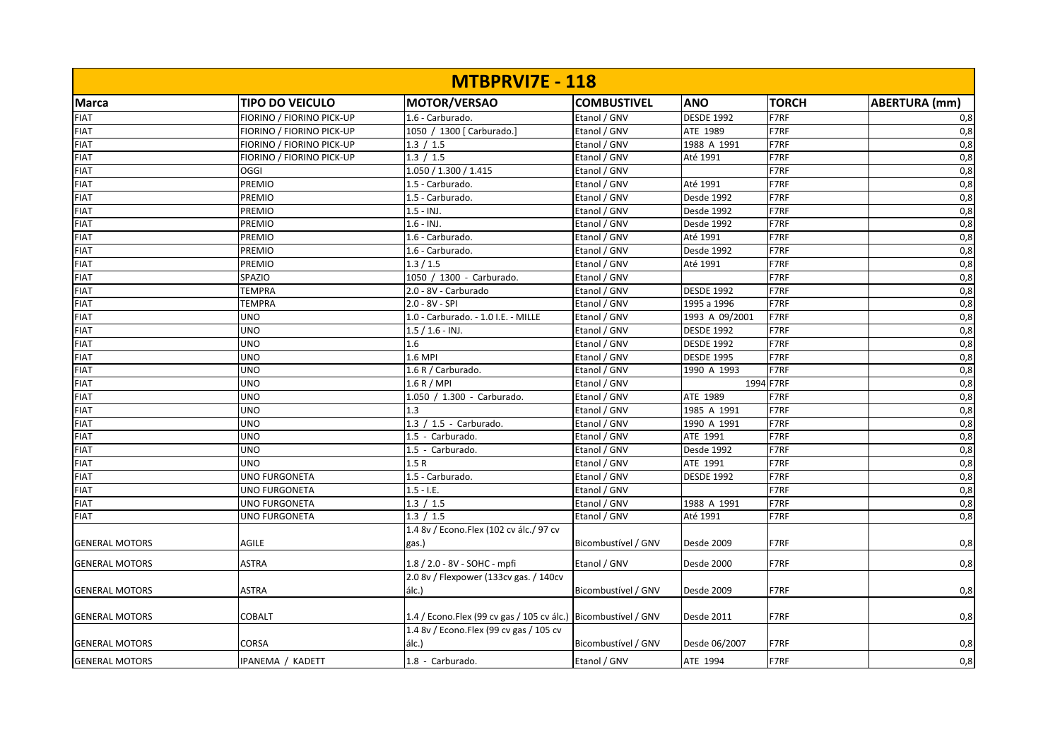| <b>MTBPRVI7E - 118</b> |                           |                                                                 |                     |                   |              |                      |  |  |
|------------------------|---------------------------|-----------------------------------------------------------------|---------------------|-------------------|--------------|----------------------|--|--|
| Marca                  | <b>TIPO DO VEICULO</b>    | MOTOR/VERSAO                                                    | <b>COMBUSTIVEL</b>  | <b>ANO</b>        | <b>TORCH</b> | <b>ABERTURA</b> (mm) |  |  |
| <b>FIAT</b>            | FIORINO / FIORINO PICK-UP | 1.6 - Carburado.                                                | Etanol / GNV        | <b>DESDE 1992</b> | F7RF         | 0,8                  |  |  |
| <b>FIAT</b>            | FIORINO / FIORINO PICK-UP | 1050 / 1300 [ Carburado.]                                       | Etanol / GNV        | ATE 1989          | F7RF         | 0,8                  |  |  |
| <b>FIAT</b>            | FIORINO / FIORINO PICK-UP | 1.3 / 1.5                                                       | Etanol / GNV        | 1988 A 1991       | F7RF         | 0,8                  |  |  |
| <b>FIAT</b>            | FIORINO / FIORINO PICK-UP | 1.3 / 1.5                                                       | Etanol / GNV        | Até 1991          | F7RF         | $\overline{0,8}$     |  |  |
| <b>FIAT</b>            | OGGI                      | 1.050 / 1.300 / 1.415                                           | Etanol / GNV        |                   | F7RF         | 0,8                  |  |  |
| <b>FIAT</b>            | PREMIO                    | 1.5 - Carburado.                                                | Etanol / GNV        | Até 1991          | F7RF         | $\overline{0,8}$     |  |  |
| <b>FIAT</b>            | <b>PREMIO</b>             | 1.5 - Carburado.                                                | Etanol / GNV        | Desde 1992        | F7RF         | $\overline{0,8}$     |  |  |
| <b>FIAT</b>            | <b>PREMIO</b>             | $1.5 - INJ.$                                                    | Etanol / GNV        | Desde 1992        | F7RF         | $\overline{0,8}$     |  |  |
| <b>FIAT</b>            | PREMIO                    | $1.6 - INJ.$                                                    | Etanol / GNV        | Desde 1992        | F7RF         | 0,8                  |  |  |
| <b>FIAT</b>            | <b>PREMIO</b>             | 1.6 - Carburado.                                                | Etanol / GNV        | Até 1991          | F7RF         | $\overline{0,8}$     |  |  |
| <b>FIAT</b>            | <b>PREMIO</b>             | 1.6 - Carburado.                                                | Etanol / GNV        | Desde 1992        | F7RF         | 0,8                  |  |  |
| <b>FIAT</b>            | <b>PREMIO</b>             | 1.3 / 1.5                                                       | Etanol / GNV        | Até 1991          | F7RF         | 0,8                  |  |  |
| <b>FIAT</b>            | SPAZIO                    | 1050 / 1300 - Carburado.                                        | Etanol / GNV        |                   | F7RF         | 0,8                  |  |  |
| <b>FIAT</b>            | <b>TEMPRA</b>             | 2.0 - 8V - Carburado                                            | Etanol / GNV        | <b>DESDE 1992</b> | F7RF         | 0,8                  |  |  |
| <b>FIAT</b>            | <b>TEMPRA</b>             | 2.0 - 8V - SPI                                                  | Etanol / GNV        | 1995 a 1996       | F7RF         | 0,8                  |  |  |
| <b>FIAT</b>            | <b>UNO</b>                | 1.0 - Carburado. - 1.0 I.E. - MILLE                             | Etanol / GNV        | 1993 A 09/2001    | F7RF         | 0,8                  |  |  |
| <b>FIAT</b>            | <b>UNO</b>                | $1.5 / 1.6 - INJ.$                                              | Etanol / GNV        | <b>DESDE 1992</b> | F7RF         | 0,8                  |  |  |
| <b>FIAT</b>            | <b>UNO</b>                | 1.6                                                             | Etanol / GNV        | <b>DESDE 1992</b> | F7RF         | 0,8                  |  |  |
| <b>FIAT</b>            | <b>UNO</b>                | 1.6 MPI                                                         | Etanol / GNV        | <b>DESDE 1995</b> | F7RF         | 0,8                  |  |  |
| <b>FIAT</b>            | <b>UNO</b>                | 1.6 R / Carburado.                                              | Etanol / GNV        | 1990 A 1993       | F7RF         | $\overline{0,8}$     |  |  |
| <b>FIAT</b>            | <b>UNO</b>                | 1.6 R / MPI                                                     | Etanol / GNV        |                   | 1994 F7RF    |                      |  |  |
| <b>FIAT</b>            | <b>UNO</b>                | 1.050 / 1.300 - Carburado.                                      | Etanol / GNV        | ATE 1989          | F7RF         | 0,8                  |  |  |
| <b>FIAT</b>            | <b>UNO</b>                | 1.3                                                             | Etanol / GNV        | 1985 A 1991       | F7RF         | 0,8                  |  |  |
| <b>FIAT</b>            | <b>UNO</b>                | 1.3 / 1.5 - Carburado.                                          | Etanol / GNV        | 1990 A 1991       | F7RF         | 0,8                  |  |  |
| <b>FIAT</b>            | <b>UNO</b>                | 1.5 - Carburado.                                                | Etanol / GNV        | ATE 1991          | F7RF         | 0,8                  |  |  |
| <b>FIAT</b>            | <b>UNO</b>                | 1.5 - Carburado.                                                | Etanol / GNV        | Desde 1992        | F7RF         | 0,8                  |  |  |
| <b>FIAT</b>            | <b>UNO</b>                | 1.5R                                                            | Etanol / GNV        | ATE 1991          | F7RF         | 0,8                  |  |  |
| <b>FIAT</b>            | <b>UNO FURGONETA</b>      | 1.5 - Carburado.                                                | Etanol / GNV        | <b>DESDE 1992</b> | F7RF         | 0,8                  |  |  |
| <b>FIAT</b>            | <b>UNO FURGONETA</b>      | $1.5 - I.E.$                                                    | Etanol / GNV        |                   | F7RF         | 0,8                  |  |  |
| <b>FIAT</b>            | <b>UNO FURGONETA</b>      | 1.3 / 1.5                                                       | Etanol / GNV        | 1988 A 1991       | F7RF         | 0,8                  |  |  |
| <b>FIAT</b>            | UNO FURGONETA             | 1.3 / 1.5                                                       | Etanol / GNV        | Até 1991          | F7RF         | 0,8                  |  |  |
| <b>GENERAL MOTORS</b>  | <b>AGILE</b>              | 1.4 8v / Econo.Flex (102 cv álc./ 97 cv<br>gas.)                | Bicombustível / GNV | Desde 2009        | F7RF         | 0,8                  |  |  |
| <b>GENERAL MOTORS</b>  | <b>ASTRA</b>              | 1.8 / 2.0 - 8V - SOHC - mpfi                                    | Etanol / GNV        | Desde 2000        | F7RF         | 0,8                  |  |  |
| <b>GENERAL MOTORS</b>  | <b>ASTRA</b>              | 2.0 8v / Flexpower (133cv gas. / 140cv<br>álc.)                 | Bicombustível / GNV | Desde 2009        | F7RF         | 0,8                  |  |  |
| <b>GENERAL MOTORS</b>  | <b>COBALT</b>             | 1.4 / Econo. Flex (99 cv gas / 105 cv álc.) Bicombustível / GNV |                     | <b>Desde 2011</b> | F7RF         | 0,8                  |  |  |
| <b>GENERAL MOTORS</b>  | <b>CORSA</b>              | 1.4 8v / Econo. Flex (99 cv gas / 105 cv<br>álc.)               | Bicombustível / GNV | Desde 06/2007     | F7RF         | 0,8                  |  |  |
| <b>GENERAL MOTORS</b>  | IPANEMA / KADETT          | 1.8 - Carburado.                                                | Etanol / GNV        | ATE 1994          | F7RF         | 0,8                  |  |  |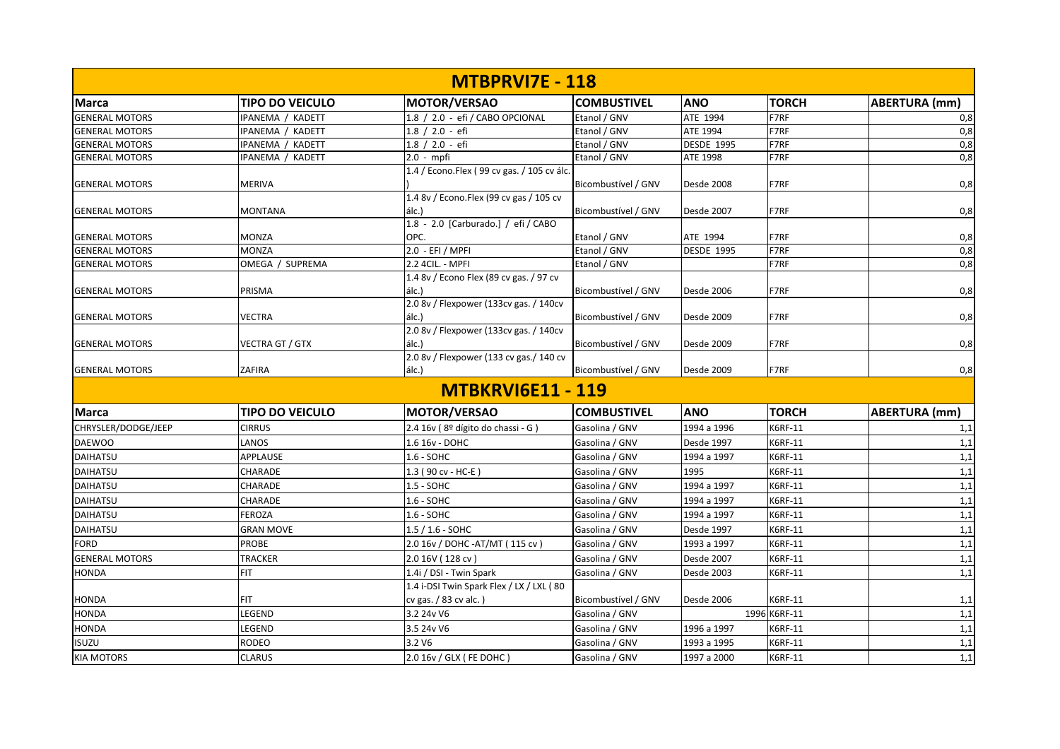| <b>MTBPRVI7E - 118</b> |                        |                                                  |                     |                   |              |                      |  |  |
|------------------------|------------------------|--------------------------------------------------|---------------------|-------------------|--------------|----------------------|--|--|
| <b>Marca</b>           | <b>TIPO DO VEICULO</b> | <b>MOTOR/VERSAO</b>                              | <b>COMBUSTIVEL</b>  | <b>ANO</b>        | <b>TORCH</b> | <b>ABERTURA</b> (mm) |  |  |
| <b>GENERAL MOTORS</b>  | IPANEMA / KADETT       | 1.8 / 2.0 - efi / CABO OPCIONAL                  | Etanol / GNV        | ATE 1994          | F7RF         | 0,8                  |  |  |
| <b>GENERAL MOTORS</b>  | IPANEMA / KADETT       | 1.8 / 2.0 - efi                                  | Etanol / GNV        | ATE 1994          | F7RF         | 0,8                  |  |  |
| <b>GENERAL MOTORS</b>  | IPANEMA / KADETT       | $1.8 / 2.0 - efi$                                | Etanol / GNV        | <b>DESDE 1995</b> | F7RF         | 0,8                  |  |  |
| <b>GENERAL MOTORS</b>  | IPANEMA / KADETT       | $2.0 - m$ pfi                                    | Etanol / GNV        | ATE 1998          | F7RF         | 0,8                  |  |  |
|                        |                        | 1.4 / Econo.Flex (99 cv gas. / 105 cv álc.       |                     |                   |              |                      |  |  |
| <b>GENERAL MOTORS</b>  | <b>MERIVA</b>          |                                                  | Bicombustível / GNV | Desde 2008        | F7RF         | 0,8                  |  |  |
| <b>GENERAL MOTORS</b>  | <b>MONTANA</b>         | 1.4 8v / Econo.Flex (99 cv gas / 105 cv<br>álc.) | Bicombustível / GNV | Desde 2007        | F7RF         | 0,8                  |  |  |
|                        |                        | 1.8 - 2.0 [Carburado.] / efi / CABO              |                     |                   |              |                      |  |  |
| <b>GENERAL MOTORS</b>  | <b>MONZA</b>           | OPC.                                             | Etanol / GNV        | ATE 1994          | F7RF         | 0,8                  |  |  |
| <b>GENERAL MOTORS</b>  | <b>MONZA</b>           | 2.0 - EFI / MPFI                                 | Etanol / GNV        | <b>DESDE 1995</b> | F7RF         | 0,8                  |  |  |
| <b>GENERAL MOTORS</b>  | OMEGA / SUPREMA        | 2.2 4CIL. - MPFI                                 | Etanol / GNV        |                   | F7RF         | 0,8                  |  |  |
| <b>GENERAL MOTORS</b>  | PRISMA                 | 1.4 8v / Econo Flex (89 cv gas. / 97 cv<br>álc.) | Bicombustível / GNV | Desde 2006        | F7RF         | 0,8                  |  |  |
| <b>GENERAL MOTORS</b>  | <b>VECTRA</b>          | 2.0 8v / Flexpower (133cv gas. / 140cv<br>álc.)  | Bicombustível / GNV | Desde 2009        | F7RF         | 0,8                  |  |  |
| <b>GENERAL MOTORS</b>  | <b>VECTRA GT / GTX</b> | 2.0 8v / Flexpower (133cv gas. / 140cv<br>álc.)  | Bicombustível / GNV | Desde 2009        | F7RF         | 0,8                  |  |  |
| <b>GENERAL MOTORS</b>  | ZAFIRA                 | 2.0 8v / Flexpower (133 cv gas./ 140 cv<br>álc.) | Bicombustível / GNV | Desde 2009        | F7RF         | 0,8                  |  |  |
|                        |                        | <b>MTBKRVI6E11 - 119</b>                         |                     |                   |              |                      |  |  |
| <b>Marca</b>           | <b>TIPO DO VEICULO</b> | <b>MOTOR/VERSAO</b>                              | <b>COMBUSTIVEL</b>  | <b>ANO</b>        | <b>TORCH</b> | <b>ABERTURA</b> (mm) |  |  |
| CHRYSLER/DODGE/JEEP    | <b>CIRRUS</b>          | 2.4 16v (8º dígito do chassi - G)                | Gasolina / GNV      | 1994 a 1996       | K6RF-11      | 1,1                  |  |  |
| <b>DAEWOO</b>          | LANOS                  | 1.6 16v - DOHC                                   | Gasolina / GNV      | Desde 1997        | K6RF-11      | 1,1                  |  |  |
| <b>DAIHATSU</b>        | APPLAUSE               | $1.6 - SOHC$                                     | Gasolina / GNV      | 1994 a 1997       | K6RF-11      | 1,1                  |  |  |
| <b>DAIHATSU</b>        | <b>CHARADE</b>         | 1.3 (90 cv - HC-E)                               | Gasolina / GNV      | 1995              | K6RF-11      | 1,1                  |  |  |
| <b>DAIHATSU</b>        | <b>CHARADE</b>         | 1.5 - SOHC                                       | Gasolina / GNV      | 1994 a 1997       | K6RF-11      | 1,1                  |  |  |
| <b>DAIHATSU</b>        | CHARADE                | 1.6 - SOHC                                       | Gasolina / GNV      | 1994 a 1997       | K6RF-11      | 1,1                  |  |  |
| DAIHATSU               | <b>FEROZA</b>          | 1.6 - SOHC                                       | Gasolina / GNV      | 1994 a 1997       | K6RF-11      | 1,1                  |  |  |
| <b>DAIHATSU</b>        | <b>GRAN MOVE</b>       | $1.5 / 1.6 - SOHC$                               | Gasolina / GNV      | Desde 1997        | K6RF-11      | 1,1                  |  |  |
| <b>FORD</b>            | <b>PROBE</b>           | 2.0 16v / DOHC - AT/MT (115 cv)                  | Gasolina / GNV      | 1993 a 1997       | K6RF-11      | 1,1                  |  |  |
| <b>GENERAL MOTORS</b>  | <b>TRACKER</b>         | 2.0 16V (128 cv)                                 | Gasolina / GNV      | Desde 2007        | K6RF-11      | 1,1                  |  |  |
| <b>HONDA</b>           | <b>FIT</b>             | 1.4i / DSI - Twin Spark                          | Gasolina / GNV      | Desde 2003        | K6RF-11      | 1,1                  |  |  |
|                        |                        | 1.4 i-DSI Twin Spark Flex / LX / LXL (80         |                     |                   |              |                      |  |  |
| <b>HONDA</b>           | <b>FIT</b>             | cv gas. / 83 cv alc.)                            | Bicombustível / GNV | Desde 2006        | K6RF-11      | 1,1                  |  |  |
| <b>HONDA</b>           | LEGEND                 | 3.2 24v V6                                       | Gasolina / GNV      |                   | 1996 K6RF-11 | 1,1                  |  |  |
| <b>HONDA</b>           | LEGEND                 | 3.5 24v V6                                       | Gasolina / GNV      | 1996 a 1997       | K6RF-11      | 1,1                  |  |  |
| ISUZU                  | <b>RODEO</b>           | 3.2 V6                                           | Gasolina / GNV      | 1993 a 1995       | K6RF-11      | 1,1                  |  |  |
| <b>KIA MOTORS</b>      | <b>CLARUS</b>          | 2.0 16v / GLX ( FE DOHC )                        | Gasolina / GNV      | 1997 a 2000       | K6RF-11      | 1,1                  |  |  |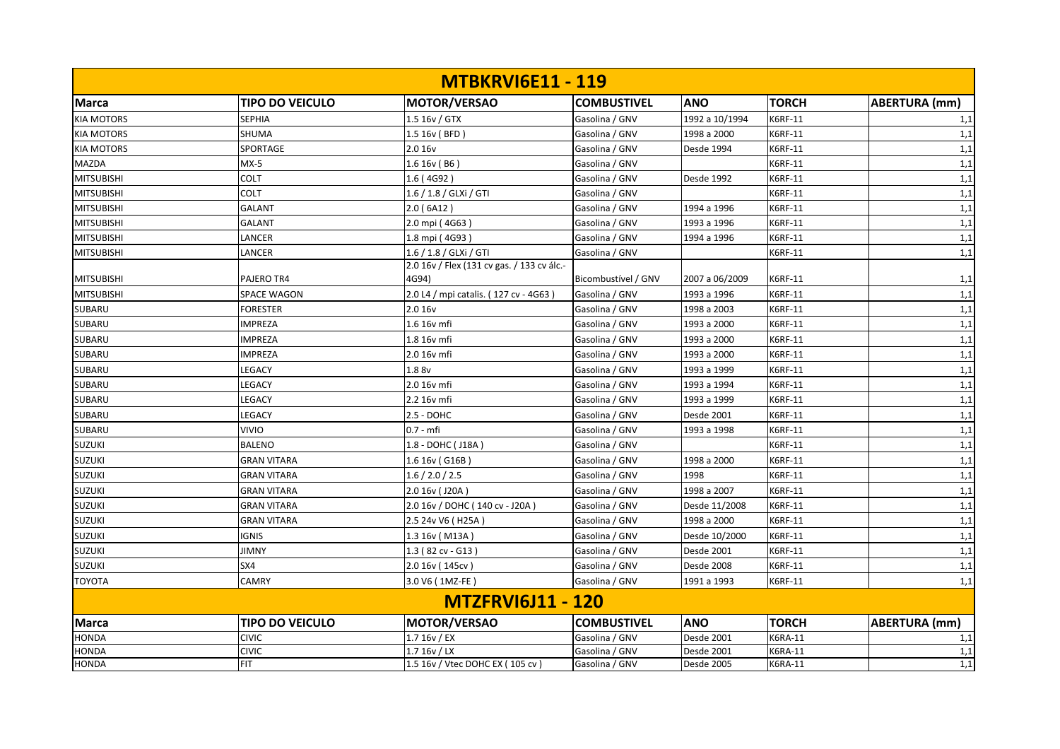|                   |                        | <b>MTBKRVI6E11 - 119</b>                   |                     |                   |                |               |
|-------------------|------------------------|--------------------------------------------|---------------------|-------------------|----------------|---------------|
| <b>Marca</b>      | <b>TIPO DO VEICULO</b> | MOTOR/VERSAO                               | <b>COMBUSTIVEL</b>  | <b>ANO</b>        | <b>TORCH</b>   | ABERTURA (mm) |
| <b>KIA MOTORS</b> | <b>SEPHIA</b>          | $1.516v /$ GTX                             | Gasolina / GNV      | 1992 a 10/1994    | <b>K6RF-11</b> | 1,1           |
| <b>KIA MOTORS</b> | SHUMA                  | 1.5 16v (BFD)                              | Gasolina / GNV      | 1998 a 2000       | K6RF-11        | 1,1           |
| <b>KIA MOTORS</b> | SPORTAGE               | 2.0 16v                                    | Gasolina / GNV      | Desde 1994        | K6RF-11        | 1,1           |
| <b>MAZDA</b>      | $MX-5$                 | 1.616v(86)                                 | Gasolina / GNV      |                   | K6RF-11        | 1,1           |
| <b>MITSUBISHI</b> | <b>COLT</b>            | 1.6 (4G92)                                 | Gasolina / GNV      | Desde 1992        | K6RF-11        | 1,1           |
| <b>MITSUBISHI</b> | COLT                   | 1.6 / 1.8 / GLXi / GTI                     | Gasolina / GNV      |                   | K6RF-11        | 1,1           |
| <b>MITSUBISHI</b> | <b>GALANT</b>          | 2.0 (6A12)                                 | Gasolina / GNV      | 1994 a 1996       | K6RF-11        | 1,1           |
| <b>MITSUBISHI</b> | <b>GALANT</b>          | 2.0 mpi (4G63)                             | Gasolina / GNV      | 1993 a 1996       | K6RF-11        | 1,1           |
| <b>MITSUBISHI</b> | LANCER                 | 1.8 mpi (4G93)                             | Gasolina / GNV      | 1994 a 1996       | K6RF-11        | 1,1           |
| <b>MITSUBISHI</b> | LANCER                 | 1.6 / 1.8 / GLXi / GTI                     | Gasolina / GNV      |                   | K6RF-11        | 1,1           |
|                   |                        | 2.0 16v / Flex (131 cv gas. / 133 cv álc.- |                     |                   |                |               |
| <b>MITSUBISHI</b> | PAJERO TR4             | 4G94)                                      | Bicombustível / GNV | 2007 a 06/2009    | K6RF-11        | 1,1           |
| <b>MITSUBISHI</b> | <b>SPACE WAGON</b>     | 2.0 L4 / mpi catalis. (127 cv - 4G63)      | Gasolina / GNV      | 1993 a 1996       | K6RF-11        | 1,1           |
| <b>SUBARU</b>     | <b>FORESTER</b>        | 2.016v                                     | Gasolina / GNV      | 1998 a 2003       | K6RF-11        | 1,1           |
| SUBARU            | <b>IMPREZA</b>         | 1.6 16v mfi                                | Gasolina / GNV      | 1993 a 2000       | K6RF-11        | 1,1           |
| SUBARU            | <b>IMPREZA</b>         | 1.8 16v mfi                                | Gasolina / GNV      | 1993 a 2000       | K6RF-11        | 1,1           |
| <b>SUBARU</b>     | <b>IMPREZA</b>         | 2.0 16v mfi                                | Gasolina / GNV      | 1993 a 2000       | K6RF-11        | 1,1           |
| <b>SUBARU</b>     | LEGACY                 | 1.8 8v                                     | Gasolina / GNV      | 1993 a 1999       | K6RF-11        | 1,1           |
| SUBARU            | LEGACY                 | 2.0 16v mfi                                | Gasolina / GNV      | 1993 a 1994       | K6RF-11        | 1,1           |
| <b>SUBARU</b>     | LEGACY                 | 2.2 16v mfi                                | Gasolina / GNV      | 1993 a 1999       | K6RF-11        | 1,1           |
| <b>SUBARU</b>     | LEGACY                 | $2.5 - DOHC$                               | Gasolina / GNV      | Desde 2001        | K6RF-11        | 1,1           |
| SUBARU            | <b>VIVIO</b>           | $0.7 - mfi$                                | Gasolina / GNV      | 1993 a 1998       | K6RF-11        | 1,1           |
| <b>SUZUKI</b>     | <b>BALENO</b>          | 1.8 - DOHC (J18A)                          | Gasolina / GNV      |                   | K6RF-11        | 1,1           |
| <b>SUZUKI</b>     | <b>GRAN VITARA</b>     | 1.6 16v (G16B)                             | Gasolina / GNV      | 1998 a 2000       | K6RF-11        | 1,1           |
| <b>SUZUKI</b>     | <b>GRAN VITARA</b>     | 1.6 / 2.0 / 2.5                            | Gasolina / GNV      | 1998              | K6RF-11        | 1,1           |
| <b>SUZUKI</b>     | <b>GRAN VITARA</b>     | 2.0 16v (J20A)                             | Gasolina / GNV      | 1998 a 2007       | K6RF-11        | 1,1           |
| <b>SUZUKI</b>     | <b>GRAN VITARA</b>     | 2.0 16v / DOHC (140 cv - J20A)             | Gasolina / GNV      | Desde 11/2008     | K6RF-11        | 1,1           |
| <b>SUZUKI</b>     | <b>GRAN VITARA</b>     | 2.5 24v V6 (H25A)                          | Gasolina / GNV      | 1998 a 2000       | K6RF-11        | 1,1           |
| <b>SUZUKI</b>     | <b>IGNIS</b>           | 1.3 16v (M13A)                             | Gasolina / GNV      | Desde 10/2000     | K6RF-11        | 1,1           |
| <b>SUZUKI</b>     | <b>JIMNY</b>           | $1.3$ (82 cv - G13)                        | Gasolina / GNV      | <b>Desde 2001</b> | K6RF-11        | 1,1           |
| <b>SUZUKI</b>     | SX4                    | 2.0 16v (145cv)                            | Gasolina / GNV      | Desde 2008        | K6RF-11        | 1,1           |
| <b>TOYOTA</b>     | <b>CAMRY</b>           | 3.0 V6 (1MZ-FE)                            | Gasolina / GNV      | 1991 a 1993       | K6RF-11        | 1,1           |
|                   |                        | <b>MTZFRVI6J11 - 120</b>                   |                     |                   |                |               |
| <b>Marca</b>      | <b>TIPO DO VEICULO</b> | MOTOR/VERSAO                               | <b>COMBUSTIVEL</b>  | <b>ANO</b>        | <b>TORCH</b>   | ABERTURA (mm) |
| <b>HONDA</b>      | <b>CIVIC</b>           | $1.716v$ / EX                              | Gasolina / GNV      | Desde 2001        | K6RA-11        | 1,1           |
| HONDA             | <b>CIVIC</b>           | 1.716v / LX                                | Gasolina / GNV      | Desde 2001        | K6RA-11        | 1,1           |
| <b>HONDA</b>      | FIT                    | 1.5 16v / Vtec DOHC EX (105 cv)            | Gasolina / GNV      | Desde 2005        | K6RA-11        | 1,1           |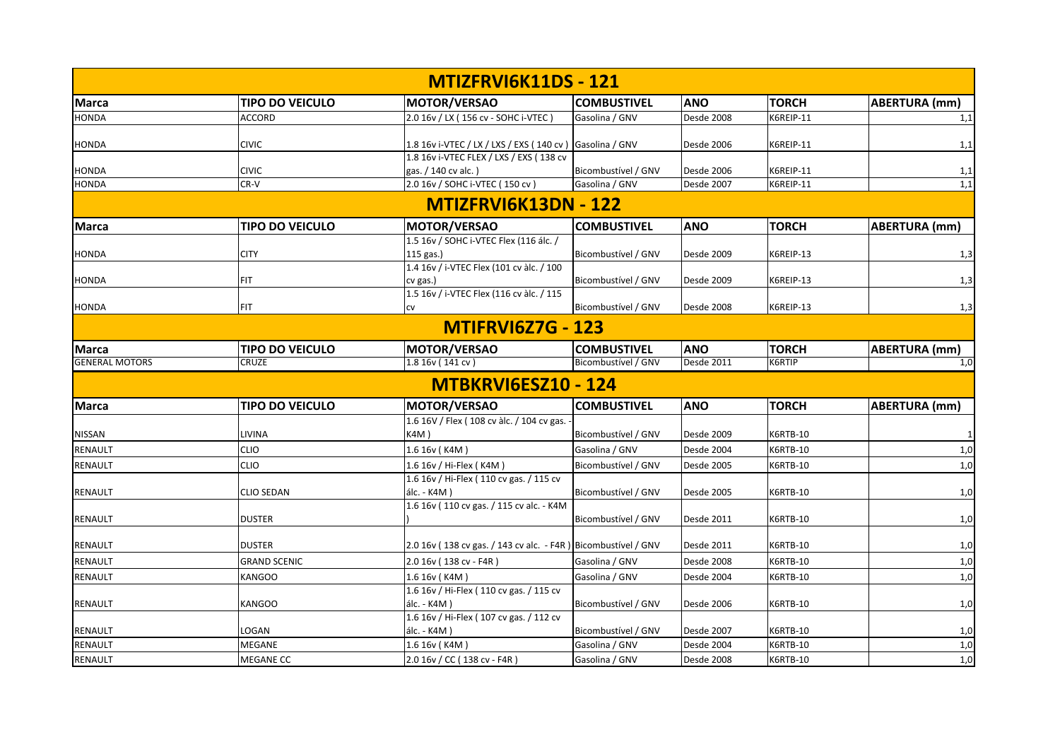|                       |                        | MTIZFRVI6K11DS - 121                                           |                     |                   |                 |                      |
|-----------------------|------------------------|----------------------------------------------------------------|---------------------|-------------------|-----------------|----------------------|
| <b>Marca</b>          | <b>TIPO DO VEICULO</b> | MOTOR/VERSAO                                                   | <b>COMBUSTIVEL</b>  | <b>ANO</b>        | <b>TORCH</b>    | ABERTURA (mm)        |
| <b>HONDA</b>          | <b>ACCORD</b>          | 2.0 16v / LX (156 cv - SOHC i-VTEC)                            | Gasolina / GNV      | Desde 2008        | K6REIP-11       | 1,1                  |
|                       |                        |                                                                |                     |                   |                 |                      |
| <b>HONDA</b>          | <b>CIVIC</b>           | 1.8 16v i-VTEC / LX / LXS / EXS ( 140 cv ) Gasolina / GNV      |                     | Desde 2006        | K6REIP-11       | 1,1                  |
|                       |                        | 1.8 16v i-VTEC FLEX / LXS / EXS (138 cv                        |                     |                   |                 |                      |
| <b>HONDA</b>          | <b>CIVIC</b><br>CR-V   | gas. / 140 cv alc.)<br>2.0 16v / SOHC i-VTEC (150 cv)          | Bicombustível / GNV | Desde 2006        | K6REIP-11       | 1,1<br>1,1           |
| <b>HONDA</b>          |                        |                                                                | Gasolina / GNV      | Desde 2007        | K6REIP-11       |                      |
|                       |                        | <b>MTIZFRVI6K13DN - 122</b>                                    |                     |                   |                 |                      |
| <b>Marca</b>          | <b>TIPO DO VEICULO</b> | <b>MOTOR/VERSAO</b>                                            | <b>COMBUSTIVEL</b>  | <b>ANO</b>        | <b>TORCH</b>    | <b>ABERTURA</b> (mm) |
|                       |                        | 1.5 16v / SOHC i-VTEC Flex (116 álc. /                         |                     |                   |                 |                      |
| <b>HONDA</b>          | <b>CITY</b>            | 115 gas.)                                                      | Bicombustível / GNV | Desde 2009        | K6REIP-13       | 1,3                  |
|                       |                        | 1.4 16v / i-VTEC Flex (101 cv àlc. / 100                       |                     |                   |                 |                      |
| <b>HONDA</b>          | <b>FIT</b>             | cv gas.)                                                       | Bicombustível / GNV | Desde 2009        | K6REIP-13       | 1,3                  |
|                       | <b>FIT</b>             | 1.5 16v / i-VTEC Flex (116 cv àlc. / 115                       | Bicombustível / GNV |                   | K6REIP-13       |                      |
| <b>HONDA</b>          |                        | CV                                                             |                     | Desde 2008        |                 | 1,3                  |
|                       |                        | <b>MTIFRVI6Z7G - 123</b>                                       |                     |                   |                 |                      |
| <b>Marca</b>          | <b>TIPO DO VEICULO</b> | MOTOR/VERSAO                                                   | <b>COMBUSTIVEL</b>  | <b>ANO</b>        | <b>TORCH</b>    | <b>ABERTURA</b> (mm) |
| <b>GENERAL MOTORS</b> | CRUZE                  | 1.8 16v (141 cv)                                               | Bicombustível / GNV | Desde 2011        | K6RTIP          | 1,0                  |
|                       |                        | <b>MTBKRVI6ESZ10 - 124</b>                                     |                     |                   |                 |                      |
| <b>Marca</b>          | <b>TIPO DO VEICULO</b> | MOTOR/VERSAO                                                   | <b>COMBUSTIVEL</b>  | <b>ANO</b>        | <b>TORCH</b>    | ABERTURA (mm)        |
|                       |                        | 1.6 16V / Flex (108 cv àlc. / 104 cv gas.                      |                     |                   |                 |                      |
| <b>NISSAN</b>         | LIVINA                 | K4M)                                                           | Bicombustível / GNV | Desde 2009        | K6RTB-10        |                      |
| <b>RENAULT</b>        | <b>CLIO</b>            | 1.6 16v (K4M)                                                  | Gasolina / GNV      | Desde 2004        | K6RTB-10        | 1,0                  |
| RENAULT               | <b>CLIO</b>            | 1.6 16v / Hi-Flex (K4M)                                        | Bicombustível / GNV | Desde 2005        | K6RTB-10        | 1,0                  |
|                       |                        | 1.6 16v / Hi-Flex (110 cv gas. / 115 cv                        |                     |                   |                 |                      |
| <b>RENAULT</b>        | <b>CLIO SEDAN</b>      | álc. - K4M)                                                    | Bicombustível / GNV | <b>Desde 2005</b> | <b>K6RTB-10</b> | 1,0                  |
|                       |                        | 1.6 16v (110 cv gas. / 115 cv alc. - K4M                       |                     |                   |                 |                      |
| <b>RENAULT</b>        | <b>DUSTER</b>          |                                                                | Bicombustível / GNV | Desde 2011        | <b>K6RTB-10</b> | 1,0                  |
| <b>RENAULT</b>        | <b>DUSTER</b>          | 2.0 16v (138 cv gas. / 143 cv alc. - F4R ) Bicombustível / GNV |                     | Desde 2011        | <b>K6RTB-10</b> | 1,0                  |
| <b>RENAULT</b>        | <b>GRAND SCENIC</b>    | 2.0 16v (138 cv - F4R)                                         | Gasolina / GNV      | Desde 2008        | K6RTB-10        | 1,0                  |
| <b>RENAULT</b>        | <b>KANGOO</b>          | 1.6 16v (K4M)                                                  | Gasolina / GNV      | Desde 2004        | <b>K6RTB-10</b> | 1,0                  |
|                       |                        | 1.6 16v / Hi-Flex (110 cv gas. / 115 cv                        |                     |                   |                 |                      |
| <b>RENAULT</b>        | <b>KANGOO</b>          | álc. - K4M)                                                    | Bicombustível / GNV | Desde 2006        | <b>K6RTB-10</b> | 1,0                  |
|                       |                        | 1.6 16v / Hi-Flex (107 cv gas. / 112 cv                        |                     |                   |                 |                      |
| <b>RENAULT</b>        | LOGAN                  | álc. - K4M)                                                    | Bicombustível / GNV | Desde 2007        | <b>K6RTB-10</b> | 1,0                  |
| RENAULT               | MEGANE                 | 1.6 16v (K4M)                                                  | Gasolina / GNV      | Desde 2004        | K6RTB-10        | 1,0                  |
| RENAULT               | <b>MEGANE CC</b>       | 2.0 16v / CC (138 cv - F4R)                                    | Gasolina / GNV      | Desde 2008        | <b>K6RTB-10</b> | 1,0                  |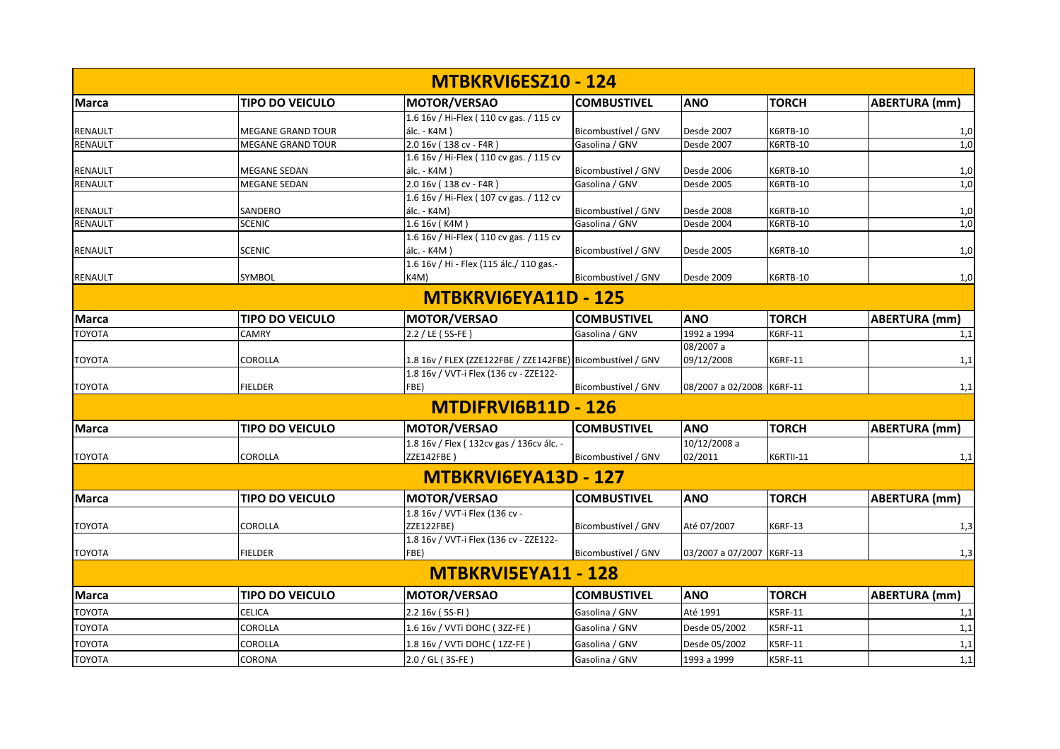|                |                        | <b>MTBKRVI6ESZ10 - 124</b>                                 |                     |                           |                  |                      |
|----------------|------------------------|------------------------------------------------------------|---------------------|---------------------------|------------------|----------------------|
| <b>Marca</b>   | <b>TIPO DO VEICULO</b> | <b>MOTOR/VERSAO</b>                                        | <b>COMBUSTIVEL</b>  | <b>ANO</b>                | <b>TORCH</b>     | <b>ABERTURA (mm)</b> |
|                |                        | 1.6 16v / Hi-Flex (110 cv gas. / 115 cv                    |                     |                           |                  |                      |
| <b>RENAULT</b> | MEGANE GRAND TOUR      | álc. - K4M)                                                | Bicombustível / GNV | Desde 2007                | <b>K6RTB-10</b>  | 1,0                  |
| RENAULT        | MEGANE GRAND TOUR      | 2.0 16v (138 cv - F4R)                                     | Gasolina / GNV      | Desde 2007                | <b>K6RTB-10</b>  | 1,0                  |
|                |                        | 1.6 16v / Hi-Flex (110 cv gas. / 115 cv                    |                     |                           |                  |                      |
| <b>RENAULT</b> | <b>MEGANE SEDAN</b>    | álc. - K4M)                                                | Bicombustível / GNV | Desde 2006                | <b>K6RTB-10</b>  | 1,0                  |
| RENAULT        | <b>MEGANE SEDAN</b>    | 2.0 16v (138 cv - F4R)                                     | Gasolina / GNV      | Desde 2005                | <b>K6RTB-10</b>  | 1,0                  |
|                |                        | 1.6 16v / Hi-Flex (107 cv gas. / 112 cv                    |                     |                           |                  |                      |
| RENAULT        | SANDERO                | álc. - K4M)                                                | Bicombustível / GNV | Desde 2008                | K6RTB-10         | 1,0                  |
| RENAULT        | <b>SCENIC</b>          | 1.6 16v (K4M)                                              | Gasolina / GNV      | Desde 2004                | <b>K6RTB-10</b>  | 1,0                  |
|                |                        | 1.6 16v / Hi-Flex (110 cv gas. / 115 cv                    |                     |                           |                  |                      |
| <b>RENAULT</b> | SCENIC                 | álc. - K4M)                                                | Bicombustível / GNV | Desde 2005                | <b>K6RTB-10</b>  | 1,0                  |
|                |                        | 1.6 16v / Hi - Flex (115 álc./ 110 gas.-                   |                     |                           |                  |                      |
| <b>RENAULT</b> | SYMBOL                 | K4M)                                                       | Bicombustível / GNV | Desde 2009                | <b>K6RTB-10</b>  | 1,0                  |
|                |                        | MTBKRVI6EYA11D - 125                                       |                     |                           |                  |                      |
| <b>Marca</b>   | <b>TIPO DO VEICULO</b> | MOTOR/VERSAO                                               | <b>COMBUSTIVEL</b>  | <b>ANO</b>                | <b>TORCH</b>     | <b>ABERTURA (mm)</b> |
| <b>TOYOTA</b>  | <b>CAMRY</b>           | 2.2 / LE (5S-FE)                                           | Gasolina / GNV      | 1992 a 1994               | K6RF-11          | 1,1                  |
|                |                        |                                                            |                     | 08/2007 a                 |                  |                      |
| <b>TOYOTA</b>  | COROLLA                | 1.8 16v / FLEX (ZZE122FBE / ZZE142FBE) Bicombustível / GNV |                     | 09/12/2008                | K6RF-11          | 1,1                  |
|                |                        | 1.8 16v / VVT-i Flex (136 cv - ZZE122-                     |                     |                           |                  |                      |
| <b>TOYOTA</b>  | <b>FIELDER</b>         | FBE)                                                       | Bicombustível / GNV | 08/2007 a 02/2008 K6RF-11 |                  | 1,1                  |
|                |                        | <b>MTDIFRVI6B11D - 126</b>                                 |                     |                           |                  |                      |
| <b>Marca</b>   | <b>TIPO DO VEICULO</b> | <b>MOTOR/VERSAO</b>                                        | <b>COMBUSTIVEL</b>  | <b>ANO</b>                | <b>TORCH</b>     | <b>ABERTURA (mm)</b> |
|                |                        | 1.8 16v / Flex (132cv gas / 136cv álc. -                   |                     | 10/12/2008 a              |                  |                      |
| <b>TOYOTA</b>  | <b>COROLLA</b>         | <b>ZZE142FBE)</b>                                          | Bicombustível / GNV | 02/2011                   | <b>K6RTII-11</b> | 1,1                  |
|                |                        | MTBKRVI6EYA13D - 127                                       |                     |                           |                  |                      |
| <b>Marca</b>   | <b>TIPO DO VEICULO</b> | MOTOR/VERSAO                                               | <b>COMBUSTIVEL</b>  | <b>ANO</b>                | <b>TORCH</b>     | ABERTURA (mm)        |
|                |                        | 1.8 16v / VVT-i Flex (136 cv -                             |                     |                           |                  |                      |
| <b>TOYOTA</b>  | COROLLA                | ZZE122FBE)                                                 | Bicombustível / GNV | Até 07/2007               | K6RF-13          | 1,3                  |
|                |                        | 1.8 16v / VVT-i Flex (136 cv - ZZE122-                     |                     |                           |                  |                      |
| <b>TOYOTA</b>  | <b>FIELDER</b>         | FBE)                                                       | Bicombustível / GNV | 03/2007 a 07/2007 K6RF-13 |                  | 1,3                  |
|                |                        | MTBKRVI5EYA11 - 128                                        |                     |                           |                  |                      |
| <b>Marca</b>   | <b>TIPO DO VEICULO</b> | MOTOR/VERSAO                                               | <b>COMBUSTIVEL</b>  | <b>ANO</b>                | <b>TORCH</b>     | <b>ABERTURA</b> (mm) |
| TOYOTA         | CELICA                 | 2.2 16v (5S-FI)                                            | Gasolina / GNV      | Até 1991                  | <b>K5RF-11</b>   | 1,1                  |
| TOYOTA         | COROLLA                | 1.6 16v / VVTi DOHC (3ZZ-FE)                               | Gasolina / GNV      | Desde 05/2002             | <b>K5RF-11</b>   | 1,1                  |
| <b>TOYOTA</b>  | COROLLA                | 1.8 16v / VVTi DOHC (1ZZ-FE)                               | Gasolina / GNV      | Desde 05/2002             | <b>K5RF-11</b>   | 1,1                  |
| <b>TOYOTA</b>  | <b>CORONA</b>          | 2.0 / GL (3S-FE)                                           | Gasolina / GNV      | 1993 a 1999               | <b>K5RF-11</b>   | 1,1                  |